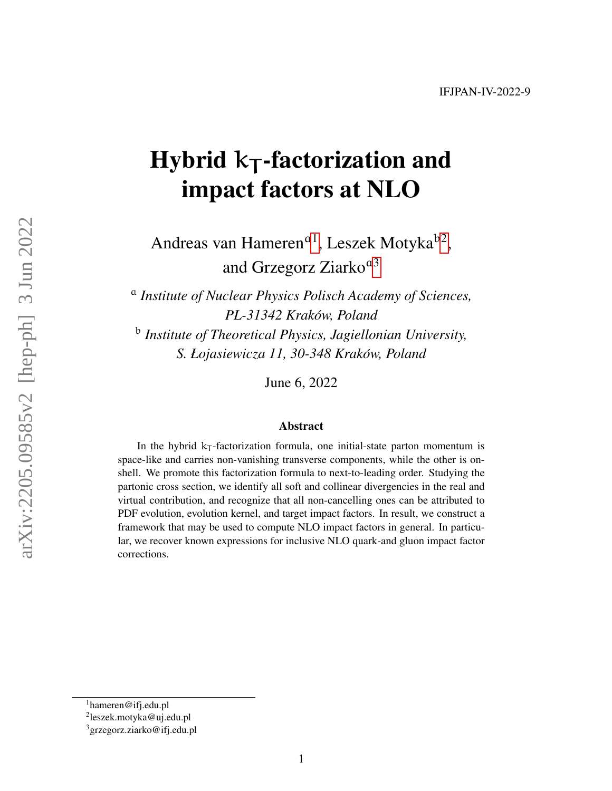# Hybrid  ${\sf k}_{\mathsf{T}}$ -factorization and impact factors at NLO

Andreas van Hameren<sup>a[1](#page-0-0)</sup>, Leszek Motyka<sup>b[2](#page-0-1)</sup>, and Grzegorz Ziarko<sup>a[3](#page-0-2)</sup>

a *Institute of Nuclear Physics Polisch Academy of Sciences, PL-31342 Krakow, Poland ´* b *Institute of Theoretical Physics, Jagiellonian University, S. Łojasiewicza 11, 30-348 Krakow, Poland ´*

June 6, 2022

#### Abstract

In the hybrid  $k<sub>T</sub>$ -factorization formula, one initial-state parton momentum is space-like and carries non-vanishing transverse components, while the other is onshell. We promote this factorization formula to next-to-leading order. Studying the partonic cross section, we identify all soft and collinear divergencies in the real and virtual contribution, and recognize that all non-cancelling ones can be attributed to PDF evolution, evolution kernel, and target impact factors. In result, we construct a framework that may be used to compute NLO impact factors in general. In particular, we recover known expressions for inclusive NLO quark-and gluon impact factor corrections.

<span id="page-0-0"></span> $1$ hameren@ifj.edu.pl

<span id="page-0-1"></span><sup>&</sup>lt;sup>2</sup>leszek.motyka@uj.edu.pl

<span id="page-0-2"></span><sup>3</sup>grzegorz.ziarko@ifj.edu.pl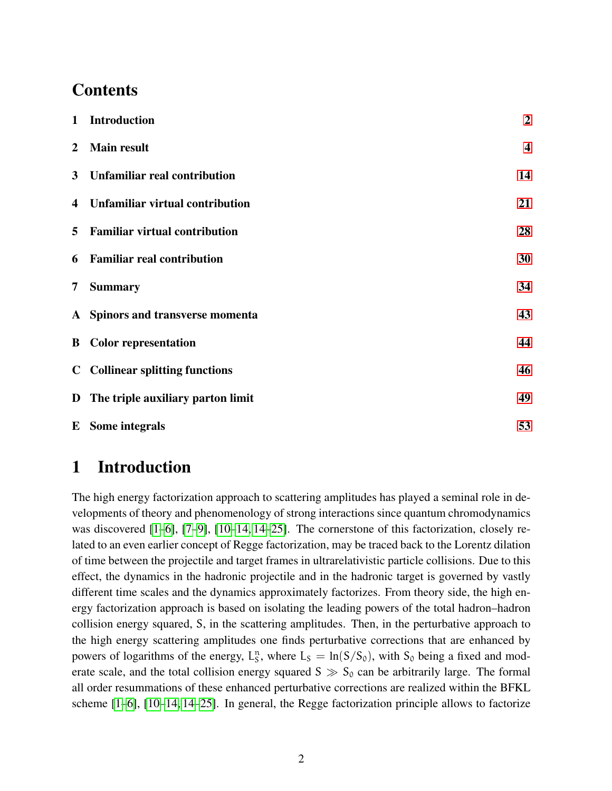# **Contents**

| $\mathbf{1}$   | <b>Introduction</b>                    | $\boldsymbol{2}$        |
|----------------|----------------------------------------|-------------------------|
| $\overline{2}$ | <b>Main result</b>                     | $\overline{\mathbf{4}}$ |
| 3              | Unfamiliar real contribution           | 14                      |
| 4              | <b>Unfamiliar virtual contribution</b> | 21                      |
| 5              | <b>Familiar virtual contribution</b>   | 28                      |
| 6              | <b>Familiar real contribution</b>      | 30                      |
| 7              | <b>Summary</b>                         | 34                      |
|                | A Spinors and transverse momenta       | 43                      |
|                | <b>B</b> Color representation          | 44                      |
|                | <b>C</b> Collinear splitting functions | 46                      |
|                | D The triple auxiliary parton limit    | 49                      |
|                | <b>E</b> Some integrals                | 53                      |

# <span id="page-1-0"></span>1 Introduction

The high energy factorization approach to scattering amplitudes has played a seminal role in developments of theory and phenomenology of strong interactions since quantum chromodynamics was discovered [\[1](#page-35-0)[–6\]](#page-35-1), [\[7–](#page-35-2)[9\]](#page-35-3), [\[10–](#page-36-0)[14, 14](#page-36-1)[–25\]](#page-37-0). The cornerstone of this factorization, closely related to an even earlier concept of Regge factorization, may be traced back to the Lorentz dilation of time between the projectile and target frames in ultrarelativistic particle collisions. Due to this effect, the dynamics in the hadronic projectile and in the hadronic target is governed by vastly different time scales and the dynamics approximately factorizes. From theory side, the high energy factorization approach is based on isolating the leading powers of the total hadron–hadron collision energy squared, S, in the scattering amplitudes. Then, in the perturbative approach to the high energy scattering amplitudes one finds perturbative corrections that are enhanced by powers of logarithms of the energy,  $L_S^n$ , where  $L_S = \ln(S/S_0)$ , with  $S_0$  being a fixed and moderate scale, and the total collision energy squared  $S \gg S_0$  can be arbitrarily large. The formal all order resummations of these enhanced perturbative corrections are realized within the BFKL scheme [\[1](#page-35-0)[–6\]](#page-35-1), [\[10–](#page-36-0)[14, 14–](#page-36-1)[25\]](#page-37-0). In general, the Regge factorization principle allows to factorize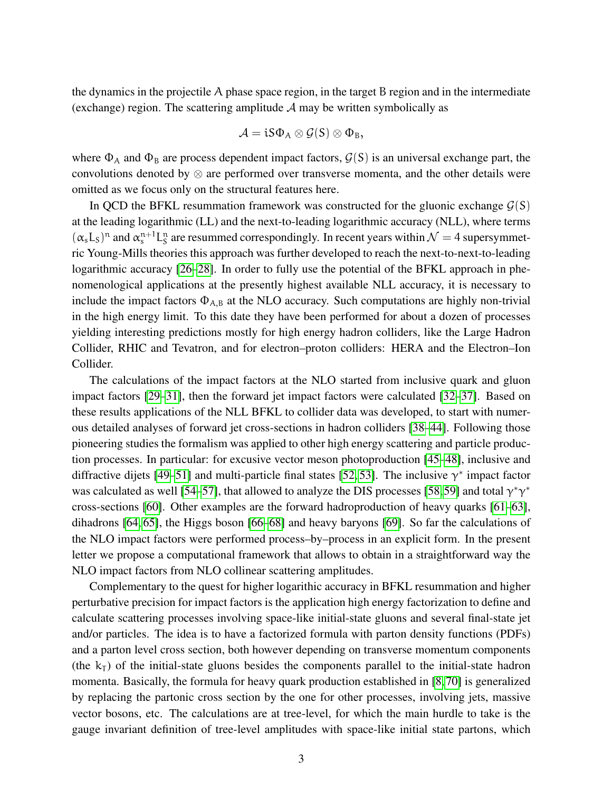the dynamics in the projectile A phase space region, in the target B region and in the intermediate (exchange) region. The scattering amplitude  $A$  may be written symbolically as

$$
\mathcal{A} = \mathfrak{i} S \Phi_A \otimes \mathcal{G}(S) \otimes \Phi_B,
$$

where  $\Phi_A$  and  $\Phi_B$  are process dependent impact factors,  $\mathcal{G}(S)$  is an universal exchange part, the convolutions denoted by ⊗ are performed over transverse momenta, and the other details were omitted as we focus only on the structural features here.

In QCD the BFKL resummation framework was constructed for the gluonic exchange  $G(S)$ at the leading logarithmic (LL) and the next-to-leading logarithmic accuracy (NLL), where terms  $(\alpha_s L_s)^n$  and  $\alpha_s^{n+1} L_s^n$  are resummed correspondingly. In recent years within  $\mathcal{N} = 4$  supersymmetric Young-Mills theories this approach was further developed to reach the next-to-next-to-leading logarithmic accuracy [\[26](#page-37-1)[–28\]](#page-37-2). In order to fully use the potential of the BFKL approach in phenomenological applications at the presently highest available NLL accuracy, it is necessary to include the impact factors  $\Phi_{A,B}$  at the NLO accuracy. Such computations are highly non-trivial in the high energy limit. To this date they have been performed for about a dozen of processes yielding interesting predictions mostly for high energy hadron colliders, like the Large Hadron Collider, RHIC and Tevatron, and for electron–proton colliders: HERA and the Electron–Ion Collider.

The calculations of the impact factors at the NLO started from inclusive quark and gluon impact factors [\[29](#page-37-3)[–31\]](#page-37-4), then the forward jet impact factors were calculated [\[32–](#page-37-5)[37\]](#page-37-6). Based on these results applications of the NLL BFKL to collider data was developed, to start with numerous detailed analyses of forward jet cross-sections in hadron colliders [\[38–](#page-37-7)[44\]](#page-38-0). Following those pioneering studies the formalism was applied to other high energy scattering and particle production processes. In particular: for excusive vector meson photoproduction [\[45–](#page-38-1)[48\]](#page-38-2), inclusive and diffractive dijets [\[49–](#page-38-3)[51\]](#page-38-4) and multi-particle final states [\[52,](#page-38-5) [53\]](#page-39-0). The inclusive  $\gamma^*$  impact factor was calculated as well [\[54](#page-39-1)[–57\]](#page-39-2), that allowed to analyze the DIS processes [\[58,](#page-39-3)[59\]](#page-39-4) and total  $\gamma^* \gamma^*$ cross-sections [\[60\]](#page-39-5). Other examples are the forward hadroproduction of heavy quarks [\[61](#page-39-6)[–63\]](#page-39-7), dihadrons [\[64,](#page-39-8) [65\]](#page-39-9), the Higgs boson [\[66](#page-39-10)[–68\]](#page-40-0) and heavy baryons [\[69\]](#page-40-1). So far the calculations of the NLO impact factors were performed process–by–process in an explicit form. In the present letter we propose a computational framework that allows to obtain in a straightforward way the NLO impact factors from NLO collinear scattering amplitudes.

Complementary to the quest for higher logarithic accuracy in BFKL resummation and higher perturbative precision for impact factors is the application high energy factorization to define and calculate scattering processes involving space-like initial-state gluons and several final-state jet and/or particles. The idea is to have a factorized formula with parton density functions (PDFs) and a parton level cross section, both however depending on transverse momentum components (the  $k_T$ ) of the initial-state gluons besides the components parallel to the initial-state hadron momenta. Basically, the formula for heavy quark production established in [\[8,](#page-35-4) [70\]](#page-40-2) is generalized by replacing the partonic cross section by the one for other processes, involving jets, massive vector bosons, etc. The calculations are at tree-level, for which the main hurdle to take is the gauge invariant definition of tree-level amplitudes with space-like initial state partons, which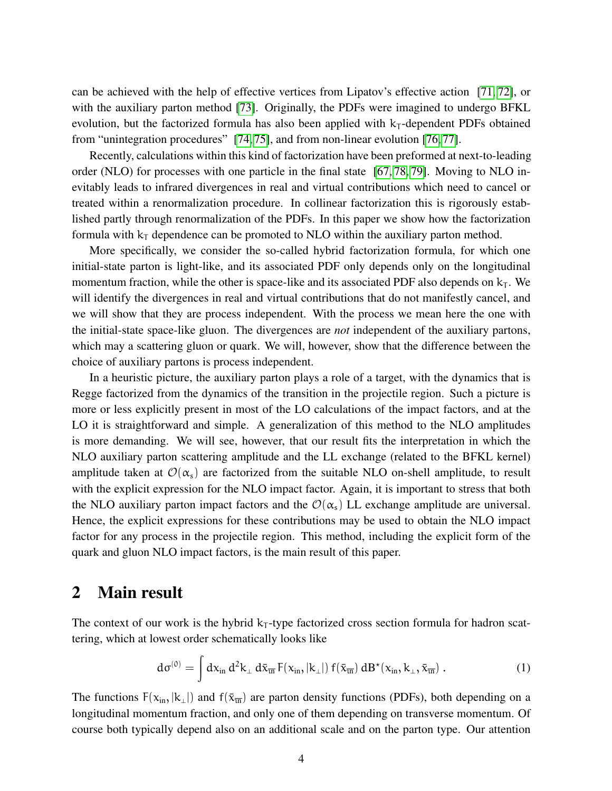can be achieved with the help of effective vertices from Lipatov's effective action [\[71,](#page-40-3) [72\]](#page-40-4), or with the auxiliary parton method [\[73\]](#page-40-5). Originally, the PDFs were imagined to undergo BFKL evolution, but the factorized formula has also been applied with  $k_T$ -dependent PDFs obtained from "unintegration procedures" [\[74,](#page-40-6) [75\]](#page-40-7), and from non-linear evolution [\[76,](#page-40-8) [77\]](#page-40-9).

Recently, calculations within this kind of factorization have been preformed at next-to-leading order (NLO) for processes with one particle in the final state [\[67,](#page-40-10) [78,](#page-40-11) [79\]](#page-40-12). Moving to NLO inevitably leads to infrared divergences in real and virtual contributions which need to cancel or treated within a renormalization procedure. In collinear factorization this is rigorously established partly through renormalization of the PDFs. In this paper we show how the factorization formula with  $k<sub>T</sub>$  dependence can be promoted to NLO within the auxiliary parton method.

More specifically, we consider the so-called hybrid factorization formula, for which one initial-state parton is light-like, and its associated PDF only depends only on the longitudinal momentum fraction, while the other is space-like and its associated PDF also depends on  $k<sub>T</sub>$ . We will identify the divergences in real and virtual contributions that do not manifestly cancel, and we will show that they are process independent. With the process we mean here the one with the initial-state space-like gluon. The divergences are *not* independent of the auxiliary partons, which may a scattering gluon or quark. We will, however, show that the difference between the choice of auxiliary partons is process independent.

In a heuristic picture, the auxiliary parton plays a role of a target, with the dynamics that is Regge factorized from the dynamics of the transition in the projectile region. Such a picture is more or less explicitly present in most of the LO calculations of the impact factors, and at the LO it is straightforward and simple. A generalization of this method to the NLO amplitudes is more demanding. We will see, however, that our result fits the interpretation in which the NLO auxiliary parton scattering amplitude and the LL exchange (related to the BFKL kernel) amplitude taken at  $\mathcal{O}(\alpha_s)$  are factorized from the suitable NLO on-shell amplitude, to result with the explicit expression for the NLO impact factor. Again, it is important to stress that both the NLO auxiliary parton impact factors and the  $\mathcal{O}(\alpha_s)$  LL exchange amplitude are universal. Hence, the explicit expressions for these contributions may be used to obtain the NLO impact factor for any process in the projectile region. This method, including the explicit form of the quark and gluon NLO impact factors, is the main result of this paper.

### <span id="page-3-0"></span>2 Main result

The context of our work is the hybrid  $k<sub>T</sub>$ -type factorized cross section formula for hadron scattering, which at lowest order schematically looks like

$$
d\sigma^{(0)} = \int dx_{in} d^2k_{\perp} d\bar{x}_{\overline{u}} F(x_{in},|k_{\perp}|) f(\bar{x}_{\overline{u}}) dB^{\star}(x_{in},k_{\perp},\bar{x}_{\overline{u}}).
$$
 (1)

The functions  $F(x_{in}, |k_1|)$  and  $f(\bar{x}_{\overline{in}})$  are parton density functions (PDFs), both depending on a longitudinal momentum fraction, and only one of them depending on transverse momentum. Of course both typically depend also on an additional scale and on the parton type. Our attention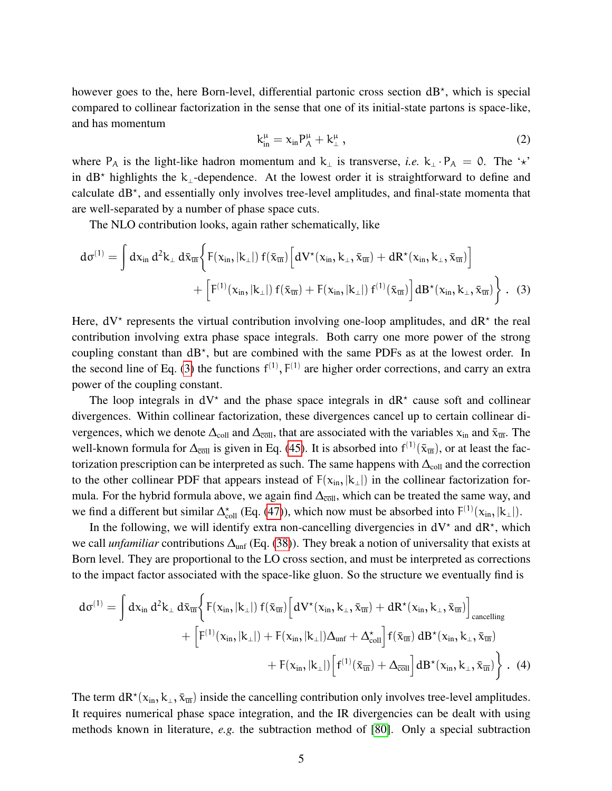however goes to the, here Born-level, differential partonic cross section dB<sup>\*</sup>, which is special compared to collinear factorization in the sense that one of its initial-state partons is space-like, and has momentum

<span id="page-4-0"></span>
$$
k_{\rm in}^{\mu} = x_{\rm in} P_{\rm A}^{\mu} + k_{\perp}^{\mu} \,, \tag{2}
$$

where P<sub>A</sub> is the light-like hadron momentum and k<sub>⊥</sub> is transverse, *i.e.* k<sub>⊥</sub> · P<sub>A</sub> = 0. The '\*' in  $dB^*$  highlights the k<sub>⊥</sub>-dependence. At the lowest order it is straightforward to define and calculate dB<sup>\*</sup>, and essentially only involves tree-level amplitudes, and final-state momenta that are well-separated by a number of phase space cuts.

The NLO contribution looks, again rather schematically, like

$$
d\sigma^{(1)} = \int dx_{in} d^{2}k_{\perp} d\bar{x}_{\overline{in}} \bigg\{ F(x_{in},|k_{\perp}|) f(\bar{x}_{\overline{in}}) \Big[ dV^{\star}(x_{in},k_{\perp},\bar{x}_{\overline{in}}) + dR^{\star}(x_{in},k_{\perp},\bar{x}_{\overline{in}}) \Big] \\ + \Big[ F^{(1)}(x_{in},|k_{\perp}|) f(\bar{x}_{\overline{in}}) + F(x_{in},|k_{\perp}|) f^{(1)}(\bar{x}_{\overline{in}}) \Big] dB^{\star}(x_{in},k_{\perp},\bar{x}_{\overline{in}}) \bigg\} \ . \tag{3}
$$

Here,  $dV^*$  represents the virtual contribution involving one-loop amplitudes, and  $dR^*$  the real contribution involving extra phase space integrals. Both carry one more power of the strong coupling constant than dB<sup>\*</sup>, but are combined with the same PDFs as at the lowest order. In the second line of Eq. [\(3\)](#page-4-0) the functions  $f^{(1)}$ ,  $F^{(1)}$  are higher order corrections, and carry an extra power of the coupling constant.

The loop integrals in  $dV^*$  and the phase space integrals in  $dR^*$  cause soft and collinear divergences. Within collinear factorization, these divergences cancel up to certain collinear divergences, which we denote  $\Delta_{\text{coll}}$  and  $\Delta_{\overline{\text{coll}}}$ , that are associated with the variables  $x_{\text{in}}$  and  $\bar{x}_{\overline{\text{in}}}$ . The well-known formula for  $\Delta_{\overline{coll}}$  is given in Eq. [\(45\)](#page-11-0). It is absorbed into  $f^{(1)}(\bar{x}_{\overline{un}})$ , or at least the factorization prescription can be interpreted as such. The same happens with  $\Delta_{\text{coll}}$  and the correction to the other collinear PDF that appears instead of  $F(x_{in}, |k_1|)$  in the collinear factorization formula. For the hybrid formula above, we again find  $\Delta_{\overline{coll}}$ , which can be treated the same way, and we find a different but similar  $\Delta_{\text{coll}}^{\star}$  (Eq. [\(47\)](#page-12-0)), which now must be absorbed into  $F^{(1)}(x_{in}, |k_{\perp}|)$ .

In the following, we will identify extra non-cancelling divergencies in  $dV^*$  and  $dR^*$ , which we call *unfamiliar* contributions  $\Delta_{unf}$  (Eq. [\(38\)](#page-10-0)). They break a notion of universality that exists at Born level. They are proportional to the LO cross section, and must be interpreted as corrections to the impact factor associated with the space-like gluon. So the structure we eventually find is

$$
d\sigma^{(1)} = \int dx_{in} d^{2}k_{\perp} d\bar{x}_{\overline{in}} \bigg\{ F(x_{in},|k_{\perp}|) f(\bar{x}_{\overline{in}}) \Big[ dV^{\star}(x_{in},k_{\perp},\bar{x}_{\overline{in}}) + dR^{\star}(x_{in},k_{\perp},\bar{x}_{\overline{in}}) \Big]_{\text{cancelling}} \\ + \Big[ F^{(1)}(x_{in},|k_{\perp}|) + F(x_{in},|k_{\perp}|) \Delta_{unf} + \Delta_{\text{coll}}^{\star} \Big] f(\bar{x}_{\overline{in}}) dB^{\star}(x_{in},k_{\perp},\bar{x}_{\overline{in}}) \\ + F(x_{in},|k_{\perp}|) \Big[ f^{(1)}(\bar{x}_{\overline{in}}) + \Delta_{\text{coll}} \Big] dB^{\star}(x_{in},k_{\perp},\bar{x}_{\overline{in}}) \Bigg\} \ . \tag{4}
$$

The term  $dR^*(x_{in}, k_\perp, \bar{x}_{\overline{un}})$  inside the cancelling contribution only involves tree-level amplitudes. It requires numerical phase space integration, and the IR divergencies can be dealt with using methods known in literature, *e.g.* the subtraction method of [\[80\]](#page-40-13). Only a special subtraction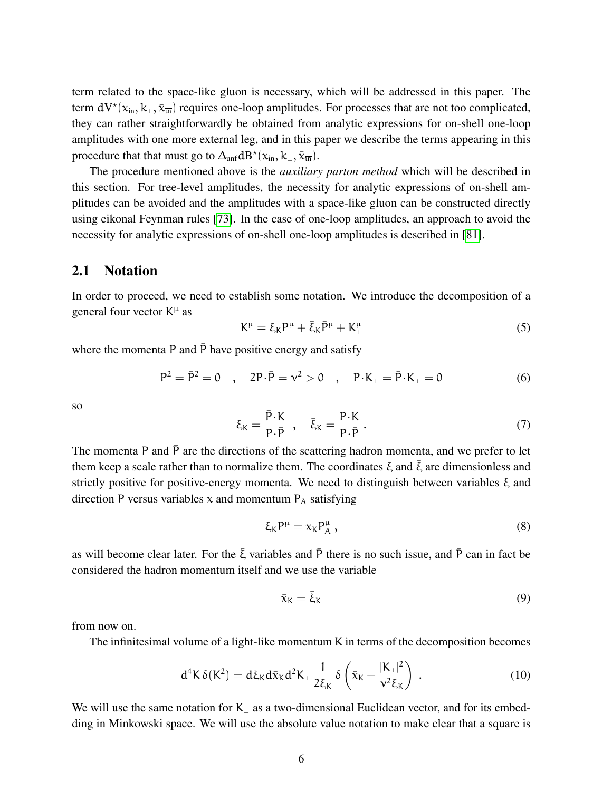term related to the space-like gluon is necessary, which will be addressed in this paper. The term  $dV^*(x_{in}, k_\perp, \bar{x}_{\overline{in}})$  requires one-loop amplitudes. For processes that are not too complicated, they can rather straightforwardly be obtained from analytic expressions for on-shell one-loop amplitudes with one more external leg, and in this paper we describe the terms appearing in this procedure that that must go to  $\Delta_{unf} dB^*(x_{in}, k_\perp, \bar{x}_{\bar{u}\bar{u}})$ .

The procedure mentioned above is the *auxiliary parton method* which will be described in this section. For tree-level amplitudes, the necessity for analytic expressions of on-shell amplitudes can be avoided and the amplitudes with a space-like gluon can be constructed directly using eikonal Feynman rules [\[73\]](#page-40-5). In the case of one-loop amplitudes, an approach to avoid the necessity for analytic expressions of on-shell one-loop amplitudes is described in [\[81\]](#page-41-0).

#### 2.1 Notation

In order to proceed, we need to establish some notation. We introduce the decomposition of a general four vector  $K^{\mu}$  as

$$
K^{\mu} = \xi_K P^{\mu} + \bar{\xi}_K \bar{P}^{\mu} + K^{\mu}_{\perp} \tag{5}
$$

where the momenta P and  $\bar{P}$  have positive energy and satisfy

$$
P^{2} = \bar{P}^{2} = 0 \quad , \quad 2P \cdot \bar{P} = v^{2} > 0 \quad , \quad P \cdot K_{\perp} = \bar{P} \cdot K_{\perp} = 0 \tag{6}
$$

so

$$
\xi_K = \frac{\bar{P} \cdot K}{P \cdot \bar{P}}, \quad \bar{\xi}_K = \frac{P \cdot K}{P \cdot \bar{P}}.
$$
\n(7)

The momenta P and  $\bar{P}$  are the directions of the scattering hadron momenta, and we prefer to let them keep a scale rather than to normalize them. The coordinates  $\xi$  and  $\overline{\xi}$  are dimensionless and strictly positive for positive-energy momenta. We need to distinguish between variables ξ and direction P versus variables x and momentum  $P_A$  satisfying

$$
\xi_K P^{\mu} = \chi_K P_A^{\mu} \,, \tag{8}
$$

as will become clear later. For the  $\bar{\xi}$  variables and  $\bar{P}$  there is no such issue, and  $\bar{P}$  can in fact be considered the hadron momentum itself and we use the variable

$$
\bar{\mathbf{x}}_{\mathsf{K}} = \bar{\xi}_{\mathsf{K}} \tag{9}
$$

from now on.

The infinitesimal volume of a light-like momentum K in terms of the decomposition becomes

$$
d^{4}K \delta(K^{2}) = d\xi_{K}d\bar{x}_{K}d^{2}K_{\perp} \frac{1}{2\xi_{K}} \delta\left(\bar{x}_{K} - \frac{|K_{\perp}|^{2}}{\nu^{2}\xi_{K}}\right). \qquad (10)
$$

We will use the same notation for  $K_{\perp}$  as a two-dimensional Euclidean vector, and for its embedding in Minkowski space. We will use the absolute value notation to make clear that a square is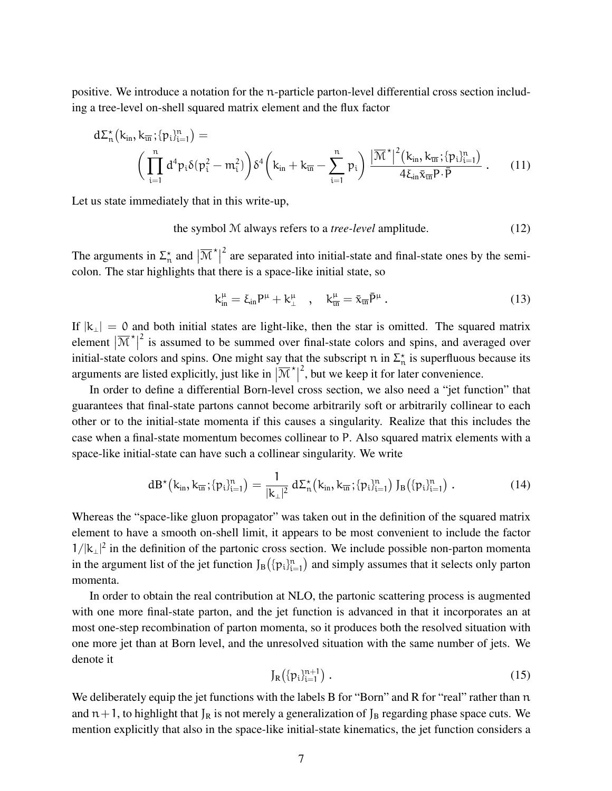positive. We introduce a notation for the n-particle parton-level differential cross section including a tree-level on-shell squared matrix element and the flux factor

$$
d\Sigma_n^{\star}(k_{in}, k_{\overline{m}}; \{p_i\}_{i=1}^n) = \left(\prod_{i=1}^n d^4 p_i \delta(p_i^2 - m_i^2)\right) \delta^4\left(k_{in} + k_{\overline{m}} - \sum_{i=1}^n p_i\right) \frac{|\overline{\mathcal{M}}^{\star}|^2 (k_{in}, k_{\overline{m}}; \{p_i\}_{i=1}^n)}{4\xi_{in} \bar{x}_{\overline{m}} P \cdot \bar{P}}.
$$
 (11)

Let us state immediately that in this write-up,

the symbol M always refers to a *tree-level* amplitude. (12)

The arguments in  $\Sigma_n^*$  and  $\left| \overline{\mathcal{M}}^* \right|$  $2^{2}$  are separated into initial-state and final-state ones by the semicolon. The star highlights that there is a space-like initial state, so

<span id="page-6-0"></span>
$$
k_{\rm in}^{\mu} = \xi_{\rm in} P^{\mu} + k_{\perp}^{\mu} \quad , \quad k_{\overline{\rm in}}^{\mu} = \bar{x}_{\overline{\rm in}} \bar{P}^{\mu} \,. \tag{13}
$$

If  $|k_{\perp}| = 0$  and both initial states are light-like, then the star is omitted. The squared matrix element  $|\overline{\mathcal{M}}^{\star}|$  $2$  is assumed to be summed over final-state colors and spins, and averaged over initial-state colors and spins. One might say that the subscript  $n$  in  $\Sigma_n^*$  is superfluous because its arguments are listed explicitly, just like in  $|\overline{\mathcal{M}}^{\star}|$  $2<sup>2</sup>$ , but we keep it for later convenience.

In order to define a differential Born-level cross section, we also need a "jet function" that guarantees that final-state partons cannot become arbitrarily soft or arbitrarily collinear to each other or to the initial-state momenta if this causes a singularity. Realize that this includes the case when a final-state momentum becomes collinear to P. Also squared matrix elements with a space-like initial-state can have such a collinear singularity. We write

<span id="page-6-1"></span>
$$
dB^{\star}(k_{in}, k_{\overline{m}}; \{p_i\}_{i=1}^n) = \frac{1}{|k_{\perp}|^2} d\Sigma_n^{\star}(k_{in}, k_{\overline{m}}; \{p_i\}_{i=1}^n) J_B(\{p_i\}_{i=1}^n).
$$
 (14)

Whereas the "space-like gluon propagator" was taken out in the definition of the squared matrix element to have a smooth on-shell limit, it appears to be most convenient to include the factor  $1/|k_{\perp}|^2$  in the definition of the partonic cross section. We include possible non-parton momenta in the argument list of the jet function  $J_B(\{p_i\}_{i=1}^n)$  and simply assumes that it selects only parton momenta.

In order to obtain the real contribution at NLO, the partonic scattering process is augmented with one more final-state parton, and the jet function is advanced in that it incorporates an at most one-step recombination of parton momenta, so it produces both the resolved situation with one more jet than at Born level, and the unresolved situation with the same number of jets. We denote it

$$
J_R(\{p_i\}_{i=1}^{n+1})\ .
$$

We deliberately equip the jet functions with the labels B for "Born" and R for "real" rather than n and  $n+1$ , to highlight that  $J_R$  is not merely a generalization of  $J_B$  regarding phase space cuts. We mention explicitly that also in the space-like initial-state kinematics, the jet function considers a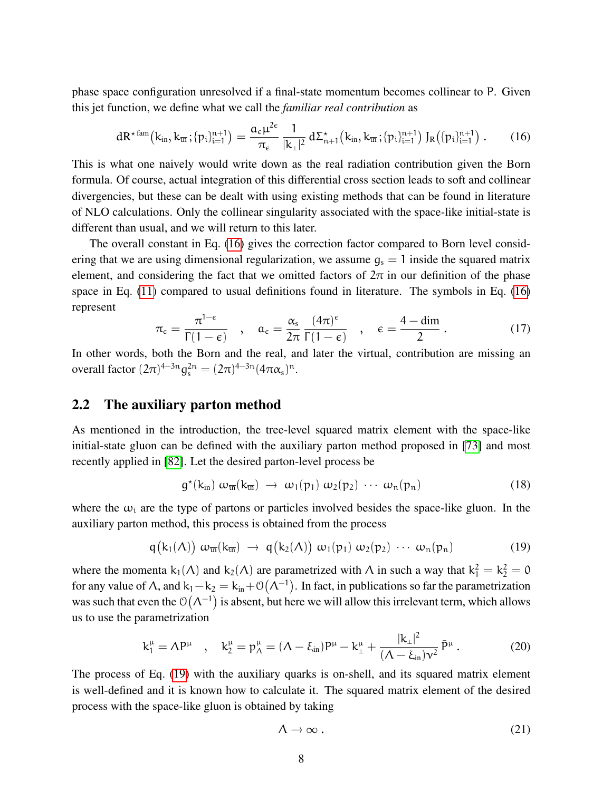phase space configuration unresolved if a final-state momentum becomes collinear to P. Given this jet function, we define what we call the *familiar real contribution* as

<span id="page-7-0"></span>
$$
dR^{\star \, \text{fam}}(k_{\text{in}}, k_{\overline{\text{in}}}; \{p_i\}_{i=1}^{n+1}) = \frac{a_{\varepsilon}\mu^{2\varepsilon}}{\pi_{\varepsilon}} \frac{1}{|k_{\perp}|^2} \, d\Sigma_{n+1}^{\star}\big(k_{\text{in}}, k_{\overline{\text{in}}}; \{p_i\}_{i=1}^{n+1}\big) \, J_R\big(\{p_i\}_{i=1}^{n+1}\big) \, . \tag{16}
$$

This is what one naively would write down as the real radiation contribution given the Born formula. Of course, actual integration of this differential cross section leads to soft and collinear divergencies, but these can be dealt with using existing methods that can be found in literature of NLO calculations. Only the collinear singularity associated with the space-like initial-state is different than usual, and we will return to this later.

The overall constant in Eq. [\(16\)](#page-7-0) gives the correction factor compared to Born level considering that we are using dimensional regularization, we assume  $g_s = 1$  inside the squared matrix element, and considering the fact that we omitted factors of  $2\pi$  in our definition of the phase space in Eq. [\(11\)](#page-6-0) compared to usual definitions found in literature. The symbols in Eq. [\(16\)](#page-7-0) represent

$$
\pi_{\epsilon} = \frac{\pi^{1-\epsilon}}{\Gamma(1-\epsilon)} \quad , \quad \alpha_{\epsilon} = \frac{\alpha_{s}}{2\pi} \frac{(4\pi)^{\epsilon}}{\Gamma(1-\epsilon)} \quad , \quad \epsilon = \frac{4-\dim}{2} \, . \tag{17}
$$

In other words, both the Born and the real, and later the virtual, contribution are missing an overall factor  $(2\pi)^{4-3n} g_s^{2n} = (2\pi)^{4-3n} (4\pi \alpha_s)^n$ .

#### 2.2 The auxiliary parton method

As mentioned in the introduction, the tree-level squared matrix element with the space-like initial-state gluon can be defined with the auxiliary parton method proposed in [\[73\]](#page-40-5) and most recently applied in [\[82\]](#page-41-1). Let the desired parton-level process be

$$
g^{\star}(k_{in}) \omega_{\overline{m}}(k_{\overline{m}}) \rightarrow \omega_1(p_1) \omega_2(p_2) \cdots \omega_n(p_n)
$$
 (18)

where the  $\omega_i$  are the type of partons or particles involved besides the space-like gluon. In the auxiliary parton method, this process is obtained from the process

<span id="page-7-1"></span>
$$
q(k_1(\Lambda)) \omega_{\overline{\mathfrak{m}}}(k_{\overline{\mathfrak{m}}}) \rightarrow q(k_2(\Lambda)) \omega_1(\mathfrak{p}_1) \omega_2(\mathfrak{p}_2) \cdots \omega_n(\mathfrak{p}_n)
$$
 (19)

where the momenta  $k_1(\Lambda)$  and  $k_2(\Lambda)$  are parametrized with  $\Lambda$  in such a way that  $k_1^2 = k_2^2 = 0$ for any value of  $\Lambda$ , and  $k_1 - k_2 = k_{in} + \mathcal{O}(\Lambda^{-1})$ . In fact, in publications so far the parametrization was such that even the  $O(\Lambda^{-1})$  is absent, but here we will allow this irrelevant term, which allows us to use the parametrization

<span id="page-7-2"></span>
$$
k_1^{\mu} = \Lambda P^{\mu} \quad , \quad k_2^{\mu} = p_{\Lambda}^{\mu} = (\Lambda - \xi_{in}) P^{\mu} - k_{\perp}^{\mu} + \frac{|k_{\perp}|^2}{(\Lambda - \xi_{in}) \nu^2} \bar{P}^{\mu} \,. \tag{20}
$$

The process of Eq. [\(19\)](#page-7-1) with the auxiliary quarks is on-shell, and its squared matrix element is well-defined and it is known how to calculate it. The squared matrix element of the desired process with the space-like gluon is obtained by taking

$$
\Lambda \to \infty \, . \tag{21}
$$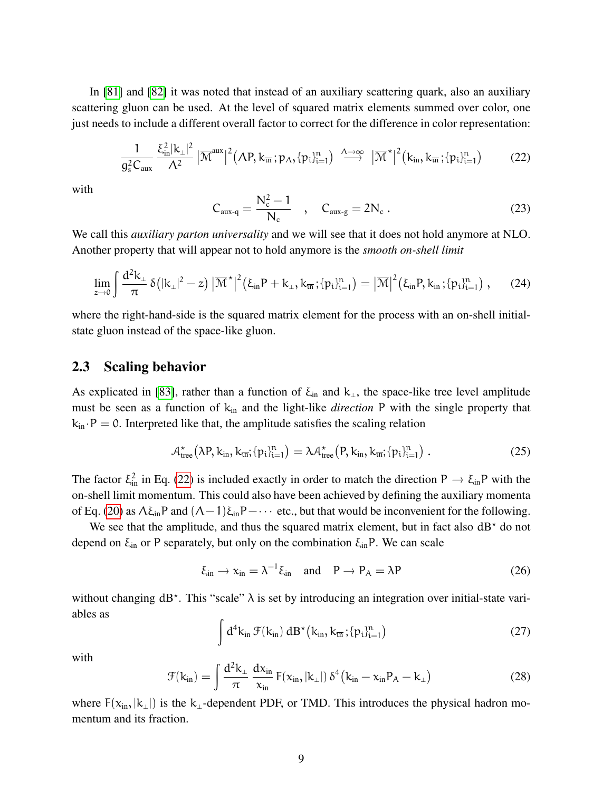In [\[81\]](#page-41-0) and [\[82\]](#page-41-1) it was noted that instead of an auxiliary scattering quark, also an auxiliary scattering gluon can be used. At the level of squared matrix elements summed over color, one just needs to include a different overall factor to correct for the difference in color representation:

<span id="page-8-0"></span>
$$
\frac{1}{g_s^2 C_{aux}} \frac{\xi_{in}^2 |k_{\perp}|^2}{\Lambda^2} |\overline{\mathcal{M}}^{aux}|^2 (\Lambda P, k_{\overline{un}}; p_\Lambda, \{p_i\}_{i=1}^n) \stackrel{\Lambda \to \infty}{\longrightarrow} |\overline{\mathcal{M}}^{\star}|^2 (k_{in}, k_{\overline{un}}; \{p_i\}_{i=1}^n) \qquad (22)
$$

with

$$
C_{aux-q} = \frac{N_c^2 - 1}{N_c} \quad , \quad C_{aux-g} = 2N_c \ . \tag{23}
$$

We call this *auxiliary parton universality* and we will see that it does not hold anymore at NLO. Another property that will appear not to hold anymore is the *smooth on-shell limit*

$$
\lim_{z \to 0} \int \frac{d^2 k_{\perp}}{\pi} \, \delta\big( |k_{\perp}|^2 - z \big) \, \big| \overline{\mathcal{M}}^{\star} \big|^2 \big( \xi_{in} P + k_{\perp}, k_{\overline{in}}; \{ p_i \}_{i=1}^n \big) = \big| \overline{\mathcal{M}} \big|^2 \big( \xi_{in} P, k_{in}; \{ p_i \}_{i=1}^n \big) \;, \tag{24}
$$

where the right-hand-side is the squared matrix element for the process with an on-shell initialstate gluon instead of the space-like gluon.

#### <span id="page-8-2"></span>2.3 Scaling behavior

As explicated in [\[83\]](#page-41-2), rather than a function of  $\xi_{in}$  and  $k_{\perp}$ , the space-like tree level amplitude must be seen as a function of  $k_{in}$  and the light-like *direction* P with the single property that  $k_{in} \cdot P = 0$ . Interpreted like that, the amplitude satisfies the scaling relation

$$
\mathcal{A}_{\text{tree}}^{\star}\big(\lambda P, k_{\text{in}}, k_{\overline{\text{in}}}; \{p_i\}_{i=1}^n\big) = \lambda \mathcal{A}_{\text{tree}}^{\star}\big(P, k_{\text{in}}, k_{\overline{\text{in}}}; \{p_i\}_{i=1}^n\big) . \tag{25}
$$

The factor  $\xi_{\text{in}}^2$  in Eq. [\(22\)](#page-8-0) is included exactly in order to match the direction P  $\rightarrow \xi_{\text{in}}P$  with the on-shell limit momentum. This could also have been achieved by defining the auxiliary momenta of Eq. [\(20\)](#page-7-2) as  $\Lambda \xi_{in}P$  and  $(\Lambda - 1)\xi_{in}P$  – · · · etc., but that would be inconvenient for the following.

We see that the amplitude, and thus the squared matrix element, but in fact also  $dB^*$  do not depend on  $\xi_{\text{in}}$  or P separately, but only on the combination  $\xi_{\text{in}}P$ . We can scale

<span id="page-8-1"></span>
$$
\xi_{\rm in} \to x_{\rm in} = \lambda^{-1} \xi_{\rm in} \quad \text{and} \quad P \to P_A = \lambda P \tag{26}
$$

without changing  $dB^*$ . This "scale"  $\lambda$  is set by introducing an integration over initial-state variables as  $\sqrt{2}$ 

$$
\int d^4k_{\rm in}\,\mathcal{F}(k_{\rm in})\;dB^{\star}\left(k_{\rm in},k_{\overline{\rm in}};\{p_i\}_{i=1}^n\right) \tag{27}
$$

with

$$
\mathcal{F}(k_{in}) = \int \frac{d^2 k_{\perp}}{\pi} \frac{dx_{in}}{x_{in}} F(x_{in}, |k_{\perp}|) \delta^4 (k_{in} - x_{in} P_A - k_{\perp})
$$
 (28)

where  $F(x_{in}, |k_\perp|)$  is the k<sub>⊥</sub>-dependent PDF, or TMD. This introduces the physical hadron momentum and its fraction.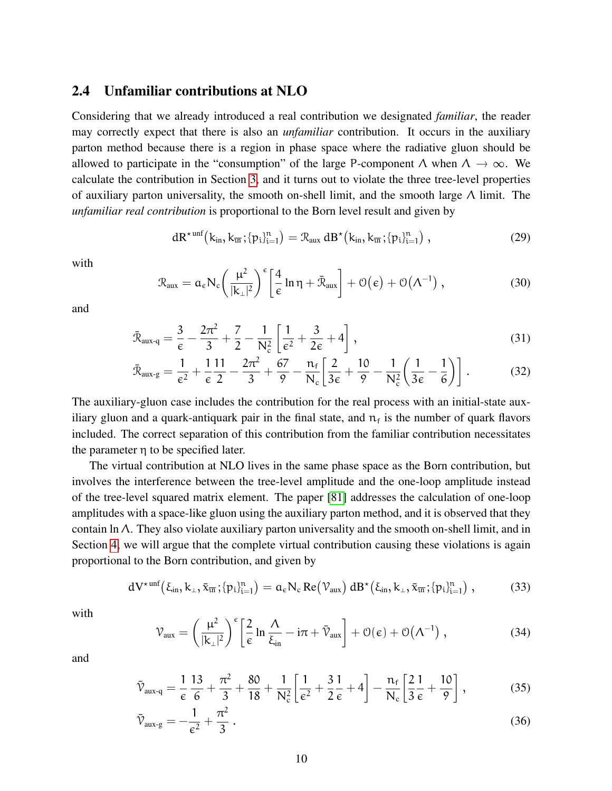#### 2.4 Unfamiliar contributions at NLO

Considering that we already introduced a real contribution we designated *familiar*, the reader may correctly expect that there is also an *unfamiliar* contribution. It occurs in the auxiliary parton method because there is a region in phase space where the radiative gluon should be allowed to participate in the "consumption" of the large P-component  $\Lambda$  when  $\Lambda \to \infty$ . We calculate the contribution in Section [3,](#page-13-0) and it turns out to violate the three tree-level properties of auxiliary parton universality, the smooth on-shell limit, and the smooth large  $\Lambda$  limit. The *unfamiliar real contribution* is proportional to the Born level result and given by

<span id="page-9-1"></span><span id="page-9-0"></span>
$$
dR^{\star\text{unf}}(k_{\text{in}},k_{\overline{\text{in}}};\{p_i\}_{i=1}^n) = \mathcal{R}_{\text{aux}}\, dB^{\star}(k_{\text{in}},k_{\overline{\text{in}}};\{p_i\}_{i=1}^n)\,,\tag{29}
$$

with

$$
\mathcal{R}_{aux} = \alpha_{\varepsilon} N_{c} \left( \frac{\mu^{2}}{|\mathbf{k}_{\perp}|^{2}} \right)^{\varepsilon} \left[ \frac{4}{\varepsilon} \ln \eta + \bar{\mathcal{R}}_{aux} \right] + \mathcal{O}(\varepsilon) + \mathcal{O}(\Lambda^{-1}) \;, \tag{30}
$$

and

$$
\bar{\mathcal{R}}_{\text{aux-q}} = \frac{3}{\epsilon} - \frac{2\pi^2}{3} + \frac{7}{2} - \frac{1}{N_c^2} \left[ \frac{1}{\epsilon^2} + \frac{3}{2\epsilon} + 4 \right],\tag{31}
$$

$$
\bar{\mathcal{R}}_{aux\text{-}g} = \frac{1}{\varepsilon^2} + \frac{1}{\varepsilon} \frac{11}{2} - \frac{2\pi^2}{3} + \frac{67}{9} - \frac{n_f}{N_c} \left[ \frac{2}{3\varepsilon} + \frac{10}{9} - \frac{1}{N_c^2} \left( \frac{1}{3\varepsilon} - \frac{1}{6} \right) \right].
$$
 (32)

The auxiliary-gluon case includes the contribution for the real process with an initial-state auxiliary gluon and a quark-antiquark pair in the final state, and  $n_f$  is the number of quark flavors included. The correct separation of this contribution from the familiar contribution necessitates the parameter η to be specified later.

The virtual contribution at NLO lives in the same phase space as the Born contribution, but involves the interference between the tree-level amplitude and the one-loop amplitude instead of the tree-level squared matrix element. The paper [\[81\]](#page-41-0) addresses the calculation of one-loop amplitudes with a space-like gluon using the auxiliary parton method, and it is observed that they contain ln Λ. They also violate auxiliary parton universality and the smooth on-shell limit, and in Section [4,](#page-20-0) we will argue that the complete virtual contribution causing these violations is again proportional to the Born contribution, and given by

$$
dV^{\star\text{unf}}(\xi_{\text{in}},k_{\perp},\bar{x}_{\overline{\text{in}}};\{p_i\}_{i=1}^n) = a_{\varepsilon}N_{\text{c}}\operatorname{Re}(\mathcal{V}_{\text{aux}})\,dB^{\star}(\xi_{\text{in}},k_{\perp},\bar{x}_{\overline{\text{in}}};\{p_i\}_{i=1}^n),\qquad(33)
$$

with

<span id="page-9-4"></span><span id="page-9-3"></span><span id="page-9-2"></span>
$$
\mathcal{V}_{\text{aux}} = \left(\frac{\mu^2}{|k_{\perp}|^2}\right)^{\epsilon} \left[\frac{2}{\epsilon} \ln \frac{\Lambda}{\xi_{\text{in}}} - i\pi + \bar{\mathcal{V}}_{\text{aux}}\right] + \mathcal{O}(\epsilon) + \mathcal{O}(\Lambda^{-1}) \;, \tag{34}
$$

and

$$
\bar{\mathcal{V}}_{\text{aux-q}} = \frac{1}{\epsilon} \frac{13}{6} + \frac{\pi^2}{3} + \frac{80}{18} + \frac{1}{N_c^2} \left[ \frac{1}{\epsilon^2} + \frac{3}{2} \frac{1}{\epsilon} + 4 \right] - \frac{n_f}{N_c} \left[ \frac{2}{3} \frac{1}{\epsilon} + \frac{10}{9} \right],\tag{35}
$$

$$
\bar{\mathcal{V}}_{\text{aux-g}} = -\frac{1}{\epsilon^2} + \frac{\pi^2}{3} \,. \tag{36}
$$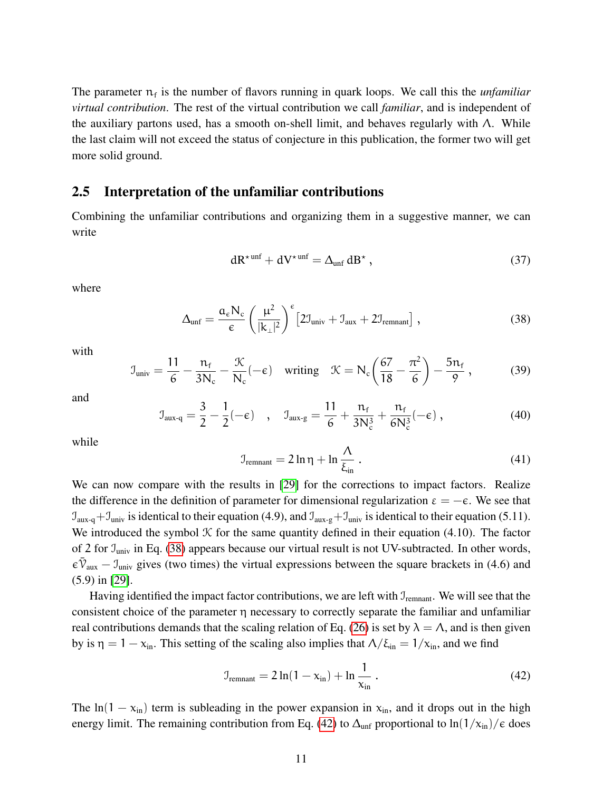The parameter  $n_f$  is the number of flavors running in quark loops. We call this the *unfamiliar virtual contribution*. The rest of the virtual contribution we call *familiar*, and is independent of the auxiliary partons used, has a smooth on-shell limit, and behaves regularly with  $\Lambda$ . While the last claim will not exceed the status of conjecture in this publication, the former two will get more solid ground.

#### 2.5 Interpretation of the unfamiliar contributions

Combining the unfamiliar contributions and organizing them in a suggestive manner, we can write

<span id="page-10-0"></span>
$$
dR^{\star \text{unf}} + dV^{\star \text{unf}} = \Delta_{\text{unf}} dB^{\star} , \qquad (37)
$$

where

$$
\Delta_{unf} = \frac{\alpha_{\epsilon} N_{c}}{\epsilon} \left(\frac{\mu^{2}}{|k_{\perp}|^{2}}\right)^{\epsilon} \left[2\mathcal{I}_{univ} + \mathcal{I}_{aux} + 2\mathcal{I}_{remnant}\right],
$$
\n(38)

with

$$
\mathcal{I}_{\text{univ}} = \frac{11}{6} - \frac{n_f}{3N_c} - \frac{\mathcal{K}}{N_c}(-\epsilon) \quad \text{writing} \quad \mathcal{K} = N_c \left(\frac{67}{18} - \frac{\pi^2}{6}\right) - \frac{5n_f}{9} \,,\tag{39}
$$

and

$$
\mathcal{I}_{\text{aux-q}} = \frac{3}{2} - \frac{1}{2}(-\epsilon) \quad , \quad \mathcal{I}_{\text{aux-g}} = \frac{11}{6} + \frac{n_f}{3N_c^3} + \frac{n_f}{6N_c^3}(-\epsilon) \quad , \tag{40}
$$

while

$$
\mathcal{I}_{\text{remain}} = 2\ln\eta + \ln\frac{\Lambda}{\xi_{\text{in}}} \,. \tag{41}
$$

We can now compare with the results in [\[29\]](#page-37-3) for the corrections to impact factors. Realize the difference in the definition of parameter for dimensional regularization  $\varepsilon = -\varepsilon$ . We see that  $\mathcal{I}_{aux-q}+\mathcal{I}_{univ}$  is identical to their equation (4.9), and  $\mathcal{I}_{aux-q}+\mathcal{I}_{univ}$  is identical to their equation (5.11). We introduced the symbol  $K$  for the same quantity defined in their equation (4.10). The factor of 2 for  $\mathcal{I}_{\text{univ}}$  in Eq. [\(38\)](#page-10-0) appears because our virtual result is not UV-subtracted. In other words,  $\varepsilon \bar{\nu}_{\text{aux}} - J_{\text{univ}}$  gives (two times) the virtual expressions between the square brackets in (4.6) and (5.9) in [\[29\]](#page-37-3).

Having identified the impact factor contributions, we are left with  $J_{\text{remain}}$ . We will see that the consistent choice of the parameter η necessary to correctly separate the familiar and unfamiliar real contributions demands that the scaling relation of Eq. [\(26\)](#page-8-1) is set by  $\lambda = \Lambda$ , and is then given by is  $\eta = 1 - x_{\text{in}}$ . This setting of the scaling also implies that  $\Lambda/\xi_{\text{in}} = 1/x_{\text{in}}$ , and we find

<span id="page-10-1"></span>
$$
\mathcal{I}_{\text{remnant}} = 2\ln(1 - x_{\text{in}}) + \ln\frac{1}{x_{\text{in}}} \,. \tag{42}
$$

The ln(1 –  $x_{in}$ ) term is subleading in the power expansion in  $x_{in}$ , and it drops out in the high energy limit. The remaining contribution from Eq. [\(42\)](#page-10-1) to  $\Delta_{unf}$  proportional to  $\ln(1/x_{in})/\epsilon$  does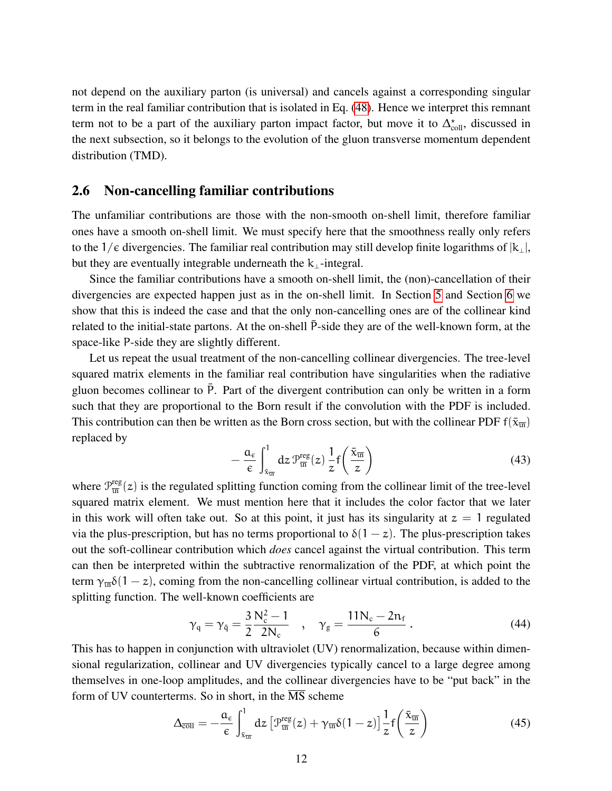not depend on the auxiliary parton (is universal) and cancels against a corresponding singular term in the real familiar contribution that is isolated in Eq. [\(48\)](#page-12-1). Hence we interpret this remnant term not to be a part of the auxiliary parton impact factor, but move it to  $\Delta_{\text{coll}}^{\star}$ , discussed in the next subsection, so it belongs to the evolution of the gluon transverse momentum dependent distribution (TMD).

#### 2.6 Non-cancelling familiar contributions

The unfamiliar contributions are those with the non-smooth on-shell limit, therefore familiar ones have a smooth on-shell limit. We must specify here that the smoothness really only refers to the 1/ $\epsilon$  divergencies. The familiar real contribution may still develop finite logarithms of  $|k_\perp|$ , but they are eventually integrable underneath the  $k_{\perp}$ -integral.

Since the familiar contributions have a smooth on-shell limit, the (non)-cancellation of their divergencies are expected happen just as in the on-shell limit. In Section [5](#page-27-0) and Section [6](#page-29-0) we show that this is indeed the case and that the only non-cancelling ones are of the collinear kind related to the initial-state partons. At the on-shell  $\bar{P}$ -side they are of the well-known form, at the space-like P-side they are slightly different.

Let us repeat the usual treatment of the non-cancelling collinear divergencies. The tree-level squared matrix elements in the familiar real contribution have singularities when the radiative gluon becomes collinear to  $\bar{P}$ . Part of the divergent contribution can only be written in a form such that they are proportional to the Born result if the convolution with the PDF is included. This contribution can then be written as the Born cross section, but with the collinear PDF  $f(\bar{x}_{\overline{in}})$ replaced by

$$
-\frac{a_{\varepsilon}}{\varepsilon} \int_{\bar{x}_{\overline{u}}}^{1} dz \, \mathcal{P}_{\overline{u}}^{\text{reg}}(z) \, \frac{1}{z} f\left(\frac{\bar{x}_{\overline{u}}}{z}\right) \tag{43}
$$

where  $\mathcal{P}_{\overline{\text{in}}}^{\text{reg}}$  $\frac{\text{reg}}{\text{im}}(z)$  is the regulated splitting function coming from the collinear limit of the tree-level squared matrix element. We must mention here that it includes the color factor that we later in this work will often take out. So at this point, it just has its singularity at  $z = 1$  regulated via the plus-prescription, but has no terms proportional to  $\delta(1-z)$ . The plus-prescription takes out the soft-collinear contribution which *does* cancel against the virtual contribution. This term can then be interpreted within the subtractive renormalization of the PDF, at which point the term  $\gamma_{\overline{m}}\delta(1-z)$ , coming from the non-cancelling collinear virtual contribution, is added to the splitting function. The well-known coefficients are

$$
\gamma_{q} = \gamma_{\bar{q}} = \frac{3}{2} \frac{N_c^2 - 1}{2N_c}
$$
,  $\gamma_{g} = \frac{11N_c - 2n_f}{6}$ . (44)

This has to happen in conjunction with ultraviolet (UV) renormalization, because within dimensional regularization, collinear and UV divergencies typically cancel to a large degree among themselves in one-loop amplitudes, and the collinear divergencies have to be "put back" in the form of UV counterterms. So in short, in the MS scheme

<span id="page-11-0"></span>
$$
\Delta_{\overline{\text{coll}}} = -\frac{a_{\varepsilon}}{\varepsilon} \int_{\bar{x}_{\overline{\text{in}}}}^{1} dz \left[ \mathcal{P}_{\overline{\text{in}}}^{\text{reg}}(z) + \gamma_{\overline{\text{in}}} \delta(1-z) \right] \frac{1}{z} f\left(\frac{\bar{x}_{\overline{\text{in}}}}{z}\right) \tag{45}
$$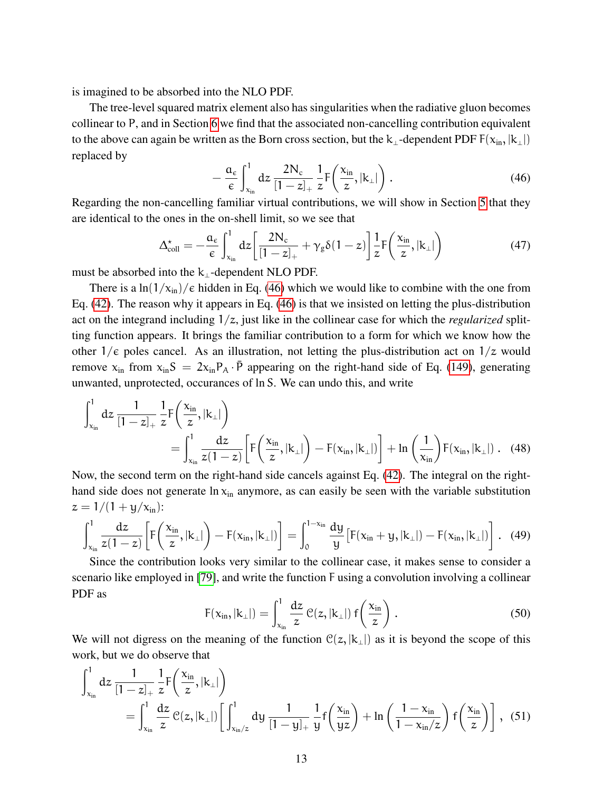is imagined to be absorbed into the NLO PDF.

The tree-level squared matrix element also has singularities when the radiative gluon becomes collinear to P, and in Section [6](#page-29-0) we find that the associated non-cancelling contribution equivalent to the above can again be written as the Born cross section, but the k<sub>⊥</sub>-dependent PDF  $F(x_{in}, |k_1|)$ replaced by

<span id="page-12-2"></span>
$$
-\frac{a_{\varepsilon}}{\varepsilon} \int_{x_{\rm in}}^{1} dz \, \frac{2N_{\rm c}}{[1-z]_{+}} \frac{1}{z} F\left(\frac{x_{\rm in}}{z}, |k_{\perp}|\right). \tag{46}
$$

Regarding the non-cancelling familiar virtual contributions, we will show in Section [5](#page-27-0) that they are identical to the ones in the on-shell limit, so we see that

<span id="page-12-0"></span>
$$
\Delta_{\text{coll}}^{\star} = -\frac{a_{\varepsilon}}{\varepsilon} \int_{x_{\text{in}}}^{1} dz \left[ \frac{2N_{\text{c}}}{\left[1 - z\right]_{+}} + \gamma_{\text{g}} \delta(1 - z) \right] \frac{1}{z} F\left(\frac{x_{\text{in}}}{z}, |k_{\perp}|\right) \tag{47}
$$

must be absorbed into the  $k_{\perp}$ -dependent NLO PDF.

There is a  $\ln(1/x_{\text{in}})/\epsilon$  hidden in Eq. [\(46\)](#page-12-2) which we would like to combine with the one from Eq. [\(42\)](#page-10-1). The reason why it appears in Eq. [\(46\)](#page-12-2) is that we insisted on letting the plus-distribution act on the integrand including 1/z, just like in the collinear case for which the *regularized* splitting function appears. It brings the familiar contribution to a form for which we know how the other  $1/\epsilon$  poles cancel. As an illustration, not letting the plus-distribution act on  $1/z$  would remove  $x_{in}$  from  $x_{in}S = 2x_{in}P_A \cdot \bar{P}$  appearing on the right-hand side of Eq. [\(149\)](#page-33-1), generating unwanted, unprotected, occurances of ln S. We can undo this, and write

$$
\int_{x_{in}}^{1} dz \frac{1}{[1-z]_{+}} \frac{1}{z} F\left(\frac{x_{in}}{z}, |k_{\perp}|\right)
$$
  
= 
$$
\int_{x_{in}}^{1} \frac{dz}{z(1-z)} \left[ F\left(\frac{x_{in}}{z}, |k_{\perp}|\right) - F(x_{in}, |k_{\perp}|\right) \right] + \ln\left(\frac{1}{x_{in}}\right) F(x_{in}, |k_{\perp}|\right).
$$
 (48)

Now, the second term on the right-hand side cancels against Eq. [\(42\)](#page-10-1). The integral on the righthand side does not generate  $\ln x_{in}$  anymore, as can easily be seen with the variable substitution  $z = 1/(1 + y/x_{\rm in})$ :

$$
\int_{x_{in}}^{1} \frac{dz}{z(1-z)} \left[ F\left(\frac{x_{in}}{z}, |k_{\perp}|\right) - F(x_{in}, |k_{\perp}|) \right] = \int_{0}^{1-x_{in}} \frac{dy}{y} \left[ F(x_{in}+y, |k_{\perp}|) - F(x_{in}, |k_{\perp}|) \right]. \tag{49}
$$

Since the contribution looks very similar to the collinear case, it makes sense to consider a scenario like employed in [\[79\]](#page-40-12), and write the function F using a convolution involving a collinear PDF as

<span id="page-12-1"></span>
$$
F(x_{in}, |k_{\perp}|) = \int_{x_{in}}^{1} \frac{dz}{z} \mathcal{C}(z, |k_{\perp}|) f\left(\frac{x_{in}}{z}\right).
$$
 (50)

We will not digress on the meaning of the function  $\mathcal{C}(z, |k_1|)$  as it is beyond the scope of this work, but we do observe that

$$
\int_{x_{in}}^{1} dz \frac{1}{[1-z]_{+}} \frac{1}{z} F\left(\frac{x_{in}}{z}, |k_{\perp}|\right)
$$
\n
$$
= \int_{x_{in}}^{1} \frac{dz}{z} \, \mathcal{C}(z, |k_{\perp}|) \bigg[ \int_{x_{in}/z}^{1} dy \, \frac{1}{[1-y]_{+}} \frac{1}{y} f\left(\frac{x_{in}}{yz}\right) + \ln\left(\frac{1-x_{in}}{1-x_{in}/z}\right) f\left(\frac{x_{in}}{z}\right) \bigg] \,, \tag{51}
$$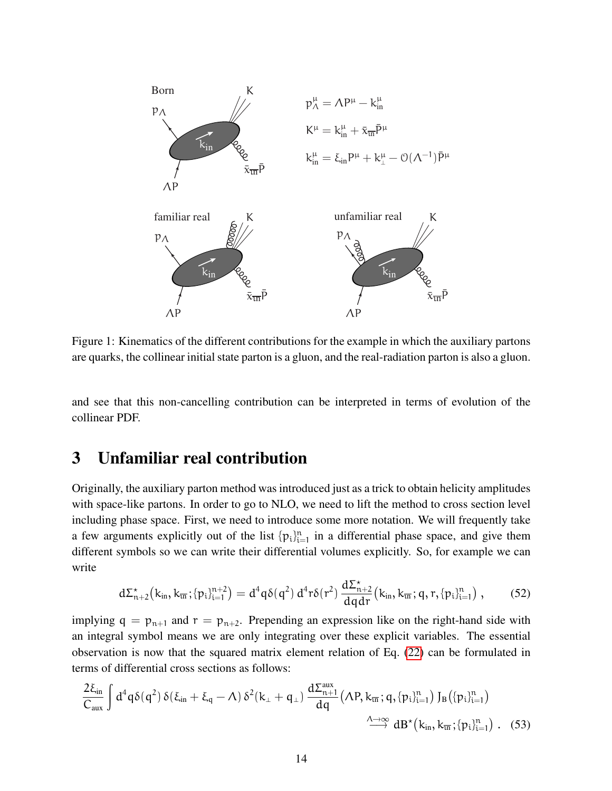

Figure 1: Kinematics of the different contributions for the example in which the auxiliary partons are quarks, the collinear initial state parton is a gluon, and the real-radiation parton is also a gluon.

and see that this non-cancelling contribution can be interpreted in terms of evolution of the collinear PDF.

# <span id="page-13-0"></span>3 Unfamiliar real contribution

Originally, the auxiliary parton method was introduced just as a trick to obtain helicity amplitudes with space-like partons. In order to go to NLO, we need to lift the method to cross section level including phase space. First, we need to introduce some more notation. We will frequently take a few arguments explicitly out of the list  $\{p_i\}_{i=1}^n$  in a differential phase space, and give them different symbols so we can write their differential volumes explicitly. So, for example we can write

<span id="page-13-1"></span>
$$
d\Sigma_{n+2}^{\star}\big(k_{\text{in}},k_{\overline{\text{in}}};\{p_i\}_{i=1}^{n+2}\big) = d^4q\delta(q^2)\,d^4r\delta(r^2)\,\frac{d\Sigma_{n+2}^{\star}}{dqdr}\big(k_{\text{in}},k_{\overline{\text{in}}};q,r,\{p_i\}_{i=1}^{n}\big)\,,\qquad(52)
$$

implying  $q = p_{n+1}$  and  $r = p_{n+2}$ . Prepending an expression like on the right-hand side with an integral symbol means we are only integrating over these explicit variables. The essential observation is now that the squared matrix element relation of Eq. [\(22\)](#page-8-0) can be formulated in terms of differential cross sections as follows:

$$
\frac{2\xi_{in}}{C_{aux}}\int d^4q \delta(q^2) \, \delta(\xi_{in}+\xi_q-\Lambda) \, \delta^2(k_\perp+q_\perp) \, \frac{d\Sigma_{n+1}^{aux}}{dq} \big(\Lambda P, k_{\overline{in}}; q, \{p_i\}_{i=1}^n\big) \, J_B\big(\{p_i\}_{i=1}^n\big) \, \Big. \\ \longrightarrow \frac{\Lambda \to \infty}{dB^\star\big(k_{in}, k_{\overline{in}}; \{p_i\}_{i=1}^n\big)} \, . \quad (53)
$$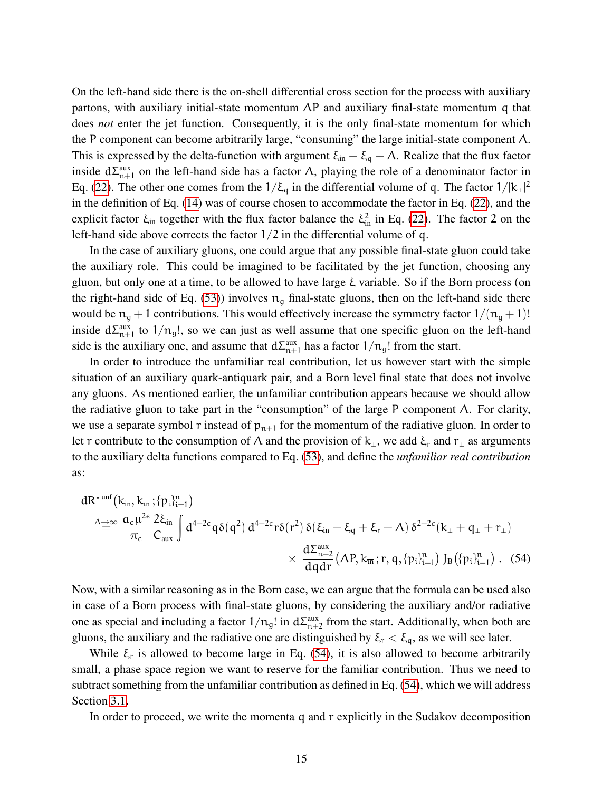On the left-hand side there is the on-shell differential cross section for the process with auxiliary partons, with auxiliary initial-state momentum  $\Lambda P$  and auxiliary final-state momentum q that does *not* enter the jet function. Consequently, it is the only final-state momentum for which the P component can become arbitrarily large, "consuming" the large initial-state component Λ. This is expressed by the delta-function with argument  $\xi_{in} + \xi_q - \Lambda$ . Realize that the flux factor inside  $d\Sigma_{n+1}^{\text{aux}}$  on the left-hand side has a factor  $\Lambda$ , playing the role of a denominator factor in Eq. [\(22\)](#page-8-0). The other one comes from the  $1/\xi_q$  in the differential volume of q. The factor  $1/|k_\perp|^2$ in the definition of Eq. [\(14\)](#page-6-1) was of course chosen to accommodate the factor in Eq. [\(22\)](#page-8-0), and the explicit factor  $\xi_{\text{in}}$  together with the flux factor balance the  $\xi_{\text{in}}^2$  in Eq. [\(22\)](#page-8-0). The factor 2 on the left-hand side above corrects the factor  $1/2$  in the differential volume of q.

In the case of auxiliary gluons, one could argue that any possible final-state gluon could take the auxiliary role. This could be imagined to be facilitated by the jet function, choosing any gluon, but only one at a time, to be allowed to have large ξ variable. So if the Born process (on the right-hand side of Eq. [\(53\)](#page-13-1)) involves  $n<sub>q</sub>$  final-state gluons, then on the left-hand side there would be  $n_g + 1$  contributions. This would effectively increase the symmetry factor  $1/(n_g + 1)!$ inside  $d\Sigma_{n+1}^{\text{aux}}$  to  $1/n_g!$ , so we can just as well assume that one specific gluon on the left-hand side is the auxiliary one, and assume that  $d\Sigma_{n+1}^{aux}$  has a factor  $1/n_g!$  from the start.

In order to introduce the unfamiliar real contribution, let us however start with the simple situation of an auxiliary quark-antiquark pair, and a Born level final state that does not involve any gluons. As mentioned earlier, the unfamiliar contribution appears because we should allow the radiative gluon to take part in the "consumption" of the large P component  $\Lambda$ . For clarity, we use a separate symbol r instead of  $p_{n+1}$  for the momentum of the radiative gluon. In order to let r contribute to the consumption of  $\Lambda$  and the provision of  $k_{\perp}$ , we add  $\xi_r$  and  $r_{\perp}$  as arguments to the auxiliary delta functions compared to Eq. [\(53\)](#page-13-1), and define the *unfamiliar real contribution* as:

<span id="page-14-0"></span>
$$
\begin{aligned} dR^{\star\,unf}\big(k_{in},k_{\overline{u}i}\,;\{p_i\}_{i=1}^n\big)\\ \stackrel{\wedge\to\infty}{=}&\frac{\alpha_\varepsilon\mu^{2\varepsilon}}{\pi_\varepsilon}\frac{2\xi_{in}}{C_{aux}}\int d^{4-2\varepsilon}q\delta(q^2)\,d^{4-2\varepsilon}r\delta(r^2)\,\delta(\xi_{in}+\xi_q+\xi_r-\Lambda)\,\delta^{2-2\varepsilon}(k_\perp+q_\perp+r_\perp)\\ &\times\,\frac{d\Sigma_{n+2}^{aux}}{dqdr}\big(\Lambda P,k_{\overline{u}i}\,;r,q,\{p_i\}_{i=1}^n\big)\,J_B\big(\{p_i\}_{i=1}^n\big)\ .\eqno(54) \end{aligned}
$$

Now, with a similar reasoning as in the Born case, we can argue that the formula can be used also in case of a Born process with final-state gluons, by considering the auxiliary and/or radiative one as special and including a factor  $1/n_g!$  in  $d\Sigma_{n+2}^{\text{aux}}$  from the start. Additionally, when both are gluons, the auxiliary and the radiative one are distinguished by  $\xi_r < \xi_q$ , as we will see later.

While  $\xi_r$  is allowed to become large in Eq. [\(54\)](#page-14-0), it is also allowed to become arbitrarily small, a phase space region we want to reserve for the familiar contribution. Thus we need to subtract something from the unfamiliar contribution as defined in Eq. [\(54\)](#page-14-0), which we will address Section [3.1.](#page-18-0)

In order to proceed, we write the momenta q and r explicitly in the Sudakov decomposition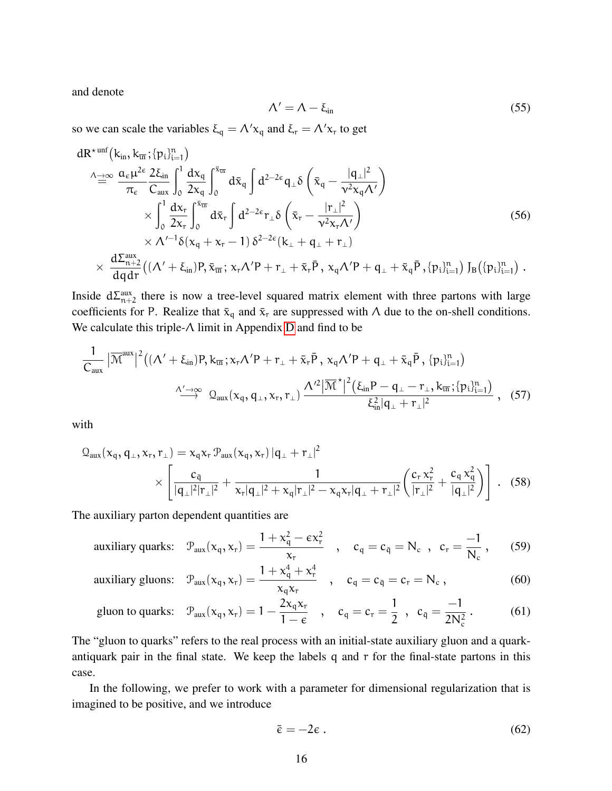and denote

$$
\Lambda' = \Lambda - \xi_{\text{in}} \tag{55}
$$

so we can scale the variables  $\xi_q = \Lambda' x_q$  and  $\xi_r = \Lambda' x_r$  to get

$$
dR^{\star unf}(k_{in}, k_{\overline{m}}; \{p_i\}_{i=1}^n)
$$
\n
$$
\Delta^{\to\infty}_{\equiv} \frac{a_{\varepsilon}\mu^{2\varepsilon}}{\pi_{\varepsilon}} \frac{2\xi_{in}}{C_{aux}} \int_0^1 \frac{dx_q}{2x_q} \int_0^{\overline{x}_{\overline{m}}} d\overline{x}_q \int d^{2-2\varepsilon} q_{\perp} \delta\left(\overline{x}_q - \frac{|q_{\perp}|^2}{v^2 x_q \Lambda'}\right)
$$
\n
$$
\times \int_0^1 \frac{dx_r}{2x_r} \int_0^{\overline{x}_{\overline{m}}} d\overline{x}_r \int d^{2-2\varepsilon} r_{\perp} \delta\left(\overline{x}_r - \frac{|r_{\perp}|^2}{v^2 x_r \Lambda'}\right)
$$
\n
$$
\times \Lambda'^{-1} \delta(x_q + x_r - 1) \delta^{2-2\varepsilon} (k_{\perp} + q_{\perp} + r_{\perp})
$$
\n
$$
\times \frac{d\Sigma_{n+2}^{aux}}{dq dr} \big( (\Lambda' + \xi_{in}) P, \overline{x}_{\overline{in}}; x_r \Lambda' P + r_{\perp} + \overline{x}_r \overline{P}, x_q \Lambda' P + q_{\perp} + \overline{x}_q \overline{P}, \{p_i\}_{i=1}^n \big) J_B \big( \{p_i\}_{i=1}^n \big) .
$$
\n(56)

Inside  $d\Sigma_{n+2}^{\text{aux}}$  there is now a tree-level squared matrix element with three partons with large coefficients for P. Realize that  $\bar{x}_q$  and  $\bar{x}_r$  are suppressed with Λ due to the on-shell conditions. We calculate this triple-Λ limit in Appendix [D](#page-48-0) and find to be

$$
\frac{1}{C_{aux}}\left|\overline{\mathcal{M}}^{aux}\right|^2\left((\Lambda'+\xi_{in})P,k_{\overline{u}i};x_r\Lambda'P+r_{\perp}+\bar{x}_r\bar{P},x_q\Lambda'P+q_{\perp}+\bar{x}_q\bar{P},\{p_i\}_{i=1}^n\right)\n\xrightarrow{\Lambda'\to\infty} Q_{aux}(x_q,q_{\perp},x_r,r_{\perp})\n\xrightarrow{\Lambda'^2\left|\overline{\mathcal{M}}\right.^{\star}\left|^2\left(\xi_{in}P-q_{\perp}-r_{\perp},k_{\overline{u}i};\{p_i\}_{i=1}^n\right)}\n\xrightarrow{\Lambda'^2\left|\overline{\mathcal{M}}\right.^{\star}\left|^2\left(\xi_{in}P-q_{\perp}-r_{\perp},k_{\overline{u}i};\{p_i\}_{i=1}^n\right)}\n\right.\n\tag{57}
$$

with

$$
Q_{\text{aux}}(x_q, q_\perp, x_r, r_\perp) = x_q x_r \mathcal{P}_{\text{aux}}(x_q, x_r) |q_\perp + r_\perp|^2
$$
  
 
$$
\times \left[ \frac{c_{\bar{q}}}{|q_\perp|^2 |r_\perp|^2} + \frac{1}{x_r |q_\perp|^2 + x_q |r_\perp|^2 - x_q x_r |q_\perp + r_\perp|^2} \left( \frac{c_r x_r^2}{|r_\perp|^2} + \frac{c_q x_q^2}{|q_\perp|^2} \right) \right]. \quad (58)
$$

The auxiliary parton dependent quantities are

auxiliary quarks: 
$$
\mathcal{P}_{\text{aux}}(x_q, x_r) = \frac{1 + x_q^2 - \varepsilon x_r^2}{x_r}
$$
,  $c_q = c_{\bar{q}} = N_c$ ,  $c_r = \frac{-1}{N_c}$ , (59)

auxiliary gluons: 
$$
\mathcal{P}_{\text{aux}}(x_q, x_r) = \frac{1 + x_q^4 + x_r^4}{x_q x_r}
$$
,  $c_q = c_{\bar{q}} = c_r = N_c$ , (60)

gluon to quarks: 
$$
\mathcal{P}_{\text{aux}}(x_q, x_r) = 1 - \frac{2x_q x_r}{1 - \epsilon}
$$
,  $c_q = c_r = \frac{1}{2}$ ,  $c_{\bar{q}} = \frac{-1}{2N_c^2}$ . (61)

The "gluon to quarks" refers to the real process with an initial-state auxiliary gluon and a quarkantiquark pair in the final state. We keep the labels q and r for the final-state partons in this case.

In the following, we prefer to work with a parameter for dimensional regularization that is imagined to be positive, and we introduce

<span id="page-15-0"></span>
$$
\bar{\varepsilon} = -2\varepsilon \ . \tag{62}
$$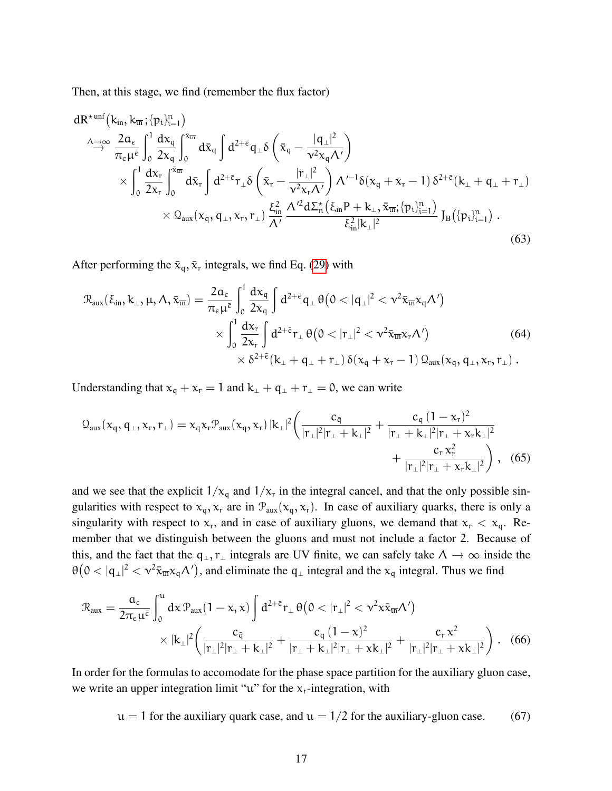Then, at this stage, we find (remember the flux factor)

$$
dR^{\star\text{unf}}(k_{in}, k_{\overline{m}}; \{p_i\}_{i=1}^n)
$$
\n
$$
\stackrel{\wedge \to \infty}{\to} \frac{2\alpha_{\varepsilon}}{\pi_{\varepsilon}\mu^{\overline{\varepsilon}}} \int_0^1 \frac{dx_q}{2x_q} \int_0^{\bar{x}_{\overline{m}}} d\bar{x}_q \int d^{2+\bar{\varepsilon}} q_{\perp} \delta\left(\bar{x}_q - \frac{|q_{\perp}|^2}{\nu^2 x_q \Lambda'}\right)
$$
\n
$$
\times \int_0^1 \frac{dx_r}{2x_r} \int_0^{\bar{x}_{\overline{m}}} d\bar{x}_r \int d^{2+\bar{\varepsilon}} r_{\perp} \delta\left(\bar{x}_r - \frac{|r_{\perp}|^2}{\nu^2 x_r \Lambda'}\right) \Lambda'^{-1} \delta(x_q + x_r - 1) \delta^{2+\bar{\varepsilon}}(k_{\perp} + q_{\perp} + r_{\perp})
$$
\n
$$
\times Q_{aux}(x_q, q_{\perp}, x_r, r_{\perp}) \frac{\xi_{in}^2}{\Lambda'} \frac{\Lambda'^2 d\Sigma_n^{\star}(\xi_{in} P + k_{\perp}, \bar{x}_{\overline{m}}; \{p_i\}_{i=1}^n)}{\xi_{in}^2 |k_{\perp}|^2} J_B(\{p_i\}_{i=1}^n) .
$$
\n(63)

After performing the  $\bar{x}_q$ ,  $\bar{x}_r$  integrals, we find Eq. [\(29\)](#page-9-0) with

$$
\mathcal{R}_{aux}(\xi_{in}, k_{\perp}, \mu, \Lambda, \bar{x}_{\overline{u}l}) = \frac{2\alpha_{\varepsilon}}{\pi_{\varepsilon}\mu^{\overline{\varepsilon}}} \int_{0}^{1} \frac{dx_{q}}{2x_{q}} \int d^{2+\overline{\varepsilon}} q_{\perp} \theta(0<|q_{\perp}|^{2}<\nu^{2} \bar{x}_{\overline{u}l} x_{q} \Lambda')
$$
  
 
$$
\times \int_{0}^{1} \frac{dx_{r}}{2x_{r}} \int d^{2+\overline{\varepsilon}} r_{\perp} \theta(0<|r_{\perp}|^{2}<\nu^{2} \bar{x}_{\overline{u}l} x_{r} \Lambda')
$$
(64)  
 
$$
\times \delta^{2+\overline{\varepsilon}}(k_{\perp}+q_{\perp}+r_{\perp}) \delta(x_{q}+x_{r}-1) \mathcal{Q}_{aux}(x_{q}, q_{\perp}, x_{r}, r_{\perp}).
$$

Understanding that  $x_q + x_r = 1$  and  $k_\perp + q_\perp + r_\perp = 0$ , we can write

$$
Q_{aux}(x_q, q_\perp, x_r, r_\perp) = x_q x_r P_{aux}(x_q, x_r) |k_\perp|^2 \left( \frac{c_{\bar{q}}}{|r_\perp|^2 |r_\perp + k_\perp|^2} + \frac{c_q (1 - x_r)^2}{|r_\perp + k_\perp|^2 |r_\perp + x_r k_\perp|^2} + \frac{c_r x_r^2}{|r_\perp|^2 |r_\perp + x_r k_\perp|^2} \right), \quad (65)
$$

and we see that the explicit  $1/x_q$  and  $1/x_r$  in the integral cancel, and that the only possible singularities with respect to  $x_q$ ,  $x_r$  are in  $\mathcal{P}_{\text{aux}}(x_q, x_r)$ . In case of auxiliary quarks, there is only a singularity with respect to  $x_r$ , and in case of auxiliary gluons, we demand that  $x_r < x_q$ . Remember that we distinguish between the gluons and must not include a factor 2. Because of this, and the fact that the  $q_{\perp}, r_{\perp}$  integrals are UV finite, we can safely take  $\Lambda \to \infty$  inside the  $\theta(0 < |q_{\perp}|^2 < v^2 \bar{x}_{\bar{u}^2} \chi_q \Lambda')$ , and eliminate the  $q_{\perp}$  integral and the  $x_q$  integral. Thus we find

$$
\mathcal{R}_{\text{aux}} = \frac{\alpha_{\varepsilon}}{2\pi_{\varepsilon}\mu^{\bar{\varepsilon}}} \int_{0}^{u} dx \, \mathcal{P}_{\text{aux}}(1-x, x) \int d^{2+\bar{\varepsilon}} \mathbf{r}_{\perp} \, \theta\big(0 < |r_{\perp}|^{2} < \nu^{2} x \bar{x}_{\overline{\text{un}}} \Lambda'\big) \\
\times |k_{\perp}|^{2} \bigg(\frac{c_{\overline{q}}}{|r_{\perp}|^{2}|r_{\perp} + k_{\perp}|^{2}} + \frac{c_{\overline{q}} \, (1-x)^{2}}{|r_{\perp} + k_{\perp}|^{2}|r_{\perp} + x k_{\perp}|^{2}} + \frac{c_{r} \, x^{2}}{|r_{\perp}|^{2}|r_{\perp} + x k_{\perp}|^{2}}\bigg) . \tag{66}
$$

In order for the formulas to accomodate for the phase space partition for the auxiliary gluon case, we write an upper integration limit " $u$ " for the  $x_r$ -integration, with

<span id="page-16-0"></span> $u = 1$  for the auxiliary quark case, and  $u = 1/2$  for the auxiliary-gluon case. (67)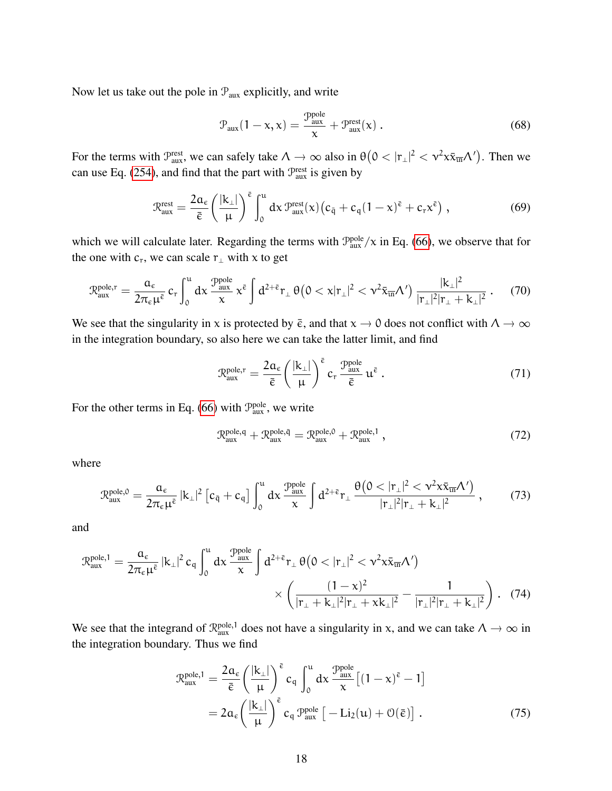Now let us take out the pole in  $P_{\text{aux}}$  explicitly, and write

<span id="page-17-1"></span>
$$
\mathcal{P}_{\text{aux}}(1 - x, x) = \frac{\mathcal{P}_{\text{aux}}^{\text{pole}}}{x} + \mathcal{P}_{\text{aux}}^{\text{rest}}(x) . \tag{68}
$$

For the terms with  $\mathcal{P}_{\text{aux}}^{\text{rest}}$ , we can safely take  $\Lambda \to \infty$  also in  $\theta \left(0 < |r_{\perp}|^2 < \nu^2 x \bar{x}_{\overline{\text{un}}} \Lambda' \right)$ . Then we can use Eq. [\(254\)](#page-52-1), and find that the part with  $\mathcal{P}_{\text{aux}}^{\text{rest}}$  is given by

$$
\mathcal{R}_{aux}^{rest} = \frac{2\alpha_{\varepsilon}}{\bar{\varepsilon}} \left(\frac{|k_{\perp}|}{\mu}\right)^{\bar{\varepsilon}} \int_{0}^{u} dx \, \mathcal{P}_{aux}^{rest}(x) \left(c_{\bar{q}} + c_{q} (1-x)^{\bar{\varepsilon}} + c_{r} x^{\bar{\varepsilon}}\right) \,, \tag{69}
$$

which we will calculate later. Regarding the terms with  $\mathcal{P}_{\text{aux}}^{\text{pole}}/\chi$  in Eq. [\(66\)](#page-16-0), we observe that for the one with  $c_r$ , we can scale  $r_\perp$  with x to get

$$
\mathcal{R}_{aux}^{pole,r} = \frac{a_{\varepsilon}}{2\pi_{\varepsilon}\mu^{\bar{\varepsilon}}} \, c_r \int_0^u dx \, \frac{\mathcal{P}_{aux}^{pole}}{x} \, x^{\bar{\varepsilon}} \int d^{2+\bar{\varepsilon}} r_{\perp} \, \theta\big(0 < x |r_{\perp}|^2 < \nu^2 \bar{x}_{\bar{u}\bar{n}} \Lambda'\big) \, \frac{|k_{\perp}|^2}{|r_{\perp}|^2 |r_{\perp} + k_{\perp}|^2} \,. \tag{70}
$$

We see that the singularity in x is protected by  $\bar{\epsilon}$ , and that  $x \to 0$  does not conflict with  $\Lambda \to \infty$ in the integration boundary, so also here we can take the latter limit, and find

$$
\mathcal{R}_{\text{aux}}^{\text{pole},r} = \frac{2\alpha_{\varepsilon}}{\bar{\varepsilon}} \left(\frac{|\mathbf{k}_{\perp}|}{\mu}\right)^{\bar{\varepsilon}} c_r \frac{\mathcal{P}_{\text{aux}}^{\text{pole}}}{\bar{\varepsilon}} \, \mathbf{u}^{\bar{\varepsilon}} \,. \tag{71}
$$

For the other terms in Eq. [\(66\)](#page-16-0) with  $\mathcal{P}_{\text{aux}}^{\text{pole}}$ , we write

$$
\mathcal{R}^{\text{pole},\mathsf{q}}_{\text{aux}} + \mathcal{R}^{\text{pole},\bar{\mathsf{q}}}_{\text{aux}} = \mathcal{R}^{\text{pole},0}_{\text{aux}} + \mathcal{R}^{\text{pole},1}_{\text{aux}} \,, \tag{72}
$$

where

<span id="page-17-0"></span>
$$
\mathcal{R}_{\text{aux}}^{\text{pole},0} = \frac{a_{\epsilon}}{2\pi_{\epsilon}\mu^{\bar{\epsilon}}} |\mathbf{k}_{\perp}|^2 \left[c_{\bar{q}} + c_{q}\right] \int_0^u dx \frac{\mathcal{P}_{\text{aux}}^{\text{pole}}}{x} \int d^{2+\bar{\epsilon}} \mathbf{r}_{\perp} \frac{\theta\left(0 < |\mathbf{r}_{\perp}|^2 < \nu^2 x \bar{x}_{\bar{\mathbf{u}}}\Lambda'\right)}{|\mathbf{r}_{\perp}|^2 |\mathbf{r}_{\perp} + \mathbf{k}_{\perp}|^2},\tag{73}
$$

and

$$
\mathcal{R}_{aux}^{\text{pole},1} = \frac{\alpha_{\varepsilon}}{2\pi_{\varepsilon}\mu^{\bar{\varepsilon}}} |k_{\perp}|^2 c_q \int_0^u dx \frac{\mathcal{P}_{aux}^{\text{pole}}}{x} \int d^{2+\bar{\varepsilon}} r_{\perp} \theta \big( 0 < |r_{\perp}|^2 < \nu^2 x \bar{x}_{\bar{u}n} \Lambda' \big) \times \left( \frac{(1-x)^2}{|r_{\perp} + k_{\perp}|^2 |r_{\perp} + x k_{\perp}|^2} - \frac{1}{|r_{\perp}|^2 |r_{\perp} + k_{\perp}|^2} \right). \tag{74}
$$

We see that the integrand of  $\mathcal{R}_{\text{aux}}^{\text{pole},1}$  does not have a singularity in x, and we can take  $\Lambda \to \infty$  in the integration boundary. Thus we find

$$
\mathcal{R}_{\text{aux}}^{\text{pole},1} = \frac{2\alpha_{\varepsilon}}{\bar{\varepsilon}} \left(\frac{|\mathbf{k}_{\perp}|}{\mu}\right)^{\bar{\varepsilon}} c_{q} \int_{0}^{\mu} dx \frac{\mathcal{P}_{\text{aux}}^{\text{pole}}}{x} \left[ (1-x)^{\bar{\varepsilon}} - 1 \right]
$$

$$
= 2\alpha_{\varepsilon} \left(\frac{|\mathbf{k}_{\perp}|}{\mu}\right)^{\bar{\varepsilon}} c_{q} \mathcal{P}_{\text{aux}}^{\text{pole}} \left[ -\text{Li}_{2}(\mu) + \mathcal{O}(\bar{\varepsilon}) \right]. \tag{75}
$$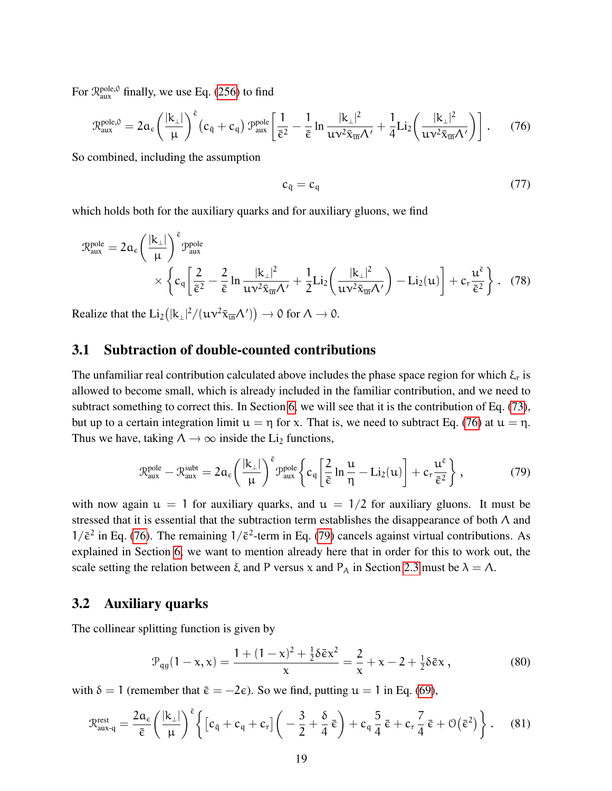For  $\mathcal{R}_{\text{aux}}^{\text{pole},0}$  finally, we use Eq. [\(256\)](#page-53-0) to find

<span id="page-18-1"></span>
$$
\mathcal{R}_{\text{aux}}^{\text{pole},0} = 2\alpha_{\varepsilon} \left(\frac{|k_{\perp}|}{\mu}\right)^{\bar{\varepsilon}} \left(c_{\bar{q}} + c_{q}\right) \mathcal{P}_{\text{aux}}^{\text{pole}} \left[\frac{1}{\bar{\varepsilon}^{2}} - \frac{1}{\bar{\varepsilon}} \ln \frac{|k_{\perp}|^{2}}{uv^{2} \bar{x}_{\overline{\text{un}}} \Lambda'} + \frac{1}{4} \text{Li}_{2}\left(\frac{|k_{\perp}|^{2}}{uv^{2} \bar{x}_{\overline{\text{un}}} \Lambda'}\right)\right].
$$
 (76)

So combined, including the assumption

$$
c_{\bar{q}} = c_q \tag{77}
$$

which holds both for the auxiliary quarks and for auxiliary gluons, we find

$$
\mathcal{R}_{aux}^{pole} = 2\alpha_{\varepsilon} \left(\frac{|k_{\perp}|}{\mu}\right)^{\bar{\varepsilon}} \mathcal{P}_{aux}^{pole} \times \left\{ c_q \left[ \frac{2}{\bar{\varepsilon}^2} - \frac{2}{\bar{\varepsilon}} \ln \frac{|k_{\perp}|^2}{uv^2 \bar{x}_{\bar{u}n} \Lambda'} + \frac{1}{2} Li_2 \left( \frac{|k_{\perp}|^2}{uv^2 \bar{x}_{\bar{u}n} \Lambda'} \right) - Li_2(u) \right] + c_r \frac{u^{\bar{\varepsilon}}}{\bar{\varepsilon}^2} \right\}. \quad (78)
$$

Realize that the  $\text{Li}_2\left(|\mathbf{k}_\perp|^2/(\mathbf{u}\nu^2\bar{\mathbf{x}}_{\overline{\mathbf{u}}}\Lambda')\right) \to 0$  for  $\Lambda \to 0$ .

#### <span id="page-18-0"></span>3.1 Subtraction of double-counted contributions

The unfamiliar real contribution calculated above includes the phase space region for which  $\xi_r$  is allowed to become small, which is already included in the familiar contribution, and we need to subtract something to correct this. In Section [6,](#page-29-0) we will see that it is the contribution of Eq. [\(73\)](#page-17-0), but up to a certain integration limit  $u = \eta$  for x. That is, we need to subtract Eq. [\(76\)](#page-18-1) at  $u = \eta$ . Thus we have, taking  $\Lambda \to \infty$  inside the Li<sub>2</sub> functions,

<span id="page-18-2"></span>
$$
\mathcal{R}_{aux}^{pole} - \mathcal{R}_{aux}^{subt} = 2\alpha_{\varepsilon} \left(\frac{|k_{\perp}|}{\mu}\right)^{\bar{\varepsilon}} \mathcal{P}_{aux}^{pole} \left\{ c_q \left[ \frac{2}{\bar{\varepsilon}} \ln \frac{u}{\eta} - \text{Li}_2(u) \right] + c_r \frac{u^{\bar{\varepsilon}}}{\bar{\varepsilon}^2} \right\},\tag{79}
$$

with now again  $u = 1$  for auxiliary quarks, and  $u = 1/2$  for auxiliary gluons. It must be stressed that it is essential that the subtraction term establishes the disappearance of both Λ and  $1/\bar{\epsilon}^2$  in Eq. [\(76\)](#page-18-1). The remaining  $1/\bar{\epsilon}^2$ -term in Eq. [\(79\)](#page-18-2) cancels against virtual contributions. As explained in Section [6,](#page-29-0) we want to mention already here that in order for this to work out, the scale setting the relation between  $\xi$  and P versus x and P<sub>A</sub> in Section [2.3](#page-8-2) must be  $\lambda = \Lambda$ .

#### 3.2 Auxiliary quarks

The collinear splitting function is given by

$$
\mathcal{P}_{qg}(1-x,\mathbf{x}) = \frac{1 + (1-\mathbf{x})^2 + \frac{1}{2}\delta\bar{\varepsilon}\mathbf{x}^2}{\mathbf{x}} = \frac{2}{\mathbf{x}} + \mathbf{x} - 2 + \frac{1}{2}\delta\bar{\varepsilon}\mathbf{x},\tag{80}
$$

with  $\delta = 1$  (remember that  $\bar{\epsilon} = -2\epsilon$ ). So we find, putting  $\mu = 1$  in Eq. [\(69\)](#page-17-1),

$$
\mathcal{R}_{aux-q}^{rest} = \frac{2\alpha_{\varepsilon}}{\bar{\varepsilon}} \left(\frac{|k_{\perp}|}{\mu}\right)^{\bar{\varepsilon}} \left\{ \left[c_{\bar{q}} + c_{q} + c_{r}\right] \left(-\frac{3}{2} + \frac{\delta}{4}\,\bar{\varepsilon}\right) + c_{q}\,\frac{5}{4}\,\bar{\varepsilon} + c_{r}\,\frac{7}{4}\,\bar{\varepsilon} + \mathcal{O}\big(\bar{\varepsilon}^{2}\big) \right\} \,. \tag{81}
$$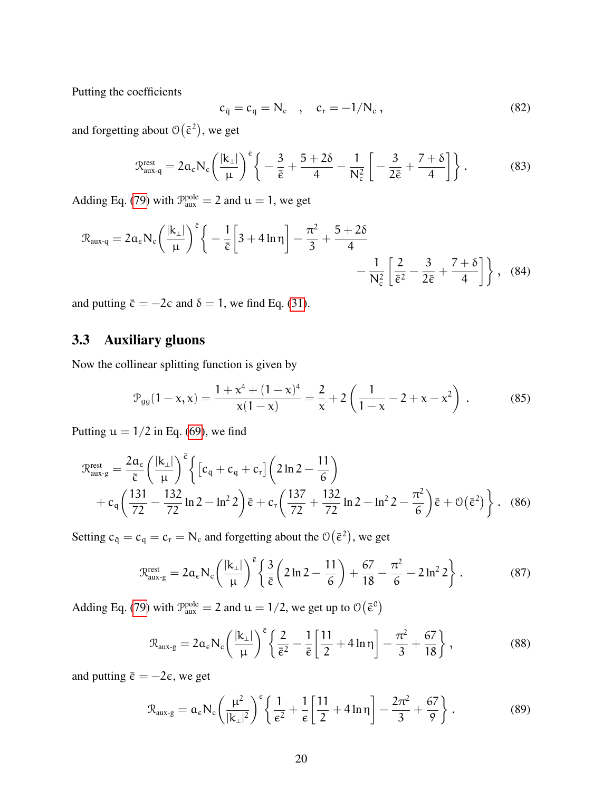Putting the coefficients

$$
c_{\bar{q}} = c_q = N_c \quad , \quad c_r = -1/N_c \,, \tag{82}
$$

and forgetting about  $\mathcal{O}(\bar{\epsilon}^2)$ , we get

$$
\mathcal{R}_{aux-q}^{rest} = 2\alpha_{\varepsilon} N_{c} \left( \frac{|k_{\perp}|}{\mu} \right)^{\bar{\varepsilon}} \left\{ -\frac{3}{\bar{\varepsilon}} + \frac{5+2\delta}{4} - \frac{1}{N_{c}^{2}} \left[ -\frac{3}{2\bar{\varepsilon}} + \frac{7+\delta}{4} \right] \right\}.
$$
 (83)

Adding Eq. [\(79\)](#page-18-2) with  $\mathcal{P}_{\text{aux}}^{\text{pole}} = 2$  and  $\mathfrak{u} = 1$ , we get

$$
\mathcal{R}_{aux-q} = 2\alpha_{\varepsilon} N_{c} \left(\frac{|k_{\perp}|}{\mu}\right)^{\bar{\varepsilon}} \left\{-\frac{1}{\bar{\varepsilon}} \left[3 + 4\ln\eta\right] - \frac{\pi^{2}}{3} + \frac{5 + 2\delta}{4} - \frac{1}{N_{c}^{2}} \left[\frac{2}{\bar{\varepsilon}^{2}} - \frac{3}{2\bar{\varepsilon}} + \frac{7 + \delta}{4}\right]\right\}, \quad (84)
$$

and putting  $\bar{\epsilon} = -2\epsilon$  and  $\delta = 1$ , we find Eq. [\(31\)](#page-9-1).

### 3.3 Auxiliary gluons

Now the collinear splitting function is given by

$$
\mathcal{P}_{gg}(1-x,x) = \frac{1+x^4+(1-x)^4}{x(1-x)} = \frac{2}{x} + 2\left(\frac{1}{1-x} - 2 + x - x^2\right).
$$
 (85)

Putting  $u = 1/2$  in Eq. [\(69\)](#page-17-1), we find

$$
\mathcal{R}_{aux-g}^{rest} = \frac{2\alpha_{\varepsilon}}{\bar{\varepsilon}} \left( \frac{|k_{\perp}|}{\mu} \right)^{\bar{\varepsilon}} \left\{ \left[ c_{\bar{q}} + c_q + c_r \right] \left( 2\ln 2 - \frac{11}{6} \right) \right.\left. + c_q \left( \frac{131}{72} - \frac{132}{72} \ln 2 - \ln^2 2 \right) \bar{\varepsilon} + c_r \left( \frac{137}{72} + \frac{132}{72} \ln 2 - \ln^2 2 - \frac{\pi^2}{6} \right) \bar{\varepsilon} + \mathcal{O}(\bar{\varepsilon}^2) \right\}. \tag{86}
$$

Setting  $c_{\bar{q}} = c_q = c_r = N_c$  and forgetting about the  $\mathcal{O}(\bar{\epsilon}^2)$ , we get

$$
\mathcal{R}_{aux-g}^{rest} = 2\alpha_{\varepsilon} N_c \left(\frac{|k_{\perp}|}{\mu}\right)^{\bar{\varepsilon}} \left\{ \frac{3}{\bar{\varepsilon}} \left(2\ln 2 - \frac{11}{6}\right) + \frac{67}{18} - \frac{\pi^2}{6} - 2\ln^2 2\right\}.
$$
 (87)

Adding Eq. [\(79\)](#page-18-2) with  $\mathcal{P}_{\text{aux}}^{\text{pole}} = 2$  and  $\mathfrak{u} = 1/2$ , we get up to  $\mathcal{O}(\bar{\epsilon}^0)$ 

$$
\mathcal{R}_{aux\text{-}g} = 2\alpha_{\varepsilon} N_{\text{c}} \left( \frac{|k_{\perp}|}{\mu} \right)^{\bar{\varepsilon}} \left\{ \frac{2}{\bar{\varepsilon}^2} - \frac{1}{\bar{\varepsilon}} \left[ \frac{11}{2} + 4 \ln \eta \right] - \frac{\pi^2}{3} + \frac{67}{18} \right\},\tag{88}
$$

and putting  $\bar{\epsilon} = -2\epsilon$ , we get

$$
\mathcal{R}_{\text{aux-g}} = \alpha_{\varepsilon} N_{\text{c}} \left( \frac{\mu^2}{|\mathbf{k}_{\perp}|^2} \right)^{\varepsilon} \left\{ \frac{1}{\varepsilon^2} + \frac{1}{\varepsilon} \left[ \frac{11}{2} + 4 \ln \eta \right] - \frac{2\pi^2}{3} + \frac{67}{9} \right\}.
$$
 (89)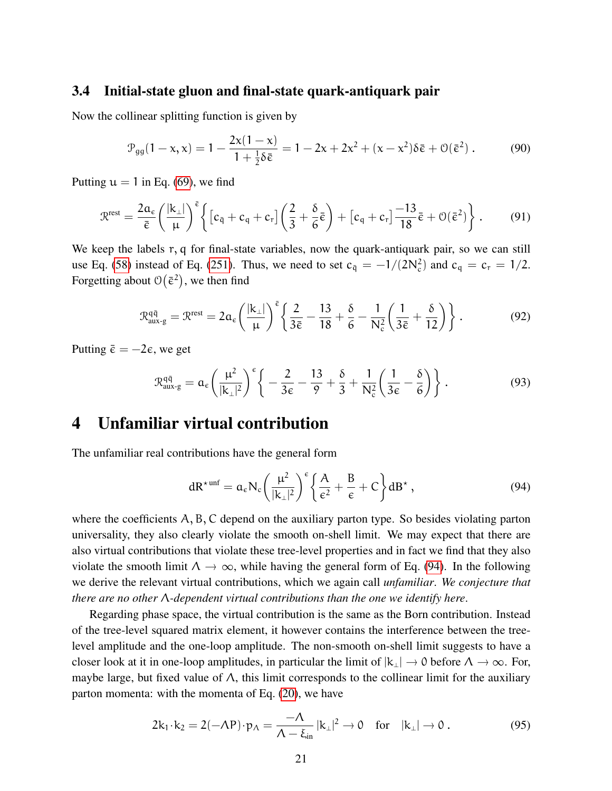#### 3.4 Initial-state gluon and final-state quark-antiquark pair

Now the collinear splitting function is given by

$$
\mathcal{P}_{gg}(1-x,\mathbf{x}) = 1 - \frac{2\mathbf{x}(1-\mathbf{x})}{1 + \frac{1}{2}\delta\bar{\varepsilon}} = 1 - 2\mathbf{x} + 2\mathbf{x}^2 + (\mathbf{x} - \mathbf{x}^2)\delta\bar{\varepsilon} + \mathcal{O}(\bar{\varepsilon}^2) \,. \tag{90}
$$

Putting  $u = 1$  in Eq. [\(69\)](#page-17-1), we find

$$
\mathcal{R}^{\text{rest}} = \frac{2a_{\varepsilon}}{\bar{\varepsilon}} \left( \frac{|k_{\perp}|}{\mu} \right)^{\bar{\varepsilon}} \left\{ \left[ c_{\bar{q}} + c_q + c_r \right] \left( \frac{2}{3} + \frac{\delta}{6} \bar{\varepsilon} \right) + \left[ c_q + c_r \right] \frac{-13}{18} \bar{\varepsilon} + \mathcal{O}(\bar{\varepsilon}^2) \right\}.
$$
 (91)

We keep the labels r, q for final-state variables, now the quark-antiquark pair, so we can still use Eq. [\(58\)](#page-15-0) instead of Eq. [\(251\)](#page-52-2). Thus, we need to set  $c_{\bar{q}} = -1/(2N_c^2)$  and  $c_q = c_r = 1/2$ . Forgetting about  $\mathcal{O}(\bar{\epsilon}^2)$ , we then find

$$
\mathcal{R}_{aux\text{-}g}^{q\bar{q}} = \mathcal{R}^{\text{rest}} = 2\alpha_{\varepsilon} \left(\frac{|k_{\perp}|}{\mu}\right)^{\bar{\varepsilon}} \left\{ \frac{2}{3\bar{\varepsilon}} - \frac{13}{18} + \frac{\delta}{6} - \frac{1}{N_{\text{c}}^2} \left( \frac{1}{3\bar{\varepsilon}} + \frac{\delta}{12} \right) \right\}.
$$
 (92)

Putting  $\bar{\epsilon} = -2\epsilon$ , we get

$$
\mathcal{R}_{\text{aux-g}}^{\text{q}\bar{\text{q}}} = \alpha_{\varepsilon} \left( \frac{\mu^2}{|\mathbf{k}_\perp|^2} \right)^{\varepsilon} \left\{ -\frac{2}{3\varepsilon} - \frac{13}{9} + \frac{\delta}{3} + \frac{1}{N_c^2} \left( \frac{1}{3\varepsilon} - \frac{\delta}{6} \right) \right\}.
$$
 (93)

## <span id="page-20-0"></span>4 Unfamiliar virtual contribution

The unfamiliar real contributions have the general form

<span id="page-20-1"></span>
$$
dR^{\star \text{unf}} = a_{\epsilon} N_{c} \left( \frac{\mu^{2}}{|k_{\perp}|^{2}} \right)^{\epsilon} \left\{ \frac{A}{\epsilon^{2}} + \frac{B}{\epsilon} + C \right\} dB^{\star} , \qquad (94)
$$

where the coefficients  $A, B, C$  depend on the auxiliary parton type. So besides violating parton universality, they also clearly violate the smooth on-shell limit. We may expect that there are also virtual contributions that violate these tree-level properties and in fact we find that they also violate the smooth limit  $\Lambda \to \infty$ , while having the general form of Eq. [\(94\)](#page-20-1). In the following we derive the relevant virtual contributions, which we again call *unfamiliar*. *We conjecture that there are no other* Λ*-dependent virtual contributions than the one we identify here*.

Regarding phase space, the virtual contribution is the same as the Born contribution. Instead of the tree-level squared matrix element, it however contains the interference between the treelevel amplitude and the one-loop amplitude. The non-smooth on-shell limit suggests to have a closer look at it in one-loop amplitudes, in particular the limit of  $|k_\perp| \to 0$  before  $\Lambda \to \infty$ . For, maybe large, but fixed value of  $\Lambda$ , this limit corresponds to the collinear limit for the auxiliary parton momenta: with the momenta of Eq. [\(20\)](#page-7-2), we have

$$
2k_1 \cdot k_2 = 2(-\Lambda P) \cdot p_\Lambda = \frac{-\Lambda}{\Lambda - \xi_{\text{in}}} |k_\perp|^2 \to 0 \quad \text{for} \quad |k_\perp| \to 0. \tag{95}
$$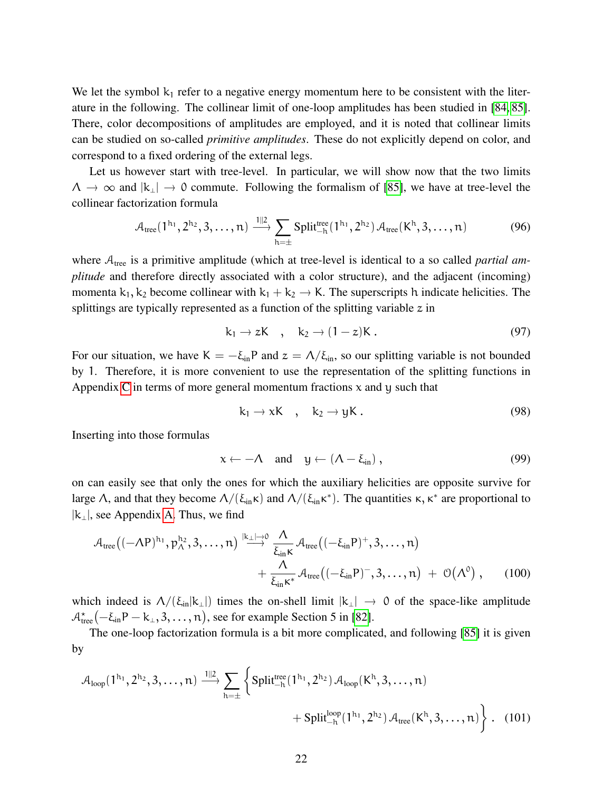We let the symbol  $k_1$  refer to a negative energy momentum here to be consistent with the literature in the following. The collinear limit of one-loop amplitudes has been studied in [\[84,](#page-41-3) [85\]](#page-41-4). There, color decompositions of amplitudes are employed, and it is noted that collinear limits can be studied on so-called *primitive amplitudes*. These do not explicitly depend on color, and correspond to a fixed ordering of the external legs.

Let us however start with tree-level. In particular, we will show now that the two limits  $\Lambda \to \infty$  and  $|k_1| \to 0$  commute. Following the formalism of [\[85\]](#page-41-4), we have at tree-level the collinear factorization formula

$$
\mathcal{A}_{\text{tree}}(1^{h_1}, 2^{h_2}, 3, \dots, n) \xrightarrow{\text{1||2}} \sum_{h=\pm} \text{Split}_{-h}^{\text{tree}}(1^{h_1}, 2^{h_2}) \mathcal{A}_{\text{tree}}(K^h, 3, \dots, n) \tag{96}
$$

where  $A_{\text{tree}}$  is a primitive amplitude (which at tree-level is identical to a so called *partial amplitude* and therefore directly associated with a color structure), and the adjacent (incoming) momenta  $k_1, k_2$  become collinear with  $k_1 + k_2 \rightarrow K$ . The superscripts h indicate helicities. The splittings are typically represented as a function of the splitting variable  $z$  in

$$
k_1 \to zK \quad , \quad k_2 \to (1-z)K \ . \tag{97}
$$

For our situation, we have  $K = -\xi_{in}P$  and  $z = \Lambda/\xi_{in}$ , so our splitting variable is not bounded by 1. Therefore, it is more convenient to use the representation of the splitting functions in Appendix [C](#page-45-0) in terms of more general momentum fractions  $x$  and  $y$  such that

$$
k_1 \to xK \quad , \quad k_2 \to yK \, . \tag{98}
$$

Inserting into those formulas

<span id="page-21-0"></span>
$$
x \leftarrow -\Lambda \quad \text{and} \quad y \leftarrow (\Lambda - \xi_{\text{in}}) \,, \tag{99}
$$

on can easily see that only the ones for which the auxiliary helicities are opposite survive for large  $\Lambda$ , and that they become  $\Lambda/(\xi_{in} \kappa)$  and  $\Lambda/(\xi_{in} \kappa^*)$ . The quantities  $\kappa, \kappa^*$  are proportional to  $|k_1|$ , see Appendix [A.](#page-42-0) Thus, we find

$$
\mathcal{A}_{\text{tree}}\big((-\Lambda P)^{h_1}, p_{\Lambda}^{h_2}, 3, \ldots, n\big) \stackrel{|\mathbf{k}_{\perp}| \to 0}{\longrightarrow} \frac{\Lambda}{\xi_{\text{in}} \kappa} \mathcal{A}_{\text{tree}}\big((-\xi_{\text{in}} P)^{+}, 3, \ldots, n\big) \n+ \frac{\Lambda}{\xi_{\text{in}} \kappa^{*}} \mathcal{A}_{\text{tree}}\big((-\xi_{\text{in}} P)^{-}, 3, \ldots, n\big) + \mathcal{O}\big(\Lambda^{0}\big) , \qquad (100)
$$

which indeed is  $\Lambda/(\xi_{in}|k_{\perp}|)$  times the on-shell limit  $|k_{\perp}| \to 0$  of the space-like amplitude  $\mathcal{A}^\star_\text{tree}(-\xi_\text{in} \textsf{P}-\textsf{k}_\perp, 3, \ldots, \textsf{n}),$  see for example Section 5 in [\[82\]](#page-41-1).

The one-loop factorization formula is a bit more complicated, and following [\[85\]](#page-41-4) it is given by

$$
\begin{aligned} \mathcal{A}_{\text{loop}}(1^{h_1},2^{h_2},3,\dots,n) & \xrightarrow{1\parallel 2} \sum_{h=\pm} \bigg\{ \text{Split}^{\text{tree}}_{-h}(1^{h_1},2^{h_2}) \, \mathcal{A}_{\text{loop}}(K^h,3,\dots,n) \\ & \qquad \qquad + \text{Split}^{\text{loop}}_{-h}(1^{h_1},2^{h_2}) \, \mathcal{A}_{\text{tree}}(K^h,3,\dots,n) \bigg\} \; . \end{aligned} \tag{101}
$$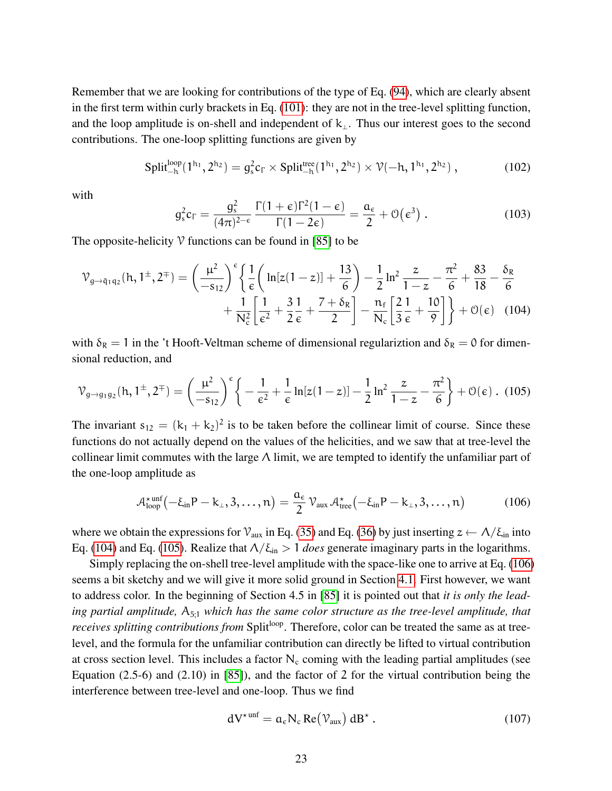Remember that we are looking for contributions of the type of Eq. [\(94\)](#page-20-1), which are clearly absent in the first term within curly brackets in Eq. [\(101\)](#page-21-0): they are not in the tree-level splitting function, and the loop amplitude is on-shell and independent of  $k_{\perp}$ . Thus our interest goes to the second contributions. The one-loop splitting functions are given by

$$
\text{Split}_{-h}^{\text{loop}}(1^{h_1}, 2^{h_2}) = g_s^2 c_\Gamma \times \text{Split}_{-h}^{\text{tree}}(1^{h_1}, 2^{h_2}) \times \mathcal{V}(-h, 1^{h_1}, 2^{h_2}) ,\qquad (102)
$$

with

<span id="page-22-0"></span>
$$
g_s^2 c_\Gamma = \frac{g_s^2}{(4\pi)^{2-\epsilon}} \frac{\Gamma(1+\epsilon)\Gamma^2(1-\epsilon)}{\Gamma(1-2\epsilon)} = \frac{a_\epsilon}{2} + \mathcal{O}(\epsilon^3) . \qquad (103)
$$

The opposite-helicity  $\mathcal V$  functions can be found in [\[85\]](#page-41-4) to be

$$
\mathcal{V}_{g \to \bar{q}_1 q_2}(\mathbf{h}, \mathbf{1}^{\pm}, 2^{\mp}) = \left(\frac{\mu^2}{-s_{12}}\right)^{\epsilon} \left\{ \frac{1}{\epsilon} \left( \ln[z(1-z)] + \frac{13}{6} \right) - \frac{1}{2} \ln^2 \frac{z}{1-z} - \frac{\pi^2}{6} + \frac{83}{18} - \frac{\delta_{R}}{6} + \frac{1}{\sqrt{8}} \right\} + \frac{1}{N_c} \left[ \frac{1}{\epsilon^2} + \frac{3}{2} \frac{1}{\epsilon} + \frac{7 + \delta_{R}}{2} \right] - \frac{n_f}{N_c} \left[ \frac{2}{3} \frac{1}{\epsilon} + \frac{10}{9} \right] \right\} + \mathcal{O}(\epsilon) \quad (104)
$$

with  $\delta_R = 1$  in the 't Hooft-Veltman scheme of dimensional regulariztion and  $\delta_R = 0$  for dimensional reduction, and

<span id="page-22-1"></span>
$$
\mathcal{V}_{g \to g_1 g_2}(\mathbf{h}, 1^{\pm}, 2^{\mp}) = \left(\frac{\mu^2}{-s_{12}}\right)^{\epsilon} \left\{-\frac{1}{\epsilon^2} + \frac{1}{\epsilon} \ln[z(1-z)] - \frac{1}{2} \ln^2 \frac{z}{1-z} - \frac{\pi^2}{6}\right\} + \mathcal{O}(\epsilon) \tag{105}
$$

The invariant  $s_{12} = (k_1 + k_2)^2$  is to be taken before the collinear limit of course. Since these functions do not actually depend on the values of the helicities, and we saw that at tree-level the collinear limit commutes with the large  $\Lambda$  limit, we are tempted to identify the unfamiliar part of the one-loop amplitude as

<span id="page-22-2"></span>
$$
\mathcal{A}_{\text{loop}}^{\star \text{unf}}(-\xi_{\text{in}}P-k_{\perp},3,\ldots,n)=\frac{a_{\varepsilon}}{2}\,\mathcal{V}_{\text{aux}}\,\mathcal{A}_{\text{tree}}^{\star}(-\xi_{\text{in}}P-k_{\perp},3,\ldots,n) \qquad (106)
$$

where we obtain the expressions for  $V_{\text{aux}}$  in Eq. [\(35\)](#page-9-2) and Eq. [\(36\)](#page-9-3) by just inserting  $z \leftarrow \Lambda/\xi_{\text{in}}$  into Eq. [\(104\)](#page-22-0) and Eq. [\(105\)](#page-22-1). Realize that  $\Lambda/\xi_{\rm in} > 1$  *does* generate imaginary parts in the logarithms.

Simply replacing the on-shell tree-level amplitude with the space-like one to arrive at Eq. [\(106\)](#page-22-2) seems a bit sketchy and we will give it more solid ground in Section [4.1.](#page-23-0) First however, we want to address color. In the beginning of Section 4.5 in [\[85\]](#page-41-4) it is pointed out that *it is only the lead*ing partial amplitude,  $A_{5:1}$  which has the same color structure as the tree-level amplitude, that *receives splitting contributions from* Split<sup>loop</sup>. Therefore, color can be treated the same as at treelevel, and the formula for the unfamiliar contribution can directly be lifted to virtual contribution at cross section level. This includes a factor  $N_c$  coming with the leading partial amplitudes (see Equation (2.5-6) and (2.10) in [\[85\]](#page-41-4)), and the factor of 2 for the virtual contribution being the interference between tree-level and one-loop. Thus we find

$$
dV^{\star \text{unf}} = a_{\epsilon} N_{c} \text{Re}(\mathcal{V}_{\text{aux}}) dB^{\star} . \qquad (107)
$$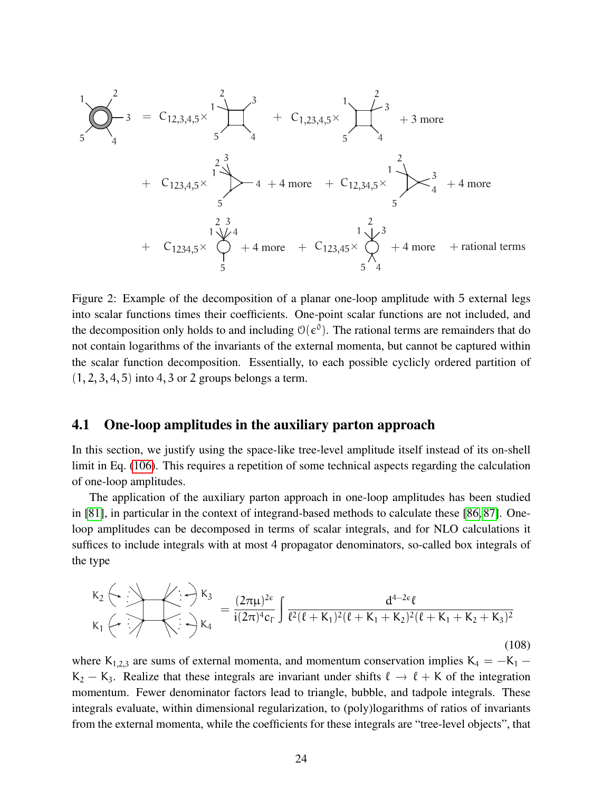$$
\begin{array}{ccc}\n1 & 2 & 3 \\
5 & 4 & 5\n\end{array}
$$
\n
$$
+ C_{1,23,4,5} \times \begin{array}{c} 1 \\ 5 \end{array}
$$
\n
$$
+ C_{1,23,4,5} \times \begin{array}{c} 1 \\ 4 \end{array}
$$
\n
$$
+ C_{1,23,4,5} \times \begin{array}{c} 1 \\ 5 \end{array}
$$
\n
$$
+ C_{1,23,4,5} \times \begin{array}{c} 1 \\ 5 \end{array}
$$
\n
$$
+ C_{1,23,4,5} \times \begin{array}{c} 1 \\ 5 \end{array}
$$
\n
$$
+ C_{1,23,4,5} \times \begin{array}{c} 1 \\ 5 \end{array}
$$
\n
$$
+ C_{1,23,4,5} \times \begin{array}{c} 1 \\ 5 \end{array}
$$
\n
$$
+ C_{1,23,4,5} \times \begin{array}{c} 1 \\ 5 \end{array}
$$
\n
$$
+ C_{1,23,4,5} \times \begin{array}{c} 1 \\ 5 \end{array}
$$
\n
$$
+ 4 \text{ more } + C_{1,23,4,5} \times \begin{array}{c} 1 \\ 5 \end{array}
$$
\n
$$
+ 4 \text{ more } + C_{1,23,4,5} \times \begin{array}{c} 1 \\ 5 \end{array}
$$
\n
$$
+ 4 \text{ more } + \text{rational terms}
$$

Figure 2: Example of the decomposition of a planar one-loop amplitude with 5 external legs into scalar functions times their coefficients. One-point scalar functions are not included, and the decomposition only holds to and including  $\mathcal{O}(\epsilon^0)$ . The rational terms are remainders that do not contain logarithms of the invariants of the external momenta, but cannot be captured within the scalar function decomposition. Essentially, to each possible cyclicly ordered partition of  $(1, 2, 3, 4, 5)$  into 4, 3 or 2 groups belongs a term.

#### <span id="page-23-0"></span>4.1 One-loop amplitudes in the auxiliary parton approach

In this section, we justify using the space-like tree-level amplitude itself instead of its on-shell limit in Eq. [\(106\)](#page-22-2). This requires a repetition of some technical aspects regarding the calculation of one-loop amplitudes.

The application of the auxiliary parton approach in one-loop amplitudes has been studied in [\[81\]](#page-41-0), in particular in the context of integrand-based methods to calculate these [\[86,](#page-41-5) [87\]](#page-41-6). Oneloop amplitudes can be decomposed in terms of scalar integrals, and for NLO calculations it suffices to include integrals with at most 4 propagator denominators, so-called box integrals of the type

$$
K_{2} \leftarrow \bigoplus_{k_{1}}^{k_{2}} \leftarrow \bigoplus_{k_{3}}^{k_{3}} = \frac{(2\pi\mu)^{2\epsilon}}{i(2\pi)^{4}c_{\Gamma}} \int \frac{d^{4-2\epsilon}\ell}{\ell^{2}(\ell + K_{1})^{2}(\ell + K_{1} + K_{2})^{2}(\ell + K_{1} + K_{2} + K_{3})^{2}}
$$
\n(108)

where K<sub>1,2,3</sub> are sums of external momenta, and momentum conservation implies K<sub>4</sub> =  $-K_1$  −  $K_2 - K_3$ . Realize that these integrals are invariant under shifts  $\ell \to \ell + K$  of the integration momentum. Fewer denominator factors lead to triangle, bubble, and tadpole integrals. These integrals evaluate, within dimensional regularization, to (poly)logarithms of ratios of invariants from the external momenta, while the coefficients for these integrals are "tree-level objects", that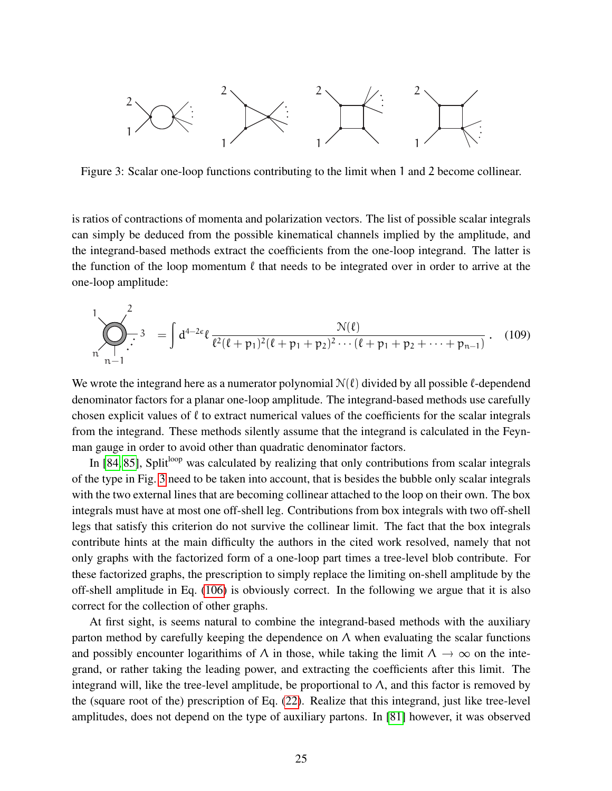

<span id="page-24-0"></span>Figure 3: Scalar one-loop functions contributing to the limit when 1 and 2 become collinear.

is ratios of contractions of momenta and polarization vectors. The list of possible scalar integrals can simply be deduced from the possible kinematical channels implied by the amplitude, and the integrand-based methods extract the coefficients from the one-loop integrand. The latter is the function of the loop momentum  $\ell$  that needs to be integrated over in order to arrive at the one-loop amplitude:

$$
\sum_{n=1}^{1} \sum_{n=1}^{2} 3 = \int d^{4-2\epsilon} \ell \frac{\mathcal{N}(\ell)}{\ell^2 (\ell+p_1)^2 (\ell+p_1+p_2)^2 \cdots (\ell+p_1+p_2+\cdots+p_{n-1})} . \quad (109)
$$

We wrote the integrand here as a numerator polynomial  $N(\ell)$  divided by all possible  $\ell$ -dependend denominator factors for a planar one-loop amplitude. The integrand-based methods use carefully chosen explicit values of  $\ell$  to extract numerical values of the coefficients for the scalar integrals from the integrand. These methods silently assume that the integrand is calculated in the Feynman gauge in order to avoid other than quadratic denominator factors.

In  $[84, 85]$  $[84, 85]$ , Split<sup>loop</sup> was calculated by realizing that only contributions from scalar integrals of the type in Fig. [3](#page-24-0) need to be taken into account, that is besides the bubble only scalar integrals with the two external lines that are becoming collinear attached to the loop on their own. The box integrals must have at most one off-shell leg. Contributions from box integrals with two off-shell legs that satisfy this criterion do not survive the collinear limit. The fact that the box integrals contribute hints at the main difficulty the authors in the cited work resolved, namely that not only graphs with the factorized form of a one-loop part times a tree-level blob contribute. For these factorized graphs, the prescription to simply replace the limiting on-shell amplitude by the off-shell amplitude in Eq. [\(106\)](#page-22-2) is obviously correct. In the following we argue that it is also correct for the collection of other graphs.

At first sight, is seems natural to combine the integrand-based methods with the auxiliary parton method by carefully keeping the dependence on  $\Lambda$  when evaluating the scalar functions and possibly encounter logarithims of  $\Lambda$  in those, while taking the limit  $\Lambda \to \infty$  on the integrand, or rather taking the leading power, and extracting the coefficients after this limit. The integrand will, like the tree-level amplitude, be proportional to  $\Lambda$ , and this factor is removed by the (square root of the) prescription of Eq. [\(22\)](#page-8-0). Realize that this integrand, just like tree-level amplitudes, does not depend on the type of auxiliary partons. In [\[81\]](#page-41-0) however, it was observed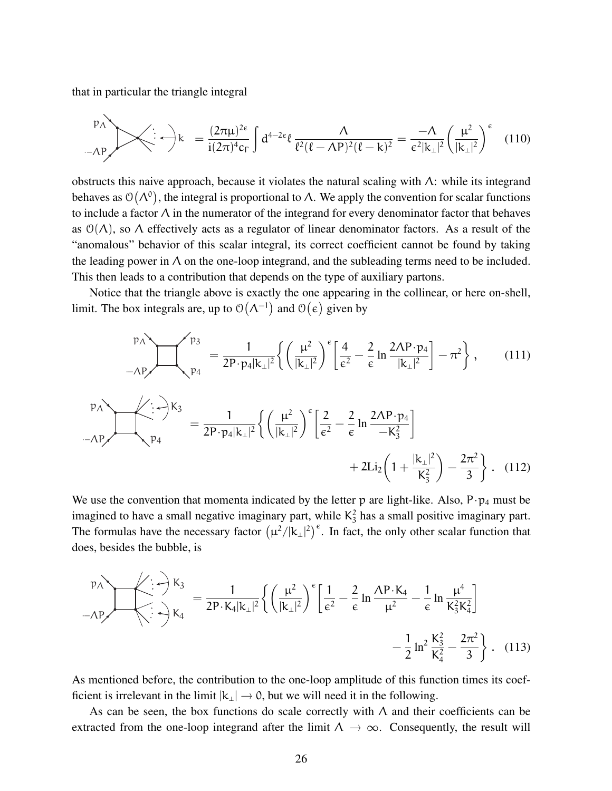that in particular the triangle integral

$$
\mu_{\Lambda} \left( \frac{p_{\Lambda}}{|\mathbf{k}|^{2}} \right) \mathbf{k} = \frac{(2\pi\mu)^{2\epsilon}}{i(2\pi)^{4}c_{\Gamma}} \int d^{4-2\epsilon} \ell \frac{\Lambda}{\ell^{2}(\ell-\Lambda P)^{2}(\ell-k)^{2}} = \frac{-\Lambda}{\epsilon^{2}|\mathbf{k}_{\perp}|^{2}} \left( \frac{\mu^{2}}{|\mathbf{k}_{\perp}|^{2}} \right)^{\epsilon} \quad (110)
$$

obstructs this naive approach, because it violates the natural scaling with  $\Lambda$ : while its integrand behaves as  $\mathcal{O}(\Lambda^0)$ , the integral is proportional to  $\Lambda$ . We apply the convention for scalar functions to include a factor  $\Lambda$  in the numerator of the integrand for every denominator factor that behaves as  $\mathcal{O}(\Lambda)$ , so  $\Lambda$  effectively acts as a regulator of linear denominator factors. As a result of the "anomalous" behavior of this scalar integral, its correct coefficient cannot be found by taking the leading power in  $\Lambda$  on the one-loop integrand, and the subleading terms need to be included. This then leads to a contribution that depends on the type of auxiliary partons.

Notice that the triangle above is exactly the one appearing in the collinear, or here on-shell, limit. The box integrals are, up to  $\mathcal{O}(\Lambda^{-1})$  and  $\mathcal{O}(\epsilon)$  given by

$$
\begin{aligned}\n &\text{p}_{A} \\
 &\text{p}_{4} \\
 &\text{p}_{4} \\
 &\text{p}_{4} \\
 &\text{p}_{4} \\
 &\text{p}_{4} \\
 &\text{p}_{4} \\
 &\text{p}_{4} \\
 &\text{p}_{4} \\
 &\text{p}_{4} \\
 &\text{p}_{4} \\
 &\text{p}_{4} \\
 &\text{p}_{4} \\
 &\text{p}_{4} \\
 &\text{p}_{4} \\
 &\text{p}_{4} \\
 &\text{p}_{4} \\
 &\text{p}_{4} \\
 &\text{p}_{4} \\
 &\text{p}_{4} \\
 &\text{p}_{4} \\
 &\text{p}_{4} \\
 &\text{p}_{4} \\
 &\text{p}_{4} \\
 &\text{p}_{4} \\
 &\text{p}_{4} \\
 &\text{p}_{4} \\
 &\text{p}_{4} \\
 &\text{p}_{4} \\
 &\text{p}_{4} \\
 &\text{p}_{4} \\
 &\text{p}_{4} \\
 &\text{p}_{4} \\
 &\text{p}_{4} \\
 &\text{p}_{4} \\
 &\text{p}_{4} \\
 &\text{p}_{4} \\
 &\text{p}_{4} \\
 &\text{p}_{4} \\
 &\text{p}_{4} \\
 &\text{p}_{4} \\
 &\text{p}_{4} \\
 &\text{p}_{4} \\
 &\text{p}_{4} \\
 &\text{p}_{4} \\
 &\text{p}_{4} \\
 &\text{p}_{4} \\
 &\text{p}_{4} \\
 &\text{p}_{4} \\
 &\text{p}_{4} \\
 &\text{p}_{4} \\
 &\text{p}_{4} \\
 &\text{p}_{4} \\
 &\text{p}_{4} \\
 &\text{p}_{4} \\
 &\text{p}_{4} \\
 &\text{p}_{4} \\
 &\text{p}_{4} \\
 &\text{p}_{4} \\
 &\text{p}_{4} \\
 &\text{p}_{4} \\
 &\text{p}_{4} \\
 &\text{p}_{4} \\
 &\text{p}_{4} \\
 &\text{p}_{4} \\
 &\text{p}_{4} \\
 &\text{p}_{4} \\
 &\text{p}_{4} \\
 &\text{p}_{4} \\
 &\text{p}_{4} \\
 &\text{p}_{4} \\
 &\text{p}_{4} \\
 &\text{p}_{4} \\
 &\text{p}_{4} \\
 &\text{p}_{4} \\
 &\text
$$

We use the convention that momenta indicated by the letter p are light-like. Also,  $P \cdot p_4$  must be imagined to have a small negative imaginary part, while  $K_3^2$  has a small positive imaginary part. The formulas have the necessary factor  $(\mu^2/|k_1|^2)^{\epsilon}$ . In fact, the only other scalar function that does, besides the bubble, is

$$
\frac{p_{A}}{-AP} \times \left\{ \frac{1}{2} + \frac{1}{2}k_{3} = \frac{1}{2P \cdot K_{4}|k_{\perp}|^{2}} \left\{ \left( \frac{\mu^{2}}{|k_{\perp}|^{2}} \right)^{\epsilon} \left[ \frac{1}{\epsilon^{2}} - \frac{2}{\epsilon} \ln \frac{\Lambda P \cdot K_{4}}{\mu^{2}} - \frac{1}{\epsilon} \ln \frac{\mu^{4}}{K_{3}^{2}K_{4}^{2}} \right] - \frac{1}{2} \ln^{2} \frac{K_{3}^{2}}{K_{4}^{2}} - \frac{2\pi^{2}}{3} \right\}. \quad (113)
$$

As mentioned before, the contribution to the one-loop amplitude of this function times its coefficient is irrelevant in the limit  $|k_\perp| \to 0$ , but we will need it in the following.

As can be seen, the box functions do scale correctly with  $\Lambda$  and their coefficients can be extracted from the one-loop integrand after the limit  $\Lambda \to \infty$ . Consequently, the result will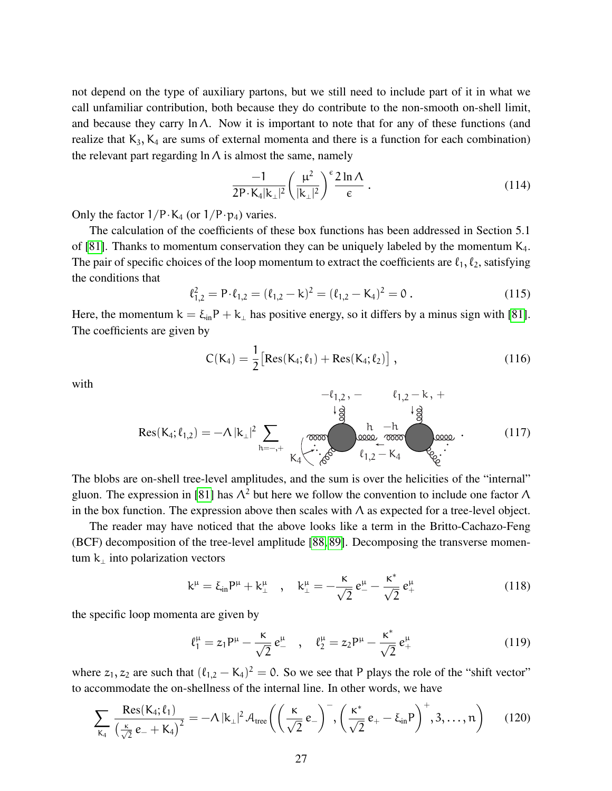not depend on the type of auxiliary partons, but we still need to include part of it in what we call unfamiliar contribution, both because they do contribute to the non-smooth on-shell limit, and because they carry  $\ln \Lambda$ . Now it is important to note that for any of these functions (and realize that  $K_3$ ,  $K_4$  are sums of external momenta and there is a function for each combination) the relevant part regarding  $\ln \Lambda$  is almost the same, namely

<span id="page-26-1"></span>
$$
\frac{-1}{2P \cdot K_4 |k_\perp|^2} \left(\frac{\mu^2}{|k_\perp|^2}\right)^{\epsilon} \frac{2 \ln \Lambda}{\epsilon} \,. \tag{114}
$$

Only the factor  $1/P \cdot K_4$  (or  $1/P \cdot p_4$ ) varies.

The calculation of the coefficients of these box functions has been addressed in Section 5.1 of [\[81\]](#page-41-0). Thanks to momentum conservation they can be uniquely labeled by the momentum  $K_4$ . The pair of specific choices of the loop momentum to extract the coefficients are  $\ell_1, \ell_2$ , satisfying the conditions that

$$
\ell_{1,2}^2 = P \cdot \ell_{1,2} = (\ell_{1,2} - k)^2 = (\ell_{1,2} - K_4)^2 = 0.
$$
 (115)

Here, the momentum  $k = \xi_{in}P + k_{\perp}$  has positive energy, so it differs by a minus sign with [\[81\]](#page-41-0). The coefficients are given by

$$
C(K_4) = \frac{1}{2} [Res(K_4; \ell_1) + Res(K_4; \ell_2)] ,
$$
 (116)

with

<span id="page-26-2"></span>
$$
-\ell_{1,2} - \ell_{1,2} - k + \frac{1}{2}
$$
  
Res(K<sub>4</sub>;  $\ell_{1,2}$ ) =  $-\Lambda |k_{\perp}|^{2} \sum_{h=-,+}^{\infty} \underbrace{\begin{pmatrix} \cos \theta & h & -h \\ \cos \theta & \cos \theta & \cos \theta \\ -h & -k & -k \end{pmatrix}}_{k_{1,2} - k_{4}} \underbrace{\begin{pmatrix} h & -h & -h \\ \cos \theta & \cos \theta & \cos \theta \\ -h & -k & -k \end{pmatrix}}_{k_{2,2} - k_{4}} \cdot (117)$ 

The blobs are on-shell tree-level amplitudes, and the sum is over the helicities of the "internal" gluon. The expression in [\[81\]](#page-41-0) has  $\Lambda^2$  but here we follow the convention to include one factor  $\Lambda$ in the box function. The expression above then scales with  $\Lambda$  as expected for a tree-level object.

The reader may have noticed that the above looks like a term in the Britto-Cachazo-Feng (BCF) decomposition of the tree-level amplitude [\[88,](#page-41-7) [89\]](#page-41-8). Decomposing the transverse momentum  $k_{\perp}$  into polarization vectors

$$
k^{\mu} = \xi_{in} P^{\mu} + k^{\mu}_{\perp} \quad , \quad k^{\mu}_{\perp} = -\frac{\kappa}{\sqrt{2}} e^{\mu}_{-} - \frac{\kappa^{*}}{\sqrt{2}} e^{\mu}_{+} \tag{118}
$$

the specific loop momenta are given by

$$
\ell_1^{\mu} = z_1 P^{\mu} - \frac{\kappa}{\sqrt{2}} e^{\mu} \quad , \quad \ell_2^{\mu} = z_2 P^{\mu} - \frac{\kappa^*}{\sqrt{2}} e^{\mu} + \tag{119}
$$

where  $z_1, z_2$  are such that  $(\ell_{1,2} - K_4)^2 = 0$ . So we see that P plays the role of the "shift vector" to accommodate the on-shellness of the internal line. In other words, we have

<span id="page-26-0"></span>
$$
\sum_{K_4} \frac{\operatorname{Res}(K_4; \ell_1)}{\left(\frac{\kappa}{\sqrt{2}}\,e_- + K_4\right)^2} = -\Lambda \, |\mathbf{k}_\perp|^2 \, \mathcal{A}_{\text{tree}} \bigg( \bigg( \frac{\kappa}{\sqrt{2}}\,e_- \bigg)^-, \bigg( \frac{\kappa^*}{\sqrt{2}}\,e_+ - \xi_{\text{in}} P \bigg)^+, 3, \ldots, n \bigg) \qquad (120)
$$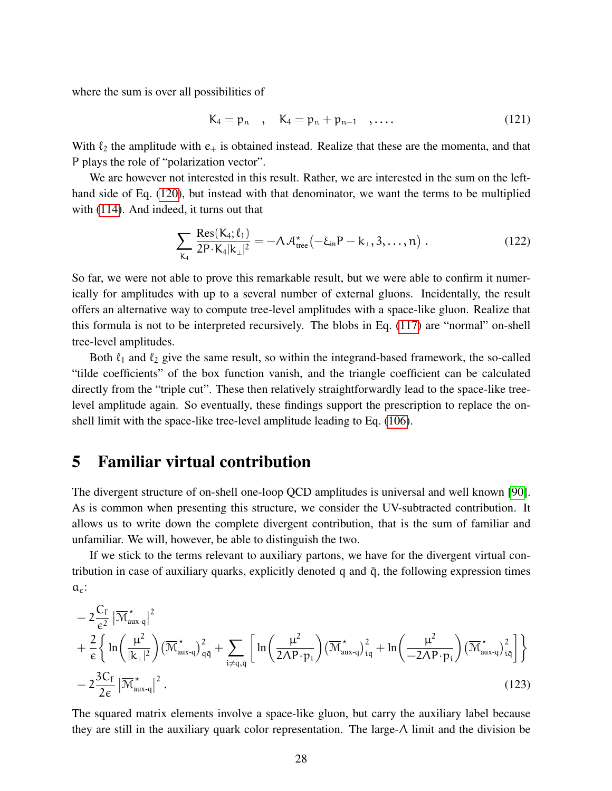where the sum is over all possibilities of

$$
K_4 = p_n , K_4 = p_n + p_{n-1} , \dots
$$
 (121)

With  $\ell_2$  the amplitude with  $e_+$  is obtained instead. Realize that these are the momenta, and that P plays the role of "polarization vector".

We are however not interested in this result. Rather, we are interested in the sum on the lefthand side of Eq. [\(120\)](#page-26-0), but instead with that denominator, we want the terms to be multiplied with [\(114\)](#page-26-1). And indeed, it turns out that

$$
\sum_{K_4} \frac{\text{Res}(K_4; \ell_1)}{2P \cdot K_4 |k_{\perp}|^2} = -\Lambda \mathcal{A}^*_{\text{tree}}(-\xi_{\text{in}} P - k_{\perp}, 3, \dots, n) \tag{122}
$$

So far, we were not able to prove this remarkable result, but we were able to confirm it numerically for amplitudes with up to a several number of external gluons. Incidentally, the result offers an alternative way to compute tree-level amplitudes with a space-like gluon. Realize that this formula is not to be interpreted recursively. The blobs in Eq. [\(117\)](#page-26-2) are "normal" on-shell tree-level amplitudes.

Both  $\ell_1$  and  $\ell_2$  give the same result, so within the integrand-based framework, the so-called "tilde coefficients" of the box function vanish, and the triangle coefficient can be calculated directly from the "triple cut". These then relatively straightforwardly lead to the space-like treelevel amplitude again. So eventually, these findings support the prescription to replace the onshell limit with the space-like tree-level amplitude leading to Eq. [\(106\)](#page-22-2).

### <span id="page-27-0"></span>5 Familiar virtual contribution

The divergent structure of on-shell one-loop QCD amplitudes is universal and well known [\[90\]](#page-41-9). As is common when presenting this structure, we consider the UV-subtracted contribution. It allows us to write down the complete divergent contribution, that is the sum of familiar and unfamiliar. We will, however, be able to distinguish the two.

If we stick to the terms relevant to auxiliary partons, we have for the divergent virtual contribution in case of auxiliary quarks, explicitly denoted q and  $\bar{q}$ , the following expression times  $a_{\epsilon}$ :

$$
-2\frac{C_F}{\varepsilon^2} |\overline{\mathcal{M}}_{aux-q}^{\star}|^2 + \frac{2}{\varepsilon} \Biggl\{ \ln \left( \frac{\mu^2}{|k_{\perp}|^2} \right) (\overline{\mathcal{M}}_{aux-q}^{\star})_{q\bar{q}}^2 + \sum_{i \neq q, \bar{q}} \Biggl[ \ln \left( \frac{\mu^2}{2\Lambda P \cdot p_i} \right) (\overline{\mathcal{M}}_{aux-q}^{\star})_{iq}^2 + \ln \left( \frac{\mu^2}{-2\Lambda P \cdot p_i} \right) (\overline{\mathcal{M}}_{aux-q}^{\star})_{i\bar{q}}^2 \Biggr] \Biggr\} - 2\frac{3C_F}{2\varepsilon} |\overline{\mathcal{M}}_{aux-q}^{\star}|^2 .
$$
\n(123)

The squared matrix elements involve a space-like gluon, but carry the auxiliary label because they are still in the auxiliary quark color representation. The large-Λ limit and the division be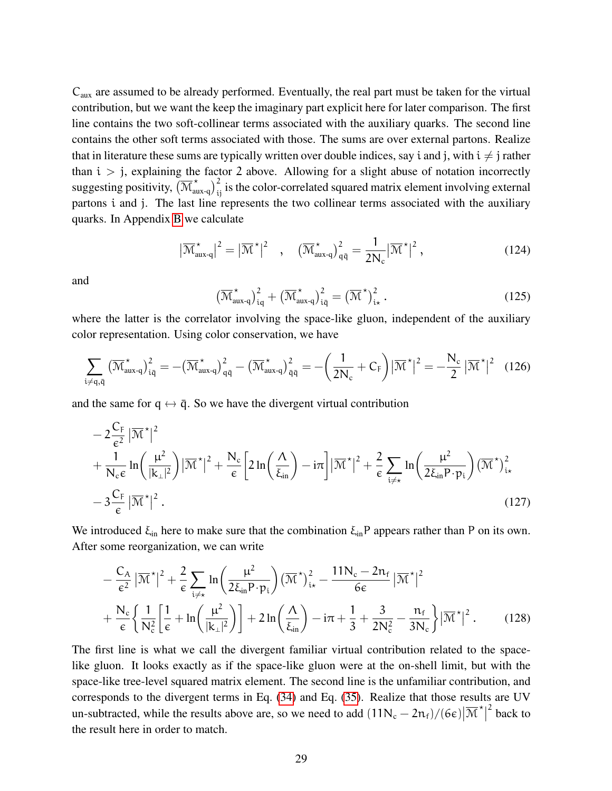$C<sub>aux</sub>$  are assumed to be already performed. Eventually, the real part must be taken for the virtual contribution, but we want the keep the imaginary part explicit here for later comparison. The first line contains the two soft-collinear terms associated with the auxiliary quarks. The second line contains the other soft terms associated with those. The sums are over external partons. Realize that in literature these sums are typically written over double indices, say i and j, with  $i \neq j$  rather than  $i > j$ , explaining the factor 2 above. Allowing for a slight abuse of notation incorrectly suggesting positivity,  $(\overline{M}^{\star}_{aux-q})^2_{ij}$  is the color-correlated squared matrix element involving external partons i and j. The last line represents the two collinear terms associated with the auxiliary quarks. In Appendix [B](#page-43-0) we calculate

$$
\left|\overline{\mathcal{M}}_{\text{aux-q}}^{\star}\right|^2 = \left|\overline{\mathcal{M}}^{\star}\right|^2 \quad , \quad \left(\overline{\mathcal{M}}_{\text{aux-q}}^{\star}\right)^2_{q\bar{q}} = \frac{1}{2N_c} \left|\overline{\mathcal{M}}^{\star}\right|^2 , \tag{124}
$$

and

$$
\left(\overline{\mathcal{M}}_{\text{aux-q}}^{\star}\right)^2_{iq} + \left(\overline{\mathcal{M}}_{\text{aux-q}}^{\star}\right)^2_{iq} = \left(\overline{\mathcal{M}}^{\star}\right)^2_{i\star}.
$$
\n(125)

where the latter is the correlator involving the space-like gluon, independent of the auxiliary color representation. Using color conservation, we have

$$
\sum_{\mathbf{i}\neq\mathbf{q},\bar{\mathbf{q}}} \left(\overline{\mathcal{M}}_{\text{aux-q}}^{\star}\right)_{\mathbf{i}\bar{\mathbf{q}}}^{2} = -\left(\overline{\mathcal{M}}_{\text{aux-q}}^{\star}\right)_{\mathbf{q}\bar{\mathbf{q}}}^{2} - \left(\overline{\mathcal{M}}_{\text{aux-q}}^{\star}\right)_{\bar{\mathbf{q}}\bar{\mathbf{q}}}^{2} = -\left(\frac{1}{2N_{\mathrm{c}}} + C_{\mathrm{F}}\right)\left|\overline{\mathcal{M}}^{\star}\right|^{2} = -\frac{N_{\mathrm{c}}}{2}\left|\overline{\mathcal{M}}^{\star}\right|^{2} \quad (126)
$$

and the same for  $q \leftrightarrow \bar{q}$ . So we have the divergent virtual contribution

$$
-2\frac{C_F}{\epsilon^2} |\overline{\mathcal{M}}^{\star}|^2 + \frac{1}{N_c \epsilon} \ln \left( \frac{\mu^2}{|\mathbf{k}_\perp|^2} \right) |\overline{\mathcal{M}}^{\star}|^2 + \frac{N_c}{\epsilon} \left[ 2 \ln \left( \frac{\Lambda}{\xi_{\text{in}}} \right) - i\pi \right] |\overline{\mathcal{M}}^{\star}|^2 + \frac{2}{\epsilon} \sum_{i \neq \star} \ln \left( \frac{\mu^2}{2\xi_{\text{in}} P \cdot p_i} \right) (\overline{\mathcal{M}}^{\star})_{i\star}^2 - 3\frac{C_F}{\epsilon} |\overline{\mathcal{M}}^{\star}|^2.
$$
\n(127)

We introduced  $\xi_{in}$  here to make sure that the combination  $\xi_{in}P$  appears rather than P on its own. After some reorganization, we can write

$$
-\frac{C_A}{\epsilon^2} |\overline{\mathcal{M}}^{\star}|^2 + \frac{2}{\epsilon} \sum_{i \neq x} \ln \left( \frac{\mu^2}{2\xi_{in} P \cdot p_i} \right) (\overline{\mathcal{M}}^{\star})_{i\star}^2 - \frac{11N_c - 2n_f}{6\epsilon} |\overline{\mathcal{M}}^{\star}|^2 + \frac{N_c}{\epsilon} \left\{ \frac{1}{N_c^2} \left[ \frac{1}{\epsilon} + \ln \left( \frac{\mu^2}{|k_{\perp}|^2} \right) \right] + 2\ln \left( \frac{\Lambda}{\xi_{in}} \right) - i\pi + \frac{1}{3} + \frac{3}{2N_c^2} - \frac{n_f}{3N_c} \right\} |\overline{\mathcal{M}}^{\star}|^2.
$$
 (128)

The first line is what we call the divergent familiar virtual contribution related to the spacelike gluon. It looks exactly as if the space-like gluon were at the on-shell limit, but with the space-like tree-level squared matrix element. The second line is the unfamiliar contribution, and corresponds to the divergent terms in Eq. [\(34\)](#page-9-4) and Eq. [\(35\)](#page-9-2). Realize that those results are UV un-subtracted, while the results above are, so we need to add  $(11N_c - 2n_f)/(6ε)$   $|\overline{\mathcal{M}}^*|$  $2$  back to the result here in order to match.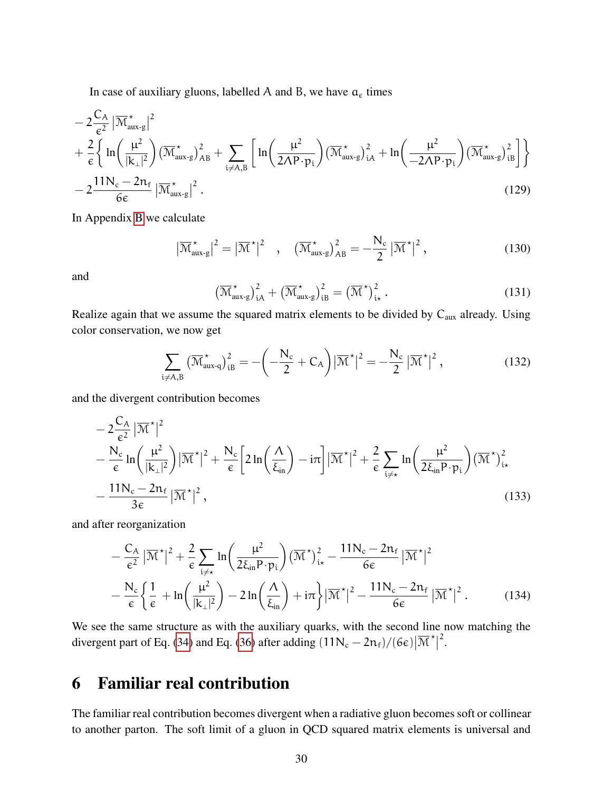In case of auxiliary gluons, labelled A and B, we have  $a_{\epsilon}$  times

$$
-2\frac{C_A}{\epsilon^2} |\overline{\mathcal{M}}_{aux-g}^{\star}|^2 + \frac{2}{\epsilon} \Biggl\{ \ln \left( \frac{\mu^2}{|k_{\perp}|^2} \right) (\overline{\mathcal{M}}_{aux-g}^{\star})_{AB}^2 + \sum_{i \neq A,B} \left[ \ln \left( \frac{\mu^2}{2\Lambda P \cdot p_i} \right) (\overline{\mathcal{M}}_{aux-g}^{\star})_{iA}^2 + \ln \left( \frac{\mu^2}{-2\Lambda P \cdot p_i} \right) (\overline{\mathcal{M}}_{aux-g}^{\star})_{iB}^2 \right] \Biggr\} - 2 \frac{11 N_c - 2 n_f}{6\epsilon} |\overline{\mathcal{M}}_{aux-g}^{\star}|^2.
$$
 (129)

In Appendix [B](#page-43-0) we calculate

$$
\left|\overline{\mathcal{M}}_{\text{aux-g}}^{\star}\right|^2 = \left|\overline{\mathcal{M}}^{\star}\right|^2 \quad , \quad \left(\overline{\mathcal{M}}_{\text{aux-g}}^{\star}\right)^2_{AB} = -\frac{N_c}{2} \left|\overline{\mathcal{M}}^{\star}\right|^2, \tag{130}
$$

and

$$
\left(\overline{\mathcal{M}}_{\text{aux-g}}^{\star}\right)^2_{iA} + \left(\overline{\mathcal{M}}_{\text{aux-g}}^{\star}\right)^2_{iB} = \left(\overline{\mathcal{M}}^{\star}\right)^2_{i\star}.
$$
 (131)

Realize again that we assume the squared matrix elements to be divided by  $C_{\text{aux}}$  already. Using color conservation, we now get

$$
\sum_{i \neq A,B} \left( \overline{\mathcal{M}}_{aux-q}^{\star} \right)_{iB}^2 = -\left( -\frac{N_c}{2} + C_A \right) \left| \overline{\mathcal{M}}^{\star} \right|^2 = -\frac{N_c}{2} \left| \overline{\mathcal{M}}^{\star} \right|^2, \tag{132}
$$

and the divergent contribution becomes

$$
-2\frac{C_A}{\epsilon^2} |\overline{\mathcal{M}}^*|^2
$$
  

$$
-\frac{N_c}{\epsilon} \ln \left( \frac{\mu^2}{|\mathbf{k}_\perp|^2} \right) |\overline{\mathcal{M}}^*|^2 + \frac{N_c}{\epsilon} \left[ 2 \ln \left( \frac{\Lambda}{\xi_{\text{in}}} \right) - i\pi \right] |\overline{\mathcal{M}}^*|^2 + \frac{2}{\epsilon} \sum_{i \neq x} \ln \left( \frac{\mu^2}{2\xi_{\text{in}} P \cdot p_i} \right) (\overline{\mathcal{M}}^*)_{i\star}^2
$$
  

$$
-\frac{11N_c - 2n_f}{3\epsilon} |\overline{\mathcal{M}}^*|^2,
$$
 (133)

and after reorganization

$$
-\frac{C_A}{\epsilon^2} |\overline{\mathcal{M}}^{\star}|^2 + \frac{2}{\epsilon} \sum_{i \neq x} \ln \left( \frac{\mu^2}{2\xi_{in} P \cdot p_i} \right) (\overline{\mathcal{M}}^{\star})_{i\star}^2 - \frac{11N_c - 2n_f}{6\epsilon} |\overline{\mathcal{M}}^{\star}|^2
$$

$$
-\frac{N_c}{\epsilon} \left\{ \frac{1}{\epsilon} + \ln \left( \frac{\mu^2}{|k_{\perp}|^2} \right) - 2\ln \left( \frac{\Lambda}{\xi_{in}} \right) + i\pi \right\} |\overline{\mathcal{M}}^{\star}|^2 - \frac{11N_c - 2n_f}{6\epsilon} |\overline{\mathcal{M}}^{\star}|^2. \tag{134}
$$

We see the same structure as with the auxiliary quarks, with the second line now matching the divergent part of Eq. [\(34\)](#page-9-4) and Eq. [\(36\)](#page-9-3) after adding  $(11N_c - 2n_f)/(6\epsilon) |\overline{\mathcal{M}}^{\star}|$ 2 .

# <span id="page-29-0"></span>6 Familiar real contribution

The familiar real contribution becomes divergent when a radiative gluon becomes soft or collinear to another parton. The soft limit of a gluon in QCD squared matrix elements is universal and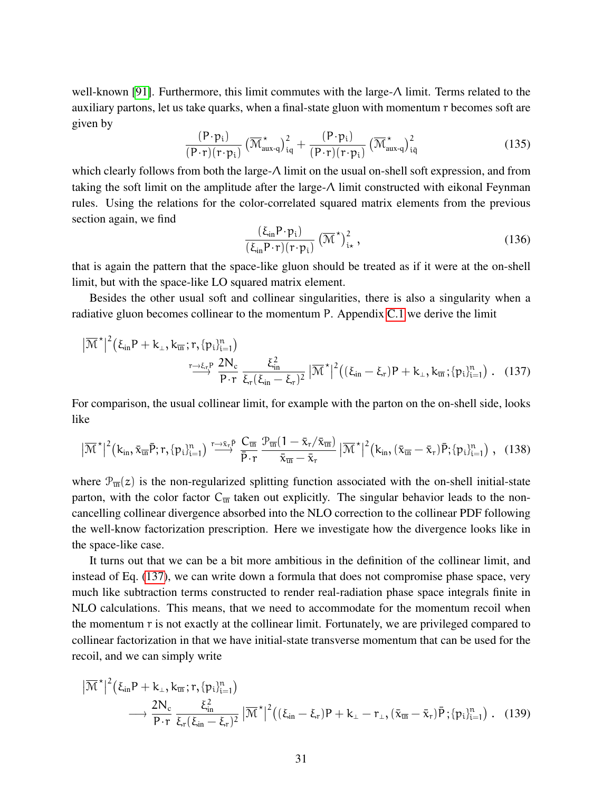well-known [\[91\]](#page-41-10). Furthermore, this limit commutes with the large-Λ limit. Terms related to the auxiliary partons, let us take quarks, when a final-state gluon with momentum r becomes soft are given by

$$
\frac{(\mathbf{P}\cdot\mathbf{p}_{i})}{(\mathbf{P}\cdot\mathbf{r})(\mathbf{r}\cdot\mathbf{p}_{i})}\left(\overline{\mathbf{\mathcal{M}}}^{\star}_{\text{aux-q}}\right)^{2}_{iq}+\frac{(\mathbf{P}\cdot\mathbf{p}_{i})}{(\mathbf{P}\cdot\mathbf{r})(\mathbf{r}\cdot\mathbf{p}_{i})}\left(\overline{\mathbf{\mathcal{M}}}^{\star}_{\text{aux-q}}\right)^{2}_{iq}
$$
(135)

which clearly follows from both the large-Λ limit on the usual on-shell soft expression, and from taking the soft limit on the amplitude after the large-Λ limit constructed with eikonal Feynman rules. Using the relations for the color-correlated squared matrix elements from the previous section again, we find

<span id="page-30-0"></span>
$$
\frac{(\xi_{\rm in} \mathbf{P} \cdot \mathbf{p}_i)}{(\xi_{\rm in} \mathbf{P} \cdot \mathbf{r})(\mathbf{r} \cdot \mathbf{p}_i)} \left(\overline{\mathbf{M}}^{\star}\right)^2_{i\star},\tag{136}
$$

that is again the pattern that the space-like gluon should be treated as if it were at the on-shell limit, but with the space-like LO squared matrix element.

Besides the other usual soft and collinear singularities, there is also a singularity when a radiative gluon becomes collinear to the momentum P. Appendix [C.1](#page-47-0) we derive the limit

$$
|\overline{\mathcal{M}}^{\star}|^{2}(\xi_{in}P+k_{\perp},k_{\overline{m}};r,\{p_{i}\}_{i=1}^{n})\n\xrightarrow{r\to\xi_{\tau}P}\frac{2N_{c}}{P\cdot r}\frac{\xi_{in}^{2}}{\xi_{r}(\xi_{in}-\xi_{r})^{2}}|\overline{\mathcal{M}}^{\star}|^{2}((\xi_{in}-\xi_{r})P+k_{\perp},k_{\overline{m}};_{p_{i}\}_{i=1}^{n})\n\qquad (137)
$$

For comparison, the usual collinear limit, for example with the parton on the on-shell side, looks like

$$
\left| \overline{\mathcal{M}}^{\star} \right|^2 (k_{in}, \bar{x}_{\overline{in}} \bar{P}; r, \{ p_i \}_{i=1}^n) \stackrel{r \to \bar{x}_r \bar{P}}{\longrightarrow} \frac{C_{\overline{in}}}{\bar{P} \cdot r} \frac{\mathcal{P}_{\overline{in}} (1 - \bar{x}_r / \bar{x}_{\overline{in}})}{\bar{x}_{\overline{in}} - \bar{x}_r} \left| \overline{\mathcal{M}}^{\star} \right|^2 (k_{in}, (\bar{x}_{\overline{in}} - \bar{x}_r) \bar{P}; \{ p_i \}_{i=1}^n), (138)
$$

where  $\mathcal{P}_{\overline{u}}(z)$  is the non-regularized splitting function associated with the on-shell initial-state parton, with the color factor  $C_{\overline{u}}$  taken out explicitly. The singular behavior leads to the noncancelling collinear divergence absorbed into the NLO correction to the collinear PDF following the well-know factorization prescription. Here we investigate how the divergence looks like in the space-like case.

It turns out that we can be a bit more ambitious in the definition of the collinear limit, and instead of Eq. [\(137\)](#page-30-0), we can write down a formula that does not compromise phase space, very much like subtraction terms constructed to render real-radiation phase space integrals finite in NLO calculations. This means, that we need to accommodate for the momentum recoil when the momentum r is not exactly at the collinear limit. Fortunately, we are privileged compared to collinear factorization in that we have initial-state transverse momentum that can be used for the recoil, and we can simply write

<span id="page-30-1"></span>
$$
\begin{split} \big| \overline{\mathcal{M}}^{\star} \big|^{2} \big( \xi_{\text{in}} P + k_{\perp}, k_{\overline{\text{in}}}; r, \{ p_{i} \}_{i=1}^{n} \big) \\ &\longrightarrow \frac{2N_{c}}{P \cdot r} \frac{\xi_{\text{in}}^{2}}{\xi_{r}(\xi_{\text{in}} - \xi_{r})^{2}} \big| \overline{\mathcal{M}}^{\star} \big|^{2} \big( (\xi_{\text{in}} - \xi_{r}) P + k_{\perp} - r_{\perp}, (\bar{x}_{\overline{\text{in}}} - \bar{x}_{r}) \bar{P}; \{ p_{i} \}_{i=1}^{n} \big) . \end{split} \tag{139}
$$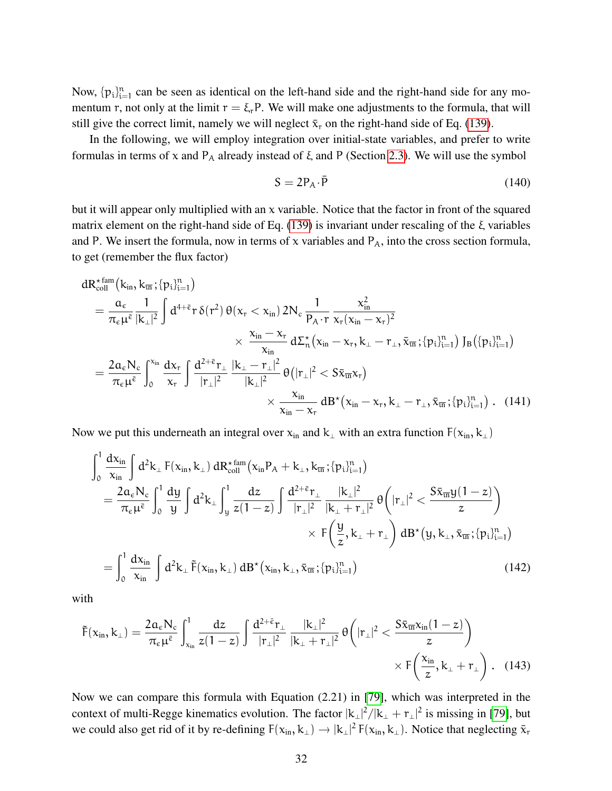Now,  $\{p_i\}_{i=1}^n$  can be seen as identical on the left-hand side and the right-hand side for any momentum r, not only at the limit  $r = \xi_r P$ . We will make one adjustments to the formula, that will still give the correct limit, namely we will neglect  $\bar{x}_r$  on the right-hand side of Eq. [\(139\)](#page-30-1).

In the following, we will employ integration over initial-state variables, and prefer to write formulas in terms of x and  $P_A$  already instead of  $\xi$  and P (Section [2.3\)](#page-8-2). We will use the symbol

$$
S = 2P_A \cdot \bar{P} \tag{140}
$$

but it will appear only multiplied with an x variable. Notice that the factor in front of the squared matrix element on the right-hand side of Eq. [\(139\)](#page-30-1) is invariant under rescaling of the ξ variables and P. We insert the formula, now in terms of x variables and  $P_A$ , into the cross section formula, to get (remember the flux factor)

$$
\begin{aligned} dR_{\text{coll}}^{\star\,\text{fan}}\big(k_{\text{in}},k_{\overline{\text{in}}};&\{p_i\}_{i=1}^n\big) \\ &=\frac{\alpha_\varepsilon}{\pi_\varepsilon\mu^{\bar{\varepsilon}}}\frac{1}{|k_\perp|^2}\int d^{4+\bar{\varepsilon}}r\,\delta(r^2)\,\theta(x_r < x_{\text{in}})\,2N_\text{c}\,\frac{1}{P_A\cdot r}\frac{x_{\text{in}}^2}{x_r(x_{\text{in}}-x_r)^2} \\ &\times \frac{x_{\text{in}}-x_r}{x_{\text{in}}}\,d\Sigma_n^\star\big(x_{\text{in}}-x_r,k_\perp-r_\perp,\bar{x}_{\overline{\text{in}}};\{p_i\}_{i=1}^n\big)\,J_B\big(\{p_i\}_{i=1}^n\big) \\ &=\frac{2\alpha_\varepsilon N_\text{c}}{\pi_\varepsilon\mu^{\bar{\varepsilon}}}\int_0^{x_{\text{in}}}\frac{dx_r}{x_r}\int \frac{d^{2+\bar{\varepsilon}}r_\perp}{|r_\perp|^2}\frac{|k_\perp-r_\perp|^2}{|k_\perp|^2}\,\theta\big(|r_\perp|^2< S\bar{x}_{\overline{\text{in}}}x_r\big) \\ &\times \frac{x_{\text{in}}}{x_{\text{in}}-x_r}\,dB^\star\big(x_{\text{in}}-x_r,k_\perp-r_\perp,\bar{x}_{\overline{\text{in}}};\{p_i\}_{i=1}^n\big)\;.\quad(141) \end{aligned}
$$

Now we put this underneath an integral over  $x_{in}$  and  $k_{\perp}$  with an extra function  $F(x_{in}, k_{\perp})$ 

$$
\int_{0}^{1} \frac{dx_{in}}{x_{in}} \int d^{2}k_{\perp} F(x_{in}, k_{\perp}) dR_{coll}^{*fam}(x_{in} P_{A} + k_{\perp}, k_{\overline{in}}; \{p_{i}\}_{i=1}^{n})
$$
\n
$$
= \frac{2a_{\varepsilon}N_{c}}{\pi_{\varepsilon}\mu^{\overline{\varepsilon}}} \int_{0}^{1} \frac{dy}{y} \int d^{2}k_{\perp} \int_{y}^{1} \frac{dz}{z(1-z)} \int \frac{d^{2+\overline{\varepsilon}}r_{\perp}}{|r_{\perp}|^{2}} \frac{|k_{\perp}|^{2}}{|k_{\perp} + r_{\perp}|^{2}} \theta\left(|r_{\perp}|^{2} < \frac{S\overline{x}_{\overline{in}}y(1-z)}{z}\right)
$$
\n
$$
\times F\left(\frac{y}{z}, k_{\perp} + r_{\perp}\right) dB^{*}(y, k_{\perp}, \overline{x}_{\overline{in}}; \{p_{i}\}_{i=1}^{n})
$$
\n
$$
= \int_{0}^{1} \frac{dx_{in}}{x_{in}} \int d^{2}k_{\perp} \tilde{F}(x_{in}, k_{\perp}) dB^{*}(x_{in}, k_{\perp}, \overline{x}_{\overline{in}}; \{p_{i}\}_{i=1}^{n})
$$
\n(142)

with

<span id="page-31-0"></span>
$$
\tilde{F}(x_{in}, k_{\perp}) = \frac{2a_{\varepsilon}N_{c}}{\pi_{\varepsilon}\mu^{\bar{\varepsilon}}} \int_{x_{in}}^{1} \frac{dz}{z(1-z)} \int \frac{d^{2+\bar{\varepsilon}}r_{\perp}}{|r_{\perp}|^{2}} \frac{|k_{\perp}|^{2}}{|k_{\perp}+r_{\perp}|^{2}} \theta\left(|r_{\perp}|^{2} < \frac{S\bar{x}_{\overline{in}}x_{in}(1-z)}{z}\right) \times F\left(\frac{x_{in}}{z}, k_{\perp}+r_{\perp}\right).
$$
\n(143)

Now we can compare this formula with Equation (2.21) in [\[79\]](#page-40-12), which was interpreted in the context of multi-Regge kinematics evolution. The factor  $|k_\perp|^2/|k_\perp + r_\perp|^2$  is missing in [\[79\]](#page-40-12), but we could also get rid of it by re-defining  $F(x_{in}, k_\perp) \to |k_\perp|^2 F(x_{in}, k_\perp)$ . Notice that neglecting  $\bar{x}_r$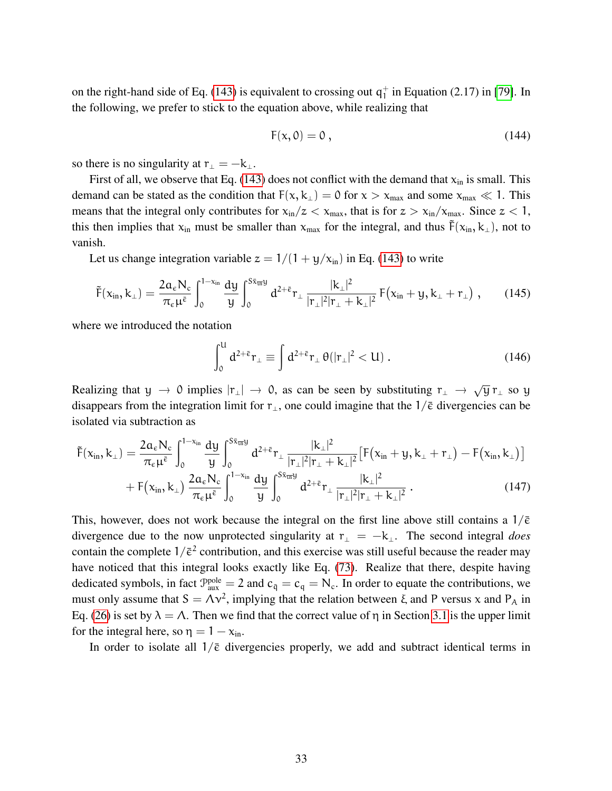on the right-hand side of Eq. [\(143\)](#page-31-0) is equivalent to crossing out  $q_1^+$  $_1^+$  in Equation (2.17) in [\[79\]](#page-40-12). In the following, we prefer to stick to the equation above, while realizing that

$$
F(x,0) = 0, \qquad (144)
$$

so there is no singularity at  $r_{\perp} = -k_{\perp}$ .

First of all, we observe that Eq. [\(143\)](#page-31-0) does not conflict with the demand that  $x_{in}$  is small. This demand can be stated as the condition that  $F(x, k<sub>⊥</sub>) = 0$  for  $x > x<sub>max</sub>$  and some  $x<sub>max</sub> \ll 1$ . This means that the integral only contributes for  $x_{in}/z < x_{max}$ , that is for  $z > x_{in}/x_{max}$ . Since  $z < 1$ , this then implies that  $x_{in}$  must be smaller than  $x_{max}$  for the integral, and thus  $\tilde{F}(x_{in}, k_\perp)$ , not to vanish.

Let us change integration variable  $z = 1/(1 + y/x_{in})$  in Eq. [\(143\)](#page-31-0) to write

$$
\tilde{F}(x_{in},k_{\perp}) = \frac{2\alpha_{\varepsilon}N_{c}}{\pi_{\varepsilon}\mu^{\bar{\varepsilon}}} \int_{0}^{1-x_{in}} \frac{dy}{y} \int_{0}^{S\bar{x}_{\overline{u}}y} d^{2+\bar{\varepsilon}} r_{\perp} \frac{|k_{\perp}|^{2}}{|r_{\perp}|^{2}|r_{\perp}+k_{\perp}|^{2}} F(x_{in}+y,k_{\perp}+r_{\perp}), \qquad (145)
$$

where we introduced the notation

$$
\int_0^{\mathsf{U}} d^{2+\bar{\varepsilon}} \mathsf{r}_{\perp} \equiv \int d^{2+\bar{\varepsilon}} \mathsf{r}_{\perp} \theta(|\mathsf{r}_{\perp}|^2 < \mathsf{U}) \,. \tag{146}
$$

Realizing that y  $\rightarrow$  0 implies  $|r_{\perp}| \rightarrow 0$ , as can be seen by substituting  $r_{\perp} \rightarrow \sqrt{y} r_{\perp}$  so y disappears from the integration limit for  $r_{\perp}$ , one could imagine that the 1/ $\bar{\epsilon}$  divergencies can be isolated via subtraction as

$$
\tilde{F}(x_{in},k_{\perp}) = \frac{2a_{\varepsilon}N_{c}}{\pi_{\varepsilon}\mu^{\bar{\varepsilon}}} \int_{0}^{1-x_{in}} \frac{dy}{y} \int_{0}^{S\bar{x}_{\overline{t}\overline{t}}y} d^{2+\bar{\varepsilon}} r_{\perp} \frac{|k_{\perp}|^{2}}{|r_{\perp}|^{2}|r_{\perp}+k_{\perp}|^{2}} \left[F(x_{in}+y,k_{\perp}+r_{\perp})-F(x_{in},k_{\perp})\right] + F(x_{in},k_{\perp}) \frac{2a_{\varepsilon}N_{c}}{\pi_{\varepsilon}\mu^{\bar{\varepsilon}}} \int_{0}^{1-x_{in}} \frac{dy}{y} \int_{0}^{S\bar{x}_{\overline{t}\overline{t}}y} d^{2+\bar{\varepsilon}} r_{\perp} \frac{|k_{\perp}|^{2}}{|r_{\perp}|^{2}|r_{\perp}+k_{\perp}|^{2}}.
$$
\n(147)

This, however, does not work because the integral on the first line above still contains a  $1/\bar{\epsilon}$ divergence due to the now unprotected singularity at  $r_{\perp} = -k_{\perp}$ . The second integral *does* contain the complete  $1/\bar{\epsilon}^2$  contribution, and this exercise was still useful because the reader may have noticed that this integral looks exactly like Eq. [\(73\)](#page-17-0). Realize that there, despite having dedicated symbols, in fact  $\mathcal{P}_{\text{aux}}^{\text{pole}} = 2$  and  $c_{\bar{q}} = c_q = N_c$ . In order to equate the contributions, we must only assume that  $S = \Lambda v^2$ , implying that the relation between  $\xi$  and P versus x and P<sub>A</sub> in Eq. [\(26\)](#page-8-1) is set by  $\lambda = \Lambda$ . Then we find that the correct value of  $\eta$  in Section [3.1](#page-18-0) is the upper limit for the integral here, so  $\eta = 1 - x_{\text{in}}$ .

In order to isolate all  $1/\bar{\epsilon}$  divergencies properly, we add and subtract identical terms in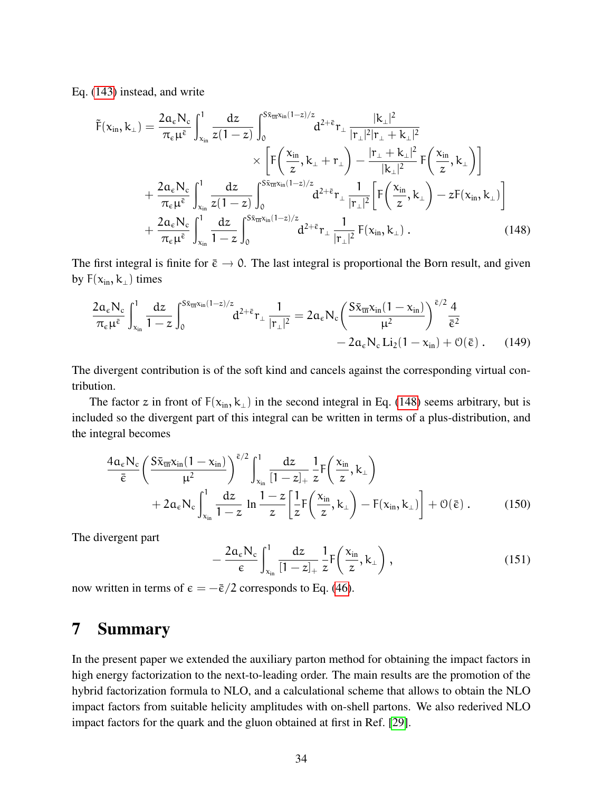Eq. [\(143\)](#page-31-0) instead, and write

$$
\tilde{F}(x_{in},k_{\perp}) = \frac{2a_{\varepsilon}N_{c}}{\pi_{\varepsilon}\mu^{\bar{\varepsilon}}} \int_{x_{in}}^{1} \frac{dz}{z(1-z)} \int_{0}^{S\bar{x}_{\overline{u}x_{in}}(1-z)/z} d^{2+\bar{\varepsilon}} r_{\perp} \frac{|k_{\perp}|^{2}}{|r_{\perp}|^{2}|r_{\perp}+k_{\perp}|^{2}} \times \left[F\left(\frac{x_{in}}{z},k_{\perp}+r_{\perp}\right)-\frac{|r_{\perp}+k_{\perp}|^{2}}{|k_{\perp}|^{2}}F\left(\frac{x_{in}}{z},k_{\perp}\right)\right] \times \left[\frac{2a_{\varepsilon}N_{c}}{\pi_{\varepsilon}\mu^{\bar{\varepsilon}}} \int_{x_{in}}^{1} \frac{dz}{z(1-z)} \int_{0}^{S\bar{x}_{\overline{u}x_{in}}(1-z)/z} d^{2+\bar{\varepsilon}} r_{\perp} \frac{1}{|r_{\perp}|^{2}} \left[F\left(\frac{x_{in}}{z},k_{\perp}\right)-zF(x_{in},k_{\perp})\right] \right] \times \frac{2a_{\varepsilon}N_{c}}{\pi_{\varepsilon}\mu^{\bar{\varepsilon}}} \int_{x_{in}}^{1} \frac{dz}{1-z} \int_{0}^{S\bar{x}_{\overline{u}x_{in}}(1-z)/z} d^{2+\bar{\varepsilon}} r_{\perp} \frac{1}{|r_{\perp}|^{2}} F(x_{in},k_{\perp}) \,. \tag{148}
$$

The first integral is finite for  $\bar{\epsilon} \to 0$ . The last integral is proportional the Born result, and given by  $F(x_{in}, k_{\perp})$  times

<span id="page-33-2"></span>
$$
\frac{2a_{\varepsilon}N_{\varepsilon}}{\pi_{\varepsilon}\mu^{\bar{\varepsilon}}}\int_{x_{\rm in}}^{1}\frac{dz}{1-z}\int_{0}^{S\bar{x}_{\overline{\rm in}}x_{\rm in}(1-z)/z}d^{2+\bar{\varepsilon}}r_{\perp}\frac{1}{|r_{\perp}|^{2}}=2a_{\varepsilon}N_{\varepsilon}\left(\frac{S\bar{x}_{\overline{\rm in}}x_{\rm in}(1-x_{\rm in})}{\mu^{2}}\right)^{\bar{\varepsilon}/2}\frac{4}{\bar{\varepsilon}^{2}}\\-2a_{\varepsilon}N_{\varepsilon}Li_{2}(1-x_{\rm in})+\mathcal{O}(\bar{\varepsilon})\,.\qquad(149)
$$

The divergent contribution is of the soft kind and cancels against the corresponding virtual contribution.

The factor z in front of  $F(x_{in}, k_{\perp})$  in the second integral in Eq. [\(148\)](#page-33-2) seems arbitrary, but is included so the divergent part of this integral can be written in terms of a plus-distribution, and the integral becomes

$$
\frac{4a_{\varepsilon}N_{c}}{\bar{\varepsilon}}\bigg(\frac{S\bar{x}_{\overline{u}}x_{\text{in}}(1-x_{\text{in}})}{\mu^{2}}\bigg)^{\bar{\varepsilon}/2}\int_{x_{\text{in}}}^{1}\frac{dz}{[1-z]_{+}}\frac{1}{z}F\bigg(\frac{x_{\text{in}}}{z},k_{\perp}\bigg) +2a_{\varepsilon}N_{c}\int_{x_{\text{in}}}^{1}\frac{dz}{1-z}\ln\frac{1-z}{z}\bigg[\frac{1}{z}F\bigg(\frac{x_{\text{in}}}{z},k_{\perp}\bigg)-F(x_{\text{in}},k_{\perp})\bigg]+O(\bar{\varepsilon})\,.
$$
 (150)

The divergent part

<span id="page-33-1"></span>
$$
-\frac{2a_{\varepsilon}N_{\varepsilon}}{\varepsilon}\int_{x_{\text{in}}}^{1}\frac{dz}{[1-z]_{+}}\frac{1}{z}F\left(\frac{x_{\text{in}}}{z},k_{\perp}\right),\tag{151}
$$

now written in terms of  $\epsilon = -\bar{\epsilon}/2$  corresponds to Eq. [\(46\)](#page-12-2).

# <span id="page-33-0"></span>7 Summary

In the present paper we extended the auxiliary parton method for obtaining the impact factors in high energy factorization to the next-to-leading order. The main results are the promotion of the hybrid factorization formula to NLO, and a calculational scheme that allows to obtain the NLO impact factors from suitable helicity amplitudes with on-shell partons. We also rederived NLO impact factors for the quark and the gluon obtained at first in Ref. [\[29\]](#page-37-3).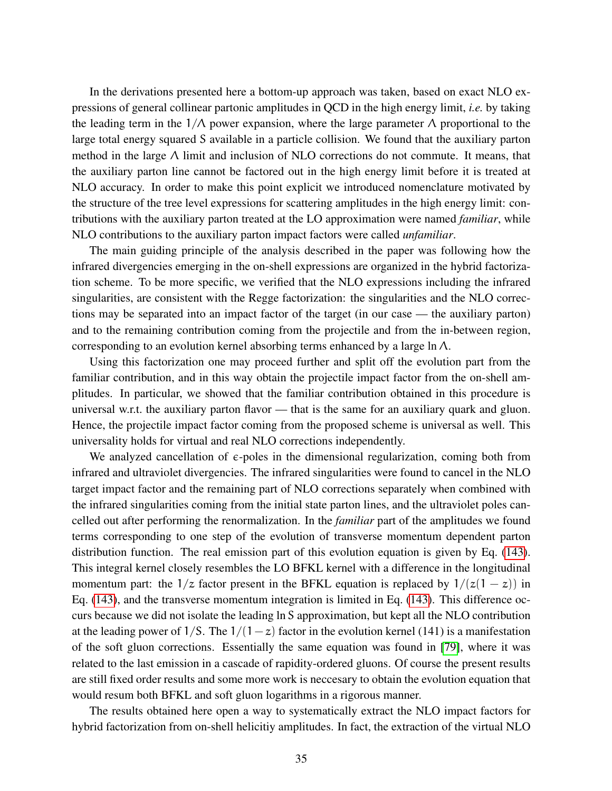In the derivations presented here a bottom-up approach was taken, based on exact NLO expressions of general collinear partonic amplitudes in QCD in the high energy limit, *i.e.* by taking the leading term in the  $1/\Lambda$  power expansion, where the large parameter  $\Lambda$  proportional to the large total energy squared S available in a particle collision. We found that the auxiliary parton method in the large  $\Lambda$  limit and inclusion of NLO corrections do not commute. It means, that the auxiliary parton line cannot be factored out in the high energy limit before it is treated at NLO accuracy. In order to make this point explicit we introduced nomenclature motivated by the structure of the tree level expressions for scattering amplitudes in the high energy limit: contributions with the auxiliary parton treated at the LO approximation were named *familiar*, while NLO contributions to the auxiliary parton impact factors were called *unfamiliar*.

The main guiding principle of the analysis described in the paper was following how the infrared divergencies emerging in the on-shell expressions are organized in the hybrid factorization scheme. To be more specific, we verified that the NLO expressions including the infrared singularities, are consistent with the Regge factorization: the singularities and the NLO corrections may be separated into an impact factor of the target (in our case — the auxiliary parton) and to the remaining contribution coming from the projectile and from the in-between region, corresponding to an evolution kernel absorbing terms enhanced by a large ln Λ.

Using this factorization one may proceed further and split off the evolution part from the familiar contribution, and in this way obtain the projectile impact factor from the on-shell amplitudes. In particular, we showed that the familiar contribution obtained in this procedure is universal w.r.t. the auxiliary parton flavor — that is the same for an auxiliary quark and gluon. Hence, the projectile impact factor coming from the proposed scheme is universal as well. This universality holds for virtual and real NLO corrections independently.

We analyzed cancellation of  $\epsilon$ -poles in the dimensional regularization, coming both from infrared and ultraviolet divergencies. The infrared singularities were found to cancel in the NLO target impact factor and the remaining part of NLO corrections separately when combined with the infrared singularities coming from the initial state parton lines, and the ultraviolet poles cancelled out after performing the renormalization. In the *familiar* part of the amplitudes we found terms corresponding to one step of the evolution of transverse momentum dependent parton distribution function. The real emission part of this evolution equation is given by Eq. [\(143\)](#page-31-0). This integral kernel closely resembles the LO BFKL kernel with a difference in the longitudinal momentum part: the  $1/z$  factor present in the BFKL equation is replaced by  $1/(z(1-z))$  in Eq. [\(143\)](#page-31-0), and the transverse momentum integration is limited in Eq. [\(143\)](#page-31-0). This difference occurs because we did not isolate the leading ln S approximation, but kept all the NLO contribution at the leading power of  $1/S$ . The  $1/(1-z)$  factor in the evolution kernel (141) is a manifestation of the soft gluon corrections. Essentially the same equation was found in [\[79\]](#page-40-12), where it was related to the last emission in a cascade of rapidity-ordered gluons. Of course the present results are still fixed order results and some more work is neccesary to obtain the evolution equation that would resum both BFKL and soft gluon logarithms in a rigorous manner.

The results obtained here open a way to systematically extract the NLO impact factors for hybrid factorization from on-shell helicitiy amplitudes. In fact, the extraction of the virtual NLO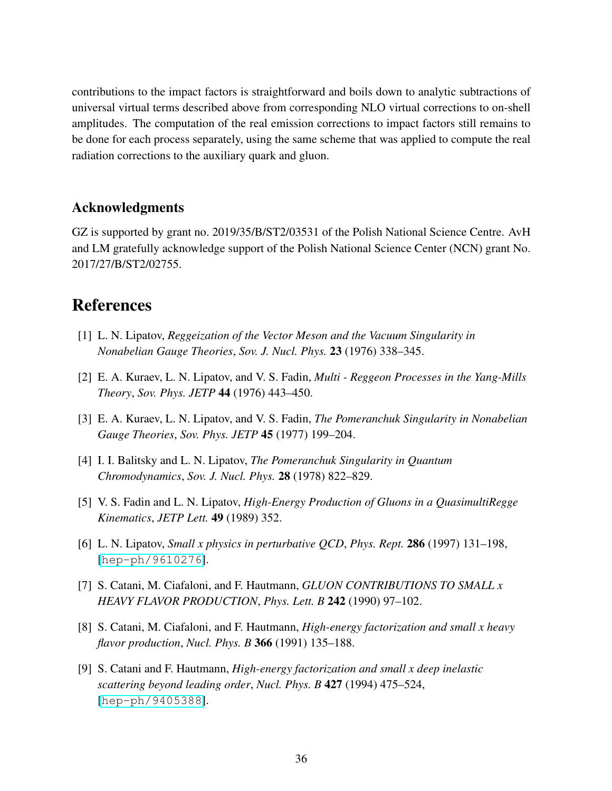contributions to the impact factors is straightforward and boils down to analytic subtractions of universal virtual terms described above from corresponding NLO virtual corrections to on-shell amplitudes. The computation of the real emission corrections to impact factors still remains to be done for each process separately, using the same scheme that was applied to compute the real radiation corrections to the auxiliary quark and gluon.

#### Acknowledgments

GZ is supported by grant no. 2019/35/B/ST2/03531 of the Polish National Science Centre. AvH and LM gratefully acknowledge support of the Polish National Science Center (NCN) grant No. 2017/27/B/ST2/02755.

# References

- <span id="page-35-0"></span>[1] L. N. Lipatov, *Reggeization of the Vector Meson and the Vacuum Singularity in Nonabelian Gauge Theories*, *Sov. J. Nucl. Phys.* 23 (1976) 338–345.
- [2] E. A. Kuraev, L. N. Lipatov, and V. S. Fadin, *Multi Reggeon Processes in the Yang-Mills Theory*, *Sov. Phys. JETP* 44 (1976) 443–450.
- [3] E. A. Kuraev, L. N. Lipatov, and V. S. Fadin, *The Pomeranchuk Singularity in Nonabelian Gauge Theories*, *Sov. Phys. JETP* 45 (1977) 199–204.
- [4] I. I. Balitsky and L. N. Lipatov, *The Pomeranchuk Singularity in Quantum Chromodynamics*, *Sov. J. Nucl. Phys.* 28 (1978) 822–829.
- [5] V. S. Fadin and L. N. Lipatov, *High-Energy Production of Gluons in a QuasimultiRegge Kinematics*, *JETP Lett.* 49 (1989) 352.
- <span id="page-35-1"></span>[6] L. N. Lipatov, *Small x physics in perturbative QCD*, *Phys. Rept.* 286 (1997) 131–198, [[hep-ph/9610276](http://xxx.lanl.gov/abs/hep-ph/9610276)].
- <span id="page-35-2"></span>[7] S. Catani, M. Ciafaloni, and F. Hautmann, *GLUON CONTRIBUTIONS TO SMALL x HEAVY FLAVOR PRODUCTION*, *Phys. Lett. B* 242 (1990) 97–102.
- <span id="page-35-4"></span>[8] S. Catani, M. Ciafaloni, and F. Hautmann, *High-energy factorization and small x heavy flavor production*, *Nucl. Phys. B* 366 (1991) 135–188.
- <span id="page-35-3"></span>[9] S. Catani and F. Hautmann, *High-energy factorization and small x deep inelastic scattering beyond leading order*, *Nucl. Phys. B* 427 (1994) 475–524, [[hep-ph/9405388](http://xxx.lanl.gov/abs/hep-ph/9405388)].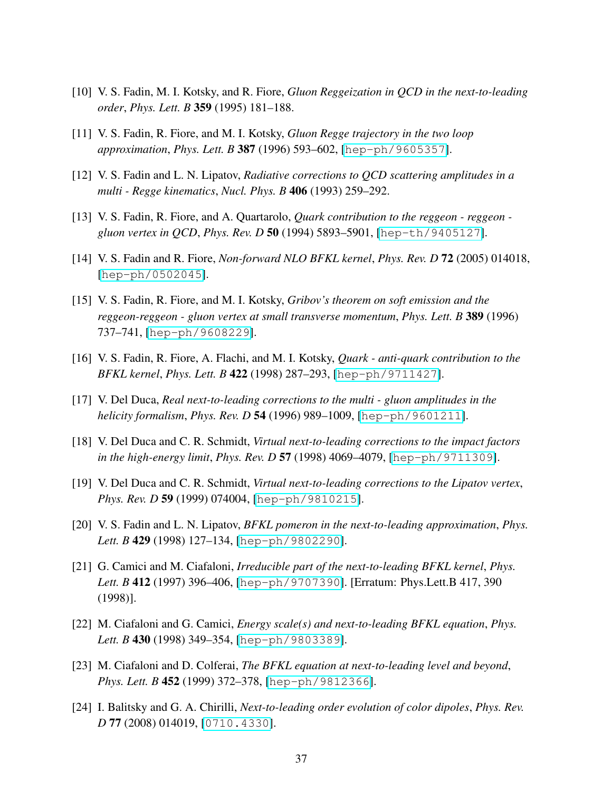- <span id="page-36-0"></span>[10] V. S. Fadin, M. I. Kotsky, and R. Fiore, *Gluon Reggeization in QCD in the next-to-leading order*, *Phys. Lett. B* 359 (1995) 181–188.
- [11] V. S. Fadin, R. Fiore, and M. I. Kotsky, *Gluon Regge trajectory in the two loop approximation*, *Phys. Lett. B* 387 (1996) 593–602, [[hep-ph/9605357](http://xxx.lanl.gov/abs/hep-ph/9605357)].
- [12] V. S. Fadin and L. N. Lipatov, *Radiative corrections to QCD scattering amplitudes in a multi - Regge kinematics*, *Nucl. Phys. B* 406 (1993) 259–292.
- [13] V. S. Fadin, R. Fiore, and A. Quartarolo, *Quark contribution to the reggeon reggeon gluon vertex in QCD*, *Phys. Rev. D* 50 (1994) 5893–5901, [[hep-th/9405127](http://xxx.lanl.gov/abs/hep-th/9405127)].
- <span id="page-36-1"></span>[14] V. S. Fadin and R. Fiore, *Non-forward NLO BFKL kernel*, *Phys. Rev. D* 72 (2005) 014018, [[hep-ph/0502045](http://xxx.lanl.gov/abs/hep-ph/0502045)].
- [15] V. S. Fadin, R. Fiore, and M. I. Kotsky, *Gribov's theorem on soft emission and the reggeon-reggeon - gluon vertex at small transverse momentum*, *Phys. Lett. B* 389 (1996) 737–741, [[hep-ph/9608229](http://xxx.lanl.gov/abs/hep-ph/9608229)].
- [16] V. S. Fadin, R. Fiore, A. Flachi, and M. I. Kotsky, *Quark anti-quark contribution to the BFKL kernel*, *Phys. Lett. B* 422 (1998) 287–293, [[hep-ph/9711427](http://xxx.lanl.gov/abs/hep-ph/9711427)].
- [17] V. Del Duca, *Real next-to-leading corrections to the multi gluon amplitudes in the helicity formalism*, *Phys. Rev. D* 54 (1996) 989–1009, [[hep-ph/9601211](http://xxx.lanl.gov/abs/hep-ph/9601211)].
- [18] V. Del Duca and C. R. Schmidt, *Virtual next-to-leading corrections to the impact factors in the high-energy limit*, *Phys. Rev. D* 57 (1998) 4069–4079, [[hep-ph/9711309](http://xxx.lanl.gov/abs/hep-ph/9711309)].
- [19] V. Del Duca and C. R. Schmidt, *Virtual next-to-leading corrections to the Lipatov vertex*, *Phys. Rev. D* 59 (1999) 074004, [[hep-ph/9810215](http://xxx.lanl.gov/abs/hep-ph/9810215)].
- [20] V. S. Fadin and L. N. Lipatov, *BFKL pomeron in the next-to-leading approximation*, *Phys. Lett. B* 429 (1998) 127–134, [[hep-ph/9802290](http://xxx.lanl.gov/abs/hep-ph/9802290)].
- [21] G. Camici and M. Ciafaloni, *Irreducible part of the next-to-leading BFKL kernel*, *Phys. Lett. B* 412 (1997) 396–406, [[hep-ph/9707390](http://xxx.lanl.gov/abs/hep-ph/9707390)]. [Erratum: Phys.Lett.B 417, 390 (1998)].
- [22] M. Ciafaloni and G. Camici, *Energy scale(s) and next-to-leading BFKL equation*, *Phys. Lett. B* 430 (1998) 349–354, [[hep-ph/9803389](http://xxx.lanl.gov/abs/hep-ph/9803389)].
- [23] M. Ciafaloni and D. Colferai, *The BFKL equation at next-to-leading level and beyond*, *Phys. Lett. B* 452 (1999) 372–378, [[hep-ph/9812366](http://xxx.lanl.gov/abs/hep-ph/9812366)].
- [24] I. Balitsky and G. A. Chirilli, *Next-to-leading order evolution of color dipoles*, *Phys. Rev. D* 77 (2008) 014019, [[0710.4330](http://xxx.lanl.gov/abs/0710.4330)].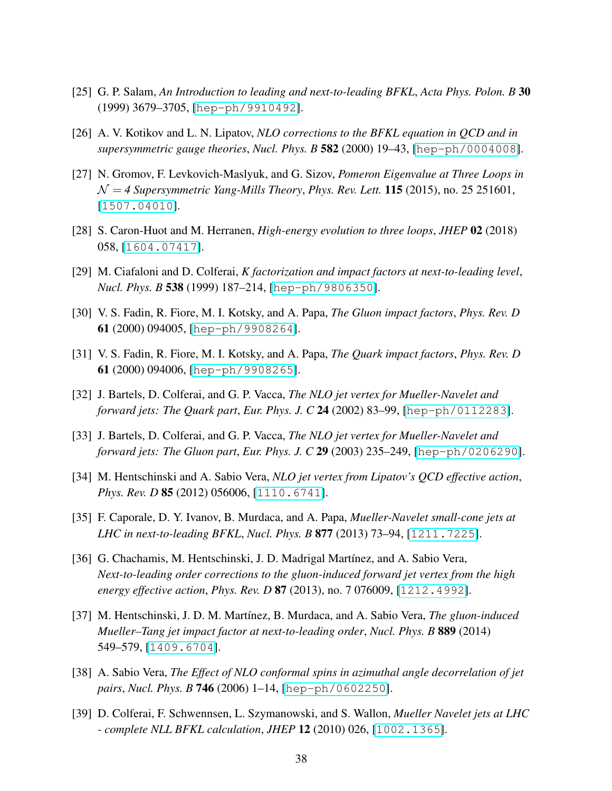- <span id="page-37-0"></span>[25] G. P. Salam, *An Introduction to leading and next-to-leading BFKL*, *Acta Phys. Polon. B* 30 (1999) 3679–3705, [[hep-ph/9910492](http://xxx.lanl.gov/abs/hep-ph/9910492)].
- <span id="page-37-1"></span>[26] A. V. Kotikov and L. N. Lipatov, *NLO corrections to the BFKL equation in QCD and in supersymmetric gauge theories*, *Nucl. Phys. B* 582 (2000) 19–43, [[hep-ph/0004008](http://xxx.lanl.gov/abs/hep-ph/0004008)].
- [27] N. Gromov, F. Levkovich-Maslyuk, and G. Sizov, *Pomeron Eigenvalue at Three Loops in* N = *4 Supersymmetric Yang-Mills Theory*, *Phys. Rev. Lett.* 115 (2015), no. 25 251601, [[1507.04010](http://xxx.lanl.gov/abs/1507.04010)].
- <span id="page-37-2"></span>[28] S. Caron-Huot and M. Herranen, *High-energy evolution to three loops*, *JHEP* 02 (2018) 058, [[1604.07417](http://xxx.lanl.gov/abs/1604.07417)].
- <span id="page-37-3"></span>[29] M. Ciafaloni and D. Colferai, *K factorization and impact factors at next-to-leading level*, *Nucl. Phys. B* 538 (1999) 187–214, [[hep-ph/9806350](http://xxx.lanl.gov/abs/hep-ph/9806350)].
- [30] V. S. Fadin, R. Fiore, M. I. Kotsky, and A. Papa, *The Gluon impact factors*, *Phys. Rev. D* 61 (2000) 094005, [[hep-ph/9908264](http://xxx.lanl.gov/abs/hep-ph/9908264)].
- <span id="page-37-4"></span>[31] V. S. Fadin, R. Fiore, M. I. Kotsky, and A. Papa, *The Quark impact factors*, *Phys. Rev. D* 61 (2000) 094006, [[hep-ph/9908265](http://xxx.lanl.gov/abs/hep-ph/9908265)].
- <span id="page-37-5"></span>[32] J. Bartels, D. Colferai, and G. P. Vacca, *The NLO jet vertex for Mueller-Navelet and forward jets: The Quark part*, *Eur. Phys. J. C* 24 (2002) 83–99, [[hep-ph/0112283](http://xxx.lanl.gov/abs/hep-ph/0112283)].
- [33] J. Bartels, D. Colferai, and G. P. Vacca, *The NLO jet vertex for Mueller-Navelet and forward jets: The Gluon part*, *Eur. Phys. J. C* 29 (2003) 235–249, [[hep-ph/0206290](http://xxx.lanl.gov/abs/hep-ph/0206290)].
- [34] M. Hentschinski and A. Sabio Vera, *NLO jet vertex from Lipatov's QCD effective action*, *Phys. Rev. D* **85** (2012) 056006, [[1110.6741](http://xxx.lanl.gov/abs/1110.6741)].
- [35] F. Caporale, D. Y. Ivanov, B. Murdaca, and A. Papa, *Mueller-Navelet small-cone jets at LHC in next-to-leading BFKL*, *Nucl. Phys. B* 877 (2013) 73–94, [[1211.7225](http://xxx.lanl.gov/abs/1211.7225)].
- [36] G. Chachamis, M. Hentschinski, J. D. Madrigal Martínez, and A. Sabio Vera, *Next-to-leading order corrections to the gluon-induced forward jet vertex from the high energy effective action*, *Phys. Rev. D* 87 (2013), no. 7 076009, [[1212.4992](http://xxx.lanl.gov/abs/1212.4992)].
- <span id="page-37-6"></span>[37] M. Hentschinski, J. D. M. Mart´ınez, B. Murdaca, and A. Sabio Vera, *The gluon-induced Mueller–Tang jet impact factor at next-to-leading order*, *Nucl. Phys. B* 889 (2014) 549–579, [[1409.6704](http://xxx.lanl.gov/abs/1409.6704)].
- <span id="page-37-7"></span>[38] A. Sabio Vera, *The Effect of NLO conformal spins in azimuthal angle decorrelation of jet pairs*, *Nucl. Phys. B* 746 (2006) 1–14, [[hep-ph/0602250](http://xxx.lanl.gov/abs/hep-ph/0602250)].
- [39] D. Colferai, F. Schwennsen, L. Szymanowski, and S. Wallon, *Mueller Navelet jets at LHC - complete NLL BFKL calculation*, *JHEP* 12 (2010) 026, [[1002.1365](http://xxx.lanl.gov/abs/1002.1365)].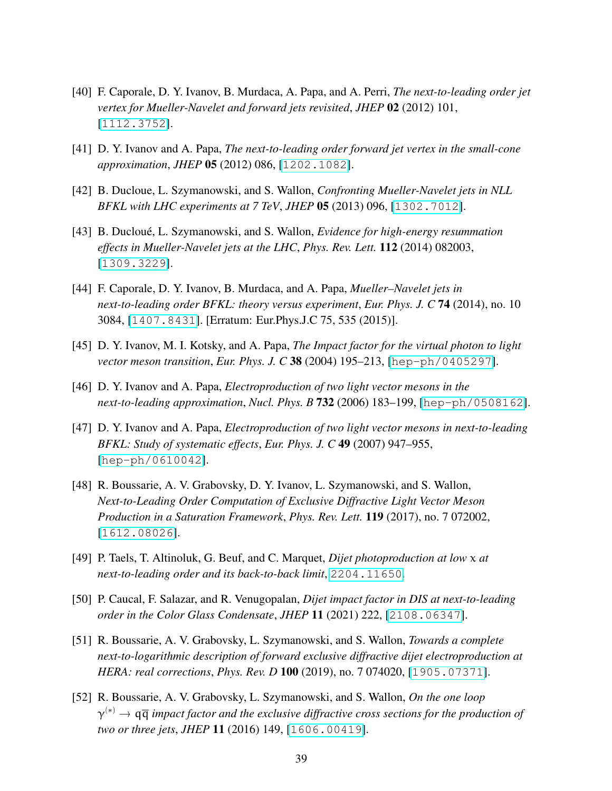- [40] F. Caporale, D. Y. Ivanov, B. Murdaca, A. Papa, and A. Perri, *The next-to-leading order jet vertex for Mueller-Navelet and forward jets revisited*, *JHEP* 02 (2012) 101, [[1112.3752](http://xxx.lanl.gov/abs/1112.3752)].
- [41] D. Y. Ivanov and A. Papa, *The next-to-leading order forward jet vertex in the small-cone approximation*, *JHEP* 05 (2012) 086, [[1202.1082](http://xxx.lanl.gov/abs/1202.1082)].
- [42] B. Ducloue, L. Szymanowski, and S. Wallon, *Confronting Mueller-Navelet jets in NLL BFKL with LHC experiments at 7 TeV*, *JHEP* 05 (2013) 096, [[1302.7012](http://xxx.lanl.gov/abs/1302.7012)].
- [43] B. Ducloue, L. Szymanowski, and S. Wallon, ´ *Evidence for high-energy resummation effects in Mueller-Navelet jets at the LHC*, *Phys. Rev. Lett.* 112 (2014) 082003, [[1309.3229](http://xxx.lanl.gov/abs/1309.3229)].
- <span id="page-38-0"></span>[44] F. Caporale, D. Y. Ivanov, B. Murdaca, and A. Papa, *Mueller–Navelet jets in next-to-leading order BFKL: theory versus experiment*, *Eur. Phys. J. C* 74 (2014), no. 10 3084, [[1407.8431](http://xxx.lanl.gov/abs/1407.8431)]. [Erratum: Eur.Phys.J.C 75, 535 (2015)].
- <span id="page-38-1"></span>[45] D. Y. Ivanov, M. I. Kotsky, and A. Papa, *The Impact factor for the virtual photon to light vector meson transition*, *Eur. Phys. J. C* 38 (2004) 195–213, [[hep-ph/0405297](http://xxx.lanl.gov/abs/hep-ph/0405297)].
- [46] D. Y. Ivanov and A. Papa, *Electroproduction of two light vector mesons in the next-to-leading approximation*, *Nucl. Phys. B* 732 (2006) 183–199, [[hep-ph/0508162](http://xxx.lanl.gov/abs/hep-ph/0508162)].
- [47] D. Y. Ivanov and A. Papa, *Electroproduction of two light vector mesons in next-to-leading BFKL: Study of systematic effects*, *Eur. Phys. J. C* 49 (2007) 947–955, [[hep-ph/0610042](http://xxx.lanl.gov/abs/hep-ph/0610042)].
- <span id="page-38-2"></span>[48] R. Boussarie, A. V. Grabovsky, D. Y. Ivanov, L. Szymanowski, and S. Wallon, *Next-to-Leading Order Computation of Exclusive Diffractive Light Vector Meson Production in a Saturation Framework*, *Phys. Rev. Lett.* 119 (2017), no. 7 072002, [[1612.08026](http://xxx.lanl.gov/abs/1612.08026)].
- <span id="page-38-3"></span>[49] P. Taels, T. Altinoluk, G. Beuf, and C. Marquet, *Dijet photoproduction at low* x *at next-to-leading order and its back-to-back limit*, [2204.11650](http://xxx.lanl.gov/abs/2204.11650).
- [50] P. Caucal, F. Salazar, and R. Venugopalan, *Dijet impact factor in DIS at next-to-leading order in the Color Glass Condensate*, *JHEP* 11 (2021) 222, [[2108.06347](http://xxx.lanl.gov/abs/2108.06347)].
- <span id="page-38-4"></span>[51] R. Boussarie, A. V. Grabovsky, L. Szymanowski, and S. Wallon, *Towards a complete next-to-logarithmic description of forward exclusive diffractive dijet electroproduction at HERA: real corrections*, *Phys. Rev. D* 100 (2019), no. 7 074020, [[1905.07371](http://xxx.lanl.gov/abs/1905.07371)].
- <span id="page-38-5"></span>[52] R. Boussarie, A. V. Grabovsky, L. Szymanowski, and S. Wallon, *On the one loop*  $\gamma^{(*)} \to q\overline{q}$  impact factor and the exclusive diffractive cross sections for the production of *two or three jets*, *JHEP* 11 (2016) 149, [[1606.00419](http://xxx.lanl.gov/abs/1606.00419)].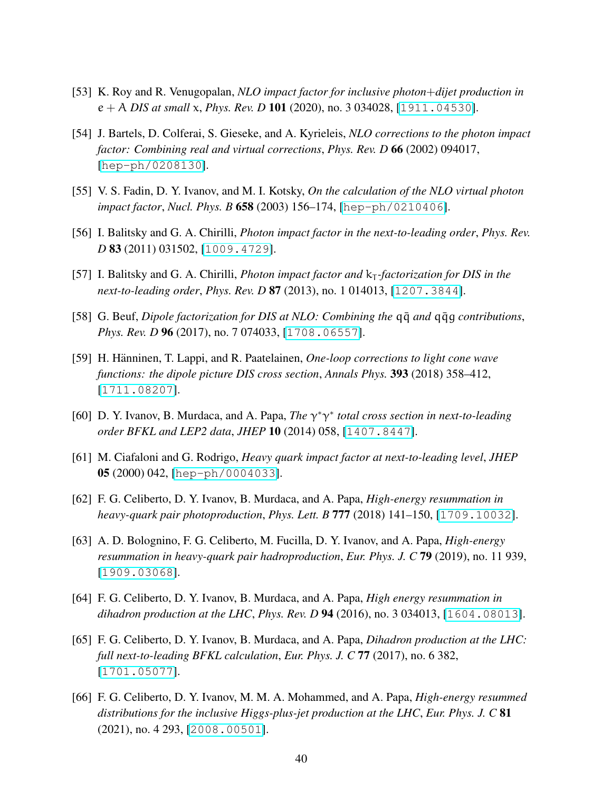- <span id="page-39-0"></span>[53] K. Roy and R. Venugopalan, *NLO impact factor for inclusive photon*+*dijet production in* e + A *DIS at small* x, *Phys. Rev. D* 101 (2020), no. 3 034028, [[1911.04530](http://xxx.lanl.gov/abs/1911.04530)].
- <span id="page-39-1"></span>[54] J. Bartels, D. Colferai, S. Gieseke, and A. Kyrieleis, *NLO corrections to the photon impact factor: Combining real and virtual corrections*, *Phys. Rev. D* 66 (2002) 094017, [[hep-ph/0208130](http://xxx.lanl.gov/abs/hep-ph/0208130)].
- [55] V. S. Fadin, D. Y. Ivanov, and M. I. Kotsky, *On the calculation of the NLO virtual photon impact factor*, *Nucl. Phys. B* 658 (2003) 156–174, [[hep-ph/0210406](http://xxx.lanl.gov/abs/hep-ph/0210406)].
- [56] I. Balitsky and G. A. Chirilli, *Photon impact factor in the next-to-leading order*, *Phys. Rev. D* 83 (2011) 031502, [[1009.4729](http://xxx.lanl.gov/abs/1009.4729)].
- <span id="page-39-2"></span>[57] I. Balitsky and G. A. Chirilli, *Photon impact factor and*  $k<sub>T</sub>$ *-factorization for DIS in the next-to-leading order*, *Phys. Rev. D* 87 (2013), no. 1 014013, [[1207.3844](http://xxx.lanl.gov/abs/1207.3844)].
- <span id="page-39-3"></span>[58] G. Beuf, *Dipole factorization for DIS at NLO: Combining the* qq¯ *and* qqg¯ *contributions*, *Phys. Rev. D* 96 (2017), no. 7 074033, [[1708.06557](http://xxx.lanl.gov/abs/1708.06557)].
- <span id="page-39-4"></span>[59] H. Hänninen, T. Lappi, and R. Paatelainen, *One-loop corrections to light cone wave functions: the dipole picture DIS cross section*, *Annals Phys.* 393 (2018) 358–412, [[1711.08207](http://xxx.lanl.gov/abs/1711.08207)].
- <span id="page-39-5"></span>[60] D. Y. Ivanov, B. Murdaca, and A. Papa, *The*  $\gamma^* \gamma^*$  total cross section in next-to-leading *order BFKL and LEP2 data*, *JHEP* 10 (2014) 058, [[1407.8447](http://xxx.lanl.gov/abs/1407.8447)].
- <span id="page-39-6"></span>[61] M. Ciafaloni and G. Rodrigo, *Heavy quark impact factor at next-to-leading level*, *JHEP* 05 (2000) 042, [[hep-ph/0004033](http://xxx.lanl.gov/abs/hep-ph/0004033)].
- [62] F. G. Celiberto, D. Y. Ivanov, B. Murdaca, and A. Papa, *High-energy resummation in heavy-quark pair photoproduction*, *Phys. Lett. B* 777 (2018) 141–150, [[1709.10032](http://xxx.lanl.gov/abs/1709.10032)].
- <span id="page-39-7"></span>[63] A. D. Bolognino, F. G. Celiberto, M. Fucilla, D. Y. Ivanov, and A. Papa, *High-energy resummation in heavy-quark pair hadroproduction*, *Eur. Phys. J. C* 79 (2019), no. 11 939, [[1909.03068](http://xxx.lanl.gov/abs/1909.03068)].
- <span id="page-39-8"></span>[64] F. G. Celiberto, D. Y. Ivanov, B. Murdaca, and A. Papa, *High energy resummation in dihadron production at the LHC*, *Phys. Rev. D* 94 (2016), no. 3 034013, [[1604.08013](http://xxx.lanl.gov/abs/1604.08013)].
- <span id="page-39-9"></span>[65] F. G. Celiberto, D. Y. Ivanov, B. Murdaca, and A. Papa, *Dihadron production at the LHC: full next-to-leading BFKL calculation*, *Eur. Phys. J. C* 77 (2017), no. 6 382, [[1701.05077](http://xxx.lanl.gov/abs/1701.05077)].
- <span id="page-39-10"></span>[66] F. G. Celiberto, D. Y. Ivanov, M. M. A. Mohammed, and A. Papa, *High-energy resummed distributions for the inclusive Higgs-plus-jet production at the LHC*, *Eur. Phys. J. C* 81 (2021), no. 4 293, [[2008.00501](http://xxx.lanl.gov/abs/2008.00501)].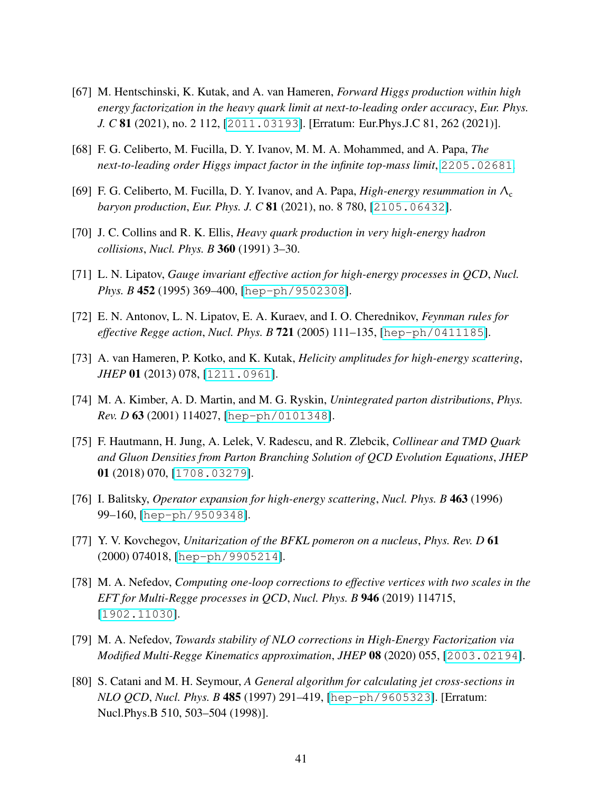- <span id="page-40-10"></span>[67] M. Hentschinski, K. Kutak, and A. van Hameren, *Forward Higgs production within high energy factorization in the heavy quark limit at next-to-leading order accuracy*, *Eur. Phys. J. C* 81 (2021), no. 2 112, [[2011.03193](http://xxx.lanl.gov/abs/2011.03193)]. [Erratum: Eur.Phys.J.C 81, 262 (2021)].
- <span id="page-40-0"></span>[68] F. G. Celiberto, M. Fucilla, D. Y. Ivanov, M. M. A. Mohammed, and A. Papa, *The next-to-leading order Higgs impact factor in the infinite top-mass limit*, [2205.02681](http://xxx.lanl.gov/abs/2205.02681).
- <span id="page-40-1"></span>[69] F. G. Celiberto, M. Fucilla, D. Y. Ivanov, and A. Papa, *High-energy resummation in*  $Λ<sub>c</sub>$ *baryon production*, *Eur. Phys. J. C* 81 (2021), no. 8 780, [[2105.06432](http://xxx.lanl.gov/abs/2105.06432)].
- <span id="page-40-2"></span>[70] J. C. Collins and R. K. Ellis, *Heavy quark production in very high-energy hadron collisions*, *Nucl. Phys. B* 360 (1991) 3–30.
- <span id="page-40-3"></span>[71] L. N. Lipatov, *Gauge invariant effective action for high-energy processes in QCD*, *Nucl. Phys. B* 452 (1995) 369–400, [[hep-ph/9502308](http://xxx.lanl.gov/abs/hep-ph/9502308)].
- <span id="page-40-4"></span>[72] E. N. Antonov, L. N. Lipatov, E. A. Kuraev, and I. O. Cherednikov, *Feynman rules for effective Regge action*, *Nucl. Phys. B* 721 (2005) 111–135, [[hep-ph/0411185](http://xxx.lanl.gov/abs/hep-ph/0411185)].
- <span id="page-40-5"></span>[73] A. van Hameren, P. Kotko, and K. Kutak, *Helicity amplitudes for high-energy scattering*, *JHEP* 01 (2013) 078, [[1211.0961](http://xxx.lanl.gov/abs/1211.0961)].
- <span id="page-40-6"></span>[74] M. A. Kimber, A. D. Martin, and M. G. Ryskin, *Unintegrated parton distributions*, *Phys. Rev. D* 63 (2001) 114027, [[hep-ph/0101348](http://xxx.lanl.gov/abs/hep-ph/0101348)].
- <span id="page-40-7"></span>[75] F. Hautmann, H. Jung, A. Lelek, V. Radescu, and R. Zlebcik, *Collinear and TMD Quark and Gluon Densities from Parton Branching Solution of QCD Evolution Equations*, *JHEP* 01 (2018) 070, [[1708.03279](http://xxx.lanl.gov/abs/1708.03279)].
- <span id="page-40-8"></span>[76] I. Balitsky, *Operator expansion for high-energy scattering*, *Nucl. Phys. B* 463 (1996) 99–160, [[hep-ph/9509348](http://xxx.lanl.gov/abs/hep-ph/9509348)].
- <span id="page-40-9"></span>[77] Y. V. Kovchegov, *Unitarization of the BFKL pomeron on a nucleus*, *Phys. Rev. D* 61 (2000) 074018, [[hep-ph/9905214](http://xxx.lanl.gov/abs/hep-ph/9905214)].
- <span id="page-40-11"></span>[78] M. A. Nefedov, *Computing one-loop corrections to effective vertices with two scales in the EFT for Multi-Regge processes in QCD*, *Nucl. Phys. B* 946 (2019) 114715, [[1902.11030](http://xxx.lanl.gov/abs/1902.11030)].
- <span id="page-40-12"></span>[79] M. A. Nefedov, *Towards stability of NLO corrections in High-Energy Factorization via Modified Multi-Regge Kinematics approximation*, *JHEP* 08 (2020) 055, [[2003.02194](http://xxx.lanl.gov/abs/2003.02194)].
- <span id="page-40-13"></span>[80] S. Catani and M. H. Seymour, *A General algorithm for calculating jet cross-sections in NLO QCD*, *Nucl. Phys. B* 485 (1997) 291–419, [[hep-ph/9605323](http://xxx.lanl.gov/abs/hep-ph/9605323)]. [Erratum: Nucl.Phys.B 510, 503–504 (1998)].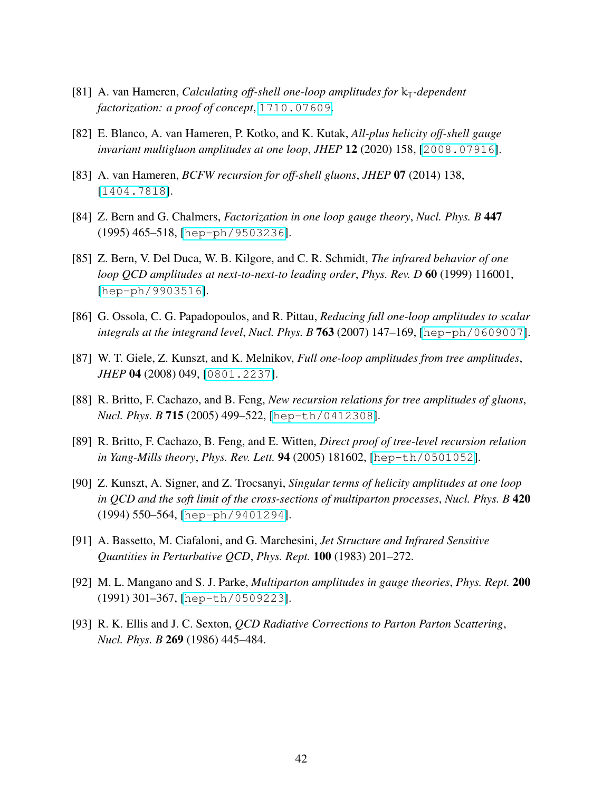- <span id="page-41-0"></span>[81] A. van Hameren, *Calculating off-shell one-loop amplitudes for*  $k_T$ -dependent *factorization: a proof of concept*, [1710.07609](http://xxx.lanl.gov/abs/1710.07609).
- <span id="page-41-1"></span>[82] E. Blanco, A. van Hameren, P. Kotko, and K. Kutak, *All-plus helicity off-shell gauge invariant multigluon amplitudes at one loop*, *JHEP* 12 (2020) 158, [[2008.07916](http://xxx.lanl.gov/abs/2008.07916)].
- <span id="page-41-2"></span>[83] A. van Hameren, *BCFW recursion for off-shell gluons*, *JHEP* 07 (2014) 138, [[1404.7818](http://xxx.lanl.gov/abs/1404.7818)].
- <span id="page-41-3"></span>[84] Z. Bern and G. Chalmers, *Factorization in one loop gauge theory*, *Nucl. Phys. B* 447 (1995) 465–518, [[hep-ph/9503236](http://xxx.lanl.gov/abs/hep-ph/9503236)].
- <span id="page-41-4"></span>[85] Z. Bern, V. Del Duca, W. B. Kilgore, and C. R. Schmidt, *The infrared behavior of one loop QCD amplitudes at next-to-next-to leading order*, *Phys. Rev. D* 60 (1999) 116001, [[hep-ph/9903516](http://xxx.lanl.gov/abs/hep-ph/9903516)].
- <span id="page-41-5"></span>[86] G. Ossola, C. G. Papadopoulos, and R. Pittau, *Reducing full one-loop amplitudes to scalar integrals at the integrand level*, *Nucl. Phys. B* 763 (2007) 147–169, [[hep-ph/0609007](http://xxx.lanl.gov/abs/hep-ph/0609007)].
- <span id="page-41-6"></span>[87] W. T. Giele, Z. Kunszt, and K. Melnikov, *Full one-loop amplitudes from tree amplitudes*, *JHEP* 04 (2008) 049, [[0801.2237](http://xxx.lanl.gov/abs/0801.2237)].
- <span id="page-41-7"></span>[88] R. Britto, F. Cachazo, and B. Feng, *New recursion relations for tree amplitudes of gluons*, *Nucl. Phys. B* 715 (2005) 499–522, [[hep-th/0412308](http://xxx.lanl.gov/abs/hep-th/0412308)].
- <span id="page-41-8"></span>[89] R. Britto, F. Cachazo, B. Feng, and E. Witten, *Direct proof of tree-level recursion relation in Yang-Mills theory*, *Phys. Rev. Lett.* 94 (2005) 181602, [[hep-th/0501052](http://xxx.lanl.gov/abs/hep-th/0501052)].
- <span id="page-41-9"></span>[90] Z. Kunszt, A. Signer, and Z. Trocsanyi, *Singular terms of helicity amplitudes at one loop in QCD and the soft limit of the cross-sections of multiparton processes*, *Nucl. Phys. B* 420 (1994) 550–564, [[hep-ph/9401294](http://xxx.lanl.gov/abs/hep-ph/9401294)].
- <span id="page-41-10"></span>[91] A. Bassetto, M. Ciafaloni, and G. Marchesini, *Jet Structure and Infrared Sensitive Quantities in Perturbative QCD*, *Phys. Rept.* 100 (1983) 201–272.
- <span id="page-41-11"></span>[92] M. L. Mangano and S. J. Parke, *Multiparton amplitudes in gauge theories*, *Phys. Rept.* 200 (1991) 301–367, [[hep-th/0509223](http://xxx.lanl.gov/abs/hep-th/0509223)].
- <span id="page-41-12"></span>[93] R. K. Ellis and J. C. Sexton, *QCD Radiative Corrections to Parton Parton Scattering*, *Nucl. Phys. B* 269 (1986) 445–484.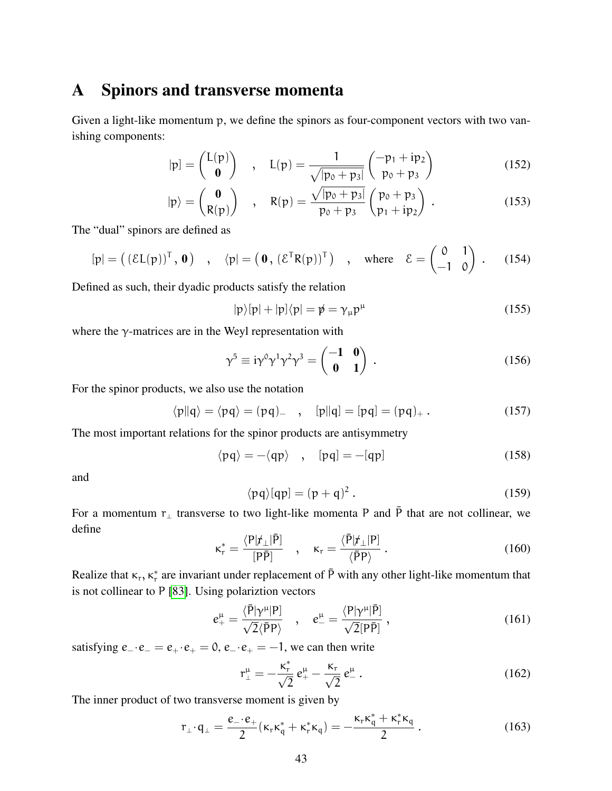## <span id="page-42-0"></span>A Spinors and transverse momenta

Given a light-like momentum p, we define the spinors as four-component vectors with two vanishing components:

$$
|\mathbf{p}| = \begin{pmatrix} \mathbf{L}(\mathbf{p}) \\ \mathbf{0} \end{pmatrix} , \quad \mathbf{L}(\mathbf{p}) = \frac{1}{\sqrt{|\mathbf{p}_0 + \mathbf{p}_3|}} \begin{pmatrix} -\mathbf{p}_1 + \mathbf{i}\mathbf{p}_2 \\ \mathbf{p}_0 + \mathbf{p}_3 \end{pmatrix}
$$
(152)

$$
|\mathbf{p}\rangle = \begin{pmatrix} \mathbf{0} \\ R(\mathbf{p}) \end{pmatrix} , R(\mathbf{p}) = \frac{\sqrt{|\mathbf{p}_0 + \mathbf{p}_3|}}{p_0 + p_3} \begin{pmatrix} p_0 + p_3 \\ p_1 + \mathrm{i}p_2 \end{pmatrix} .
$$
 (153)

The "dual" spinors are defined as

$$
[\mathbf{p}] = ( (\mathcal{E} \mathsf{L}(\mathbf{p}))^{\mathsf{T}}, \mathbf{0}) \quad , \quad \langle \mathbf{p}] = (\mathbf{0}, (\mathcal{E}^{\mathsf{T}} \mathsf{R}(\mathbf{p}))^{\mathsf{T}} ) \quad , \quad \text{where} \quad \mathcal{E} = \begin{pmatrix} 0 & 1 \\ -1 & 0 \end{pmatrix} \quad . \tag{154}
$$

Defined as such, their dyadic products satisfy the relation

$$
|p\rangle[p| + |p]\langle p| = p \psi = \gamma_{\mu} p^{\mu} \tag{155}
$$

where the  $\gamma$ -matrices are in the Weyl representation with

$$
\gamma^5 \equiv i\gamma^0\gamma^1\gamma^2\gamma^3 = \begin{pmatrix} -1 & 0 \\ 0 & 1 \end{pmatrix} . \tag{156}
$$

For the spinor products, we also use the notation

$$
\langle p||q\rangle = \langle pq\rangle = (pq) \quad , \quad [p||q] = [pq] = (pq)_{+} \,. \tag{157}
$$

The most important relations for the spinor products are antisymmetry

$$
\langle pq \rangle = -\langle qp \rangle \quad , \quad [pq] = -[qp] \tag{158}
$$

and

$$
\langle pq \rangle [qp] = (p+q)^2. \tag{159}
$$

For a momentum  $r_{\perp}$  transverse to two light-like momenta P and  $\bar{P}$  that are not collinear, we define

$$
\kappa_{\rm r}^* = \frac{\langle P|\dot{r}_{\perp}|\bar{P}]}{[P\bar{P}]} \quad , \quad \kappa_{\rm r} = \frac{\langle \bar{P}|\dot{r}_{\perp}|P]}{\langle \bar{P}P \rangle} \,. \tag{160}
$$

Realize that  $\kappa_r$ ,  $\kappa_r^*$  are invariant under replacement of  $\bar{P}$  with any other light-like momentum that is not collinear to P [\[83\]](#page-41-2). Using polariztion vectors

$$
e^{\mu}_{+} = \frac{\langle \bar{P} | \gamma^{\mu} | P]}{\sqrt{2} \langle \bar{P} P \rangle} \quad , \quad e^{\mu}_{-} = \frac{\langle P | \gamma^{\mu} | \bar{P} ]}{\sqrt{2} [P \bar{P}]} \quad , \tag{161}
$$

satisfying  $e_-\cdot e_-=e_+\cdot e_+=0$ ,  $e_-\cdot e_+=-1$ , we can then write

$$
r^{\mu}_{\perp} = -\frac{\kappa^*_{r}}{\sqrt{2}} e^{\mu}_{+} - \frac{\kappa_{r}}{\sqrt{2}} e^{\mu}_{-} . \qquad (162)
$$

The inner product of two transverse moment is given by

$$
r_{\perp} \cdot q_{\perp} = \frac{e_{-} \cdot e_{+}}{2} (\kappa_{r} \kappa_{q}^{*} + \kappa_{r}^{*} \kappa_{q}) = -\frac{\kappa_{r} \kappa_{q}^{*} + \kappa_{r}^{*} \kappa_{q}}{2}.
$$
 (163)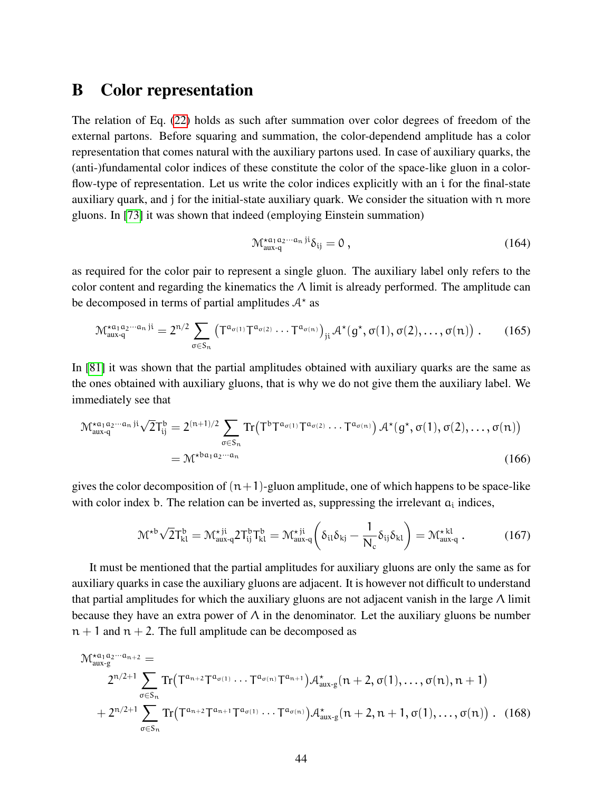# <span id="page-43-0"></span>B Color representation

The relation of Eq. [\(22\)](#page-8-0) holds as such after summation over color degrees of freedom of the external partons. Before squaring and summation, the color-dependend amplitude has a color representation that comes natural with the auxiliary partons used. In case of auxiliary quarks, the (anti-)fundamental color indices of these constitute the color of the space-like gluon in a colorflow-type of representation. Let us write the color indices explicitly with an i for the final-state auxiliary quark, and j for the initial-state auxiliary quark. We consider the situation with n more gluons. In [\[73\]](#page-40-5) it was shown that indeed (employing Einstein summation)

$$
\mathcal{M}^{\star a_1 a_2 \cdots a_n \, \mathrm{ji}}_{\text{aux-q}} \delta_{\mathrm{ij}} = 0 \,, \tag{164}
$$

as required for the color pair to represent a single gluon. The auxiliary label only refers to the color content and regarding the kinematics the  $\Lambda$  limit is already performed. The amplitude can be decomposed in terms of partial amplitudes  $A^*$  as

$$
\mathcal{M}^{\star a_1 a_2 \cdots a_n}_{aux-q}{}^{ji} = 2^{n/2} \sum_{\sigma \in S_n} \left( T^{a_{\sigma(1)}} T^{a_{\sigma(2)}} \cdots T^{a_{\sigma(n)}} \right)_{ji} \mathcal{A}^{\star}(g^{\star}, \sigma(1), \sigma(2), \ldots, \sigma(n)) . \tag{165}
$$

In [\[81\]](#page-41-0) it was shown that the partial amplitudes obtained with auxiliary quarks are the same as the ones obtained with auxiliary gluons, that is why we do not give them the auxiliary label. We immediately see that

$$
\mathcal{M}_{aux-q}^{\star a_1 a_2 \cdots a_n \, \mathrm{ji}} \sqrt{2} \mathsf{T}_{ij}^b = 2^{(n+1)/2} \sum_{\sigma \in S_n} \mathrm{Tr} \big( \mathsf{T}^b \mathsf{T}^{a_{\sigma(1)}} \mathsf{T}^{a_{\sigma(2)}} \cdots \mathsf{T}^{a_{\sigma(n)}} \big) \, \mathcal{A}^{\star}(g^{\star}, \sigma(1), \sigma(2), \ldots, \sigma(n))
$$
\n
$$
= \mathcal{M}^{\star ba_1 a_2 \cdots a_n} \tag{166}
$$

gives the color decomposition of  $(n+1)$ -gluon amplitude, one of which happens to be space-like with color index b. The relation can be inverted as, suppressing the irrelevant  $a_i$  indices,

$$
\mathcal{M}^{\star b} \sqrt{2} T_{kl}^b = \mathcal{M}_{aux-q}^{\star ji} 2 T_{ij}^b T_{kl}^b = \mathcal{M}_{aux-q}^{\star ji} \left( \delta_{il} \delta_{kj} - \frac{1}{N_c} \delta_{ij} \delta_{kl} \right) = \mathcal{M}_{aux-q}^{\star kl} . \tag{167}
$$

It must be mentioned that the partial amplitudes for auxiliary gluons are only the same as for auxiliary quarks in case the auxiliary gluons are adjacent. It is however not difficult to understand that partial amplitudes for which the auxiliary gluons are not adjacent vanish in the large  $\Lambda$  limit because they have an extra power of  $\Lambda$  in the denominator. Let the auxiliary gluons be number  $n + 1$  and  $n + 2$ . The full amplitude can be decomposed as

$$
\mathcal{M}_{aux-g}^{*a_1a_2\cdots a_{n+2}} =
$$
\n
$$
2^{n/2+1} \sum_{\sigma \in S_n} \text{Tr}\big(T^{a_{n+2}} T^{a_{\sigma(1)}} \cdots T^{a_{\sigma(n)}} T^{a_{n+1}}\big) \mathcal{A}_{aux-g}^{\star}(n+2, \sigma(1), \ldots, \sigma(n), n+1)
$$
\n
$$
+ 2^{n/2+1} \sum_{\sigma \in S_n} \text{Tr}\big(T^{a_{n+2}} T^{a_{n+1}} T^{a_{\sigma(1)}} \cdots T^{a_{\sigma(n)}}\big) \mathcal{A}_{aux-g}^{\star}(n+2, n+1, \sigma(1), \ldots, \sigma(n)) . \quad (168)
$$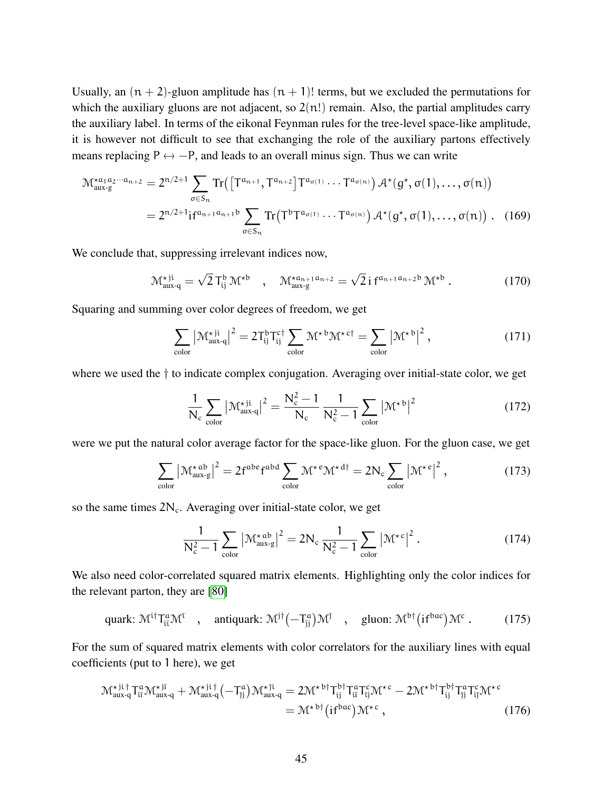Usually, an  $(n + 2)$ -gluon amplitude has  $(n + 1)!$  terms, but we excluded the permutations for which the auxiliary gluons are not adjacent, so  $2(n!)$  remain. Also, the partial amplitudes carry the auxiliary label. In terms of the eikonal Feynman rules for the tree-level space-like amplitude, it is however not difficult to see that exchanging the role of the auxiliary partons effectively means replacing  $P \leftrightarrow -P$ , and leads to an overall minus sign. Thus we can write

$$
\mathcal{M}_{aux-g}^{\star a_1 a_2 \cdots a_{n+2}} = 2^{n/2+1} \sum_{\sigma \in S_n} \text{Tr}\left(\left[\mathsf{T}^{a_{n+1}}, \mathsf{T}^{a_{n+2}}\right] \mathsf{T}^{a_{\sigma(1)}} \cdots \mathsf{T}^{a_{\sigma(n)}}\right) \mathcal{A}^{\star}(g^{\star}, \sigma(1), \ldots, \sigma(n))
$$
\n
$$
= 2^{n/2+1} \text{if}^{a_{n+1} a_{n+1} b} \sum_{\sigma \in S_n} \text{Tr}\left(\mathsf{T}^b \mathsf{T}^{a_{\sigma(1)}} \cdots \mathsf{T}^{a_{\sigma(n)}}\right) \mathcal{A}^{\star}(g^{\star}, \sigma(1), \ldots, \sigma(n)) . \quad (169)
$$

We conclude that, suppressing irrelevant indices now,

$$
\mathcal{M}_{aux-q}^{\star ji} = \sqrt{2} \, T_{ij}^b \, \mathcal{M}^{\star b} \quad , \quad \mathcal{M}_{aux-g}^{\star a_{n+1} a_{n+2}} = \sqrt{2} \, i \, f^{a_{n+1} a_{n+2} b} \, \mathcal{M}^{\star b} \; . \tag{170}
$$

Squaring and summing over color degrees of freedom, we get

$$
\sum_{\text{color}} \left| \mathcal{M}_{\text{aux-q}}^{\star \text{ji}} \right|^2 = 2T_{ij}^b T_{ij}^{c\dagger} \sum_{\text{color}} \mathcal{M}^{\star \text{b}} \mathcal{M}^{\star \text{c}\dagger} = \sum_{\text{color}} \left| \mathcal{M}^{\star \text{b}} \right|^2, \tag{171}
$$

where we used the  $\dagger$  to indicate complex conjugation. Averaging over initial-state color, we get

$$
\frac{1}{N_c} \sum_{\text{color}} \left| \mathcal{M}_{\text{aux-q}}^{\star \text{ji}} \right|^2 = \frac{N_c^2 - 1}{N_c} \frac{1}{N_c^2 - 1} \sum_{\text{color}} \left| \mathcal{M}^{\star \text{b}} \right|^2 \tag{172}
$$

were we put the natural color average factor for the space-like gluon. For the gluon case, we get

$$
\sum_{\text{color}} \left| \mathcal{M}_{\text{aux-g}}^{\star \text{ab}} \right|^2 = 2f^{\text{abe}}f^{\text{abd}} \sum_{\text{color}} \mathcal{M}^{\star \text{e}} \mathcal{M}^{\star \text{d} \dagger} = 2N_c \sum_{\text{color}} \left| \mathcal{M}^{\star \text{e}} \right|^2, \tag{173}
$$

so the same times  $2N_c$ . Averaging over initial-state color, we get

$$
\frac{1}{N_c^2 - 1} \sum_{\text{color}} \left| \mathcal{M}_{\text{aux-g}}^{\star \text{ab}} \right|^2 = 2N_c \frac{1}{N_c^2 - 1} \sum_{\text{color}} \left| \mathcal{M}^{\star c} \right|^2. \tag{174}
$$

We also need color-correlated squared matrix elements. Highlighting only the color indices for the relevant parton, they are [\[80\]](#page-40-13)

quark: 
$$
\mathcal{M}^{i\dagger} T_{i\bar{\imath}}^{\alpha} \mathcal{M}^{\bar{\imath}}
$$
, antiquark:  $\mathcal{M}^{j\dagger} (-T_{j\bar{j}}^{\alpha}) \mathcal{M}^{\bar{\jmath}}$ , gluon:  $\mathcal{M}^{b\dagger} (i f^{bac}) \mathcal{M}^c$ . (175)

For the sum of squared matrix elements with color correlators for the auxiliary lines with equal coefficients (put to 1 here), we get

$$
\mathcal{M}_{\text{aux-q}}^{\star \text{ji}\dagger} T_{\text{ii}}^{\alpha} \mathcal{M}_{\text{aux-q}}^{\star \text{ji}} + \mathcal{M}_{\text{aux-q}}^{\star \text{ji}\dagger} (-T_{\text{jj}}^{\alpha}) \mathcal{M}_{\text{aux-q}}^{\star \text{ji}} = 2 \mathcal{M}^{\star \text{ bi}\dagger} T_{\text{ij}}^{\alpha} T_{\text{ij}}^{\text{c}} \mathcal{M}^{\star \text{c}} - 2 \mathcal{M}^{\star \text{ bi}\dagger} T_{\text{jj}}^{\text{bi}\dagger} T_{\text{jj}}^{\alpha} T_{\text{ij}}^{\text{c}} \mathcal{M}^{\star \text{c}} = \mathcal{M}^{\star \text{ bi}\dagger} (\text{if}^{\text{bac}}) \mathcal{M}^{\star \text{c}}, \qquad (176)
$$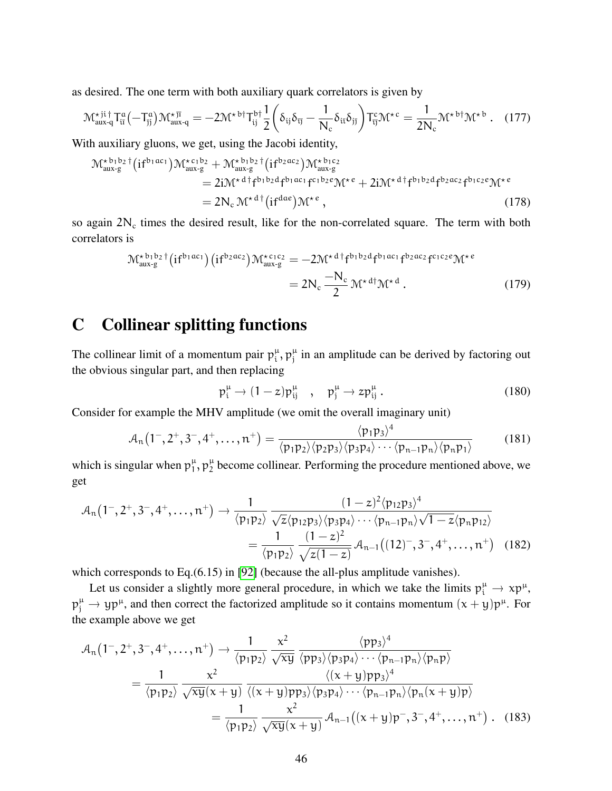as desired. The one term with both auxiliary quark correlators is given by

$$
\mathcal{M}_{aux-q}^{\star \mathrm{ji}\dagger} T_{\mathrm{ii}}^{\mathrm{a}} (-T_{\mathrm{jj}}^{\mathrm{a}}) \mathcal{M}_{aux-q}^{\star \mathrm{ji}} = -2 \mathcal{M}^{\star \mathrm{b}\dagger} T_{\mathrm{ij}}^{\mathrm{b}\dagger} \frac{1}{2} \left( \delta_{\mathrm{ij}} \delta_{\mathrm{ij}} - \frac{1}{N_{\mathrm{c}}} \delta_{\mathrm{ii}} \delta_{\mathrm{jj}} \right) T_{\mathrm{ij}}^{\mathrm{c}} \mathcal{M}^{\star \mathrm{c}} = \frac{1}{2N_{\mathrm{c}}} \mathcal{M}^{\star \mathrm{b}\dagger} \mathcal{M}^{\star \mathrm{b}}. \quad (177)
$$

With auxiliary gluons, we get, using the Jacobi identity,

$$
\mathcal{M}^{\star b_1 b_2}_{aux\cdot g}{}^{\dagger} (if^{b_1 ac_1}) \mathcal{M}^{\star c_1 b_2}_{aux\cdot g} + \mathcal{M}^{\star b_1 b_2}_{aux\cdot g}{}^{\dagger} (if^{b_2 ac_2}) \mathcal{M}^{\star b_1 c_2}_{aux\cdot g}
$$
\n
$$
= 2i \mathcal{M}^{\star d \dagger} f^{b_1 b_2 d} f^{b_1 ac_1} f^{c_1 b_2 e} \mathcal{M}^{\star e} + 2i \mathcal{M}^{\star d \dagger} f^{b_1 b_2 d} f^{b_2 ac_2} f^{b_1 c_2 e} \mathcal{M}^{\star e}
$$
\n
$$
= 2N_c \mathcal{M}^{\star d \dagger} (if^{dae}) \mathcal{M}^{\star e} , \qquad (178)
$$

so again  $2N_c$  times the desired result, like for the non-correlated square. The term with both correlators is

$$
\mathcal{M}^{\star b_1 b_2 \dagger}_{\text{aux-g}}(if^{b_1 ac_1})(if^{b_2 ac_2}) \mathcal{M}^{\star c_1 c_2}_{\text{aux-g}} = -2 \mathcal{M}^{\star d \dagger} f^{b_1 b_2 d} f^{b_1 ac_1} f^{b_2 ac_2} f^{c_1 c_2 e} \mathcal{M}^{\star e} \n= 2 N_c \frac{-N_c}{2} \mathcal{M}^{\star d \dagger} \mathcal{M}^{\star d}.
$$
\n(179)

# <span id="page-45-0"></span>C Collinear splitting functions

The collinear limit of a momentum pair  $p_i^{\mu}$  $\mu_i$ ,  $p_j^{\mu}$  $j<sub>j</sub>$  in an amplitude can be derived by factoring out the obvious singular part, and then replacing

$$
p_i^{\mu} \to (1-z)p_{ij}^{\mu} \quad , \quad p_j^{\mu} \to zp_{ij}^{\mu} \,. \tag{180}
$$

 $\sqrt{4}$ 

Consider for example the MHV amplitude (we omit the overall imaginary unit)

$$
A_n(1^-, 2^+, 3^-, 4^+, \dots, n^+) = \frac{\langle p_1 p_3 \rangle^4}{\langle p_1 p_2 \rangle \langle p_2 p_3 \rangle \langle p_3 p_4 \rangle \cdots \langle p_{n-1} p_n \rangle \langle p_n p_1 \rangle}
$$
(181)

which is singular when  $p_1^{\mu}$  $_{1}^{\mu}$ ,  $p_{2}^{\mu}$  $\frac{\mu}{2}$  become collinear. Performing the procedure mentioned above, we get

$$
\mathcal{A}_{n}(1^{-}, 2^{+}, 3^{-}, 4^{+}, \dots, n^{+}) \rightarrow \frac{1}{\langle p_{1}p_{2} \rangle} \frac{(1-z)^{2} \langle p_{12}p_{3} \rangle^{4}}{\sqrt{z} \langle p_{12}p_{3} \rangle \langle p_{3}p_{4} \rangle \cdots \langle p_{n-1}p_{n} \rangle \sqrt{1-z} \langle p_{n}p_{12} \rangle}
$$
\n
$$
= \frac{1}{\langle p_{1}p_{2} \rangle} \frac{(1-z)^{2}}{\sqrt{z(1-z)}} \mathcal{A}_{n-1}((12)^{-}, 3^{-}, 4^{+}, \dots, n^{+}) \quad (182)
$$

which corresponds to Eq.(6.15) in [\[92\]](#page-41-11) (because the all-plus amplitude vanishes).

Let us consider a slightly more general procedure, in which we take the limits  $p_i^{\mu} \to xp^{\mu}$ ,  $p_j^{\mu} \to yp^{\mu}$ , and then correct the factorized amplitude so it contains momentum  $(x + y)p^{\mu}$ . For the example above we get

$$
\mathcal{A}_{n}(1^{-},2^{+},3^{-},4^{+},\ldots,n^{+}) \rightarrow \frac{1}{\langle p_{1}p_{2}\rangle} \frac{x^{2}}{\sqrt{xy}} \frac{\langle pp_{3}\rangle^{4}}{\langle pp_{3}\rangle\langle p_{3}p_{4}\rangle\cdots\langle p_{n-1}p_{n}\rangle\langle p_{n}p\rangle}
$$
\n
$$
= \frac{1}{\langle p_{1}p_{2}\rangle} \frac{x^{2}}{\sqrt{xy}(x+y)} \frac{\langle (x+y)p_{3}\rangle^{4}}{\langle (x+y)p_{3}\rangle\langle p_{3}p_{4}\rangle\cdots\langle p_{n-1}p_{n}\rangle\langle p_{n}(x+y)p\rangle}
$$
\n
$$
= \frac{1}{\langle p_{1}p_{2}\rangle} \frac{x^{2}}{\sqrt{xy}(x+y)} \mathcal{A}_{n-1}((x+y)p^{-},3^{-},4^{+},\ldots,n^{+}) . \quad (183)
$$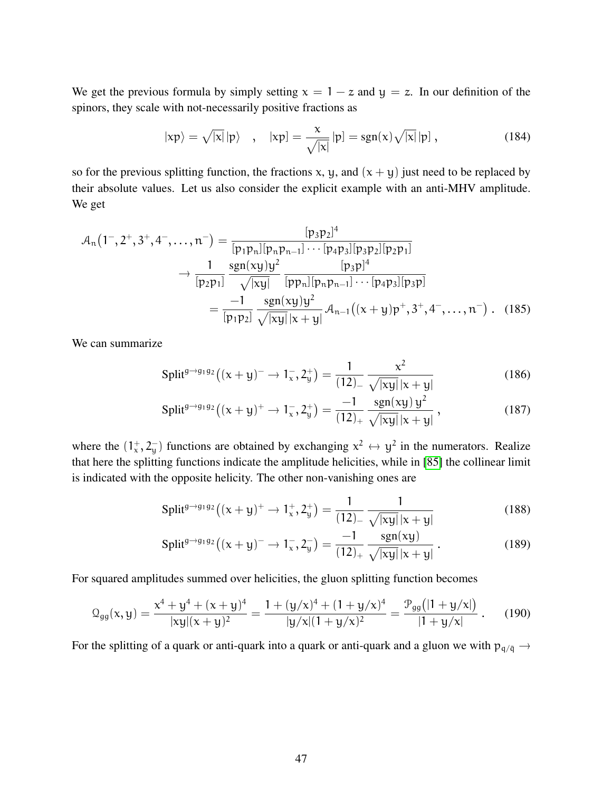We get the previous formula by simply setting  $x = 1 - z$  and  $y = z$ . In our definition of the spinors, they scale with not-necessarily positive fractions as

$$
|\mathbf{x}\mathbf{p}\rangle = \sqrt{|\mathbf{x}|}|\mathbf{p}\rangle
$$
,  $|\mathbf{x}\mathbf{p}\rangle = \frac{\mathbf{x}}{\sqrt{|\mathbf{x}|}}|\mathbf{p}\rangle = \text{sgn}(\mathbf{x})\sqrt{|\mathbf{x}|}|\mathbf{p}\rangle$ , (184)

so for the previous splitting function, the fractions x, y, and  $(x + y)$  just need to be replaced by their absolute values. Let us also consider the explicit example with an anti-MHV amplitude. We get

$$
\mathcal{A}_{n}(1^{-}, 2^{+}, 3^{+}, 4^{-}, \dots, n^{-}) = \frac{[p_{3}p_{2}]^{4}}{[p_{1}p_{n}][p_{n}p_{n-1}] \cdots [p_{4}p_{3}][p_{3}p_{2}][p_{2}p_{1}]} \rightarrow \frac{1}{[p_{2}p_{1}]} \frac{\text{sgn}(xy)y^{2}}{\sqrt{|xy|}} \frac{[p_{3}p]^{4}}{[pp_{n}][p_{n}p_{n-1}] \cdots [p_{4}p_{3}][p_{3}p]} = \frac{-1}{[p_{1}p_{2}]} \frac{\text{sgn}(xy)y^{2}}{\sqrt{|xy||x+y|}} \mathcal{A}_{n-1}((x+y)p^{+}, 3^{+}, 4^{-}, \dots, n^{-}) . \quad (185)
$$

We can summarize

Split<sup>g\to g\_1 g\_2</sup>
$$
((x + y)^{-} \to 1_x^-, 2_y^+) = \frac{1}{(12)_{-}} \frac{x^2}{\sqrt{|xy|}|x + y|}
$$
 (186)

$$
\text{Split}^{g \to g_1 g_2} \left( (x + y)^+ \to 1_x^-, 2_y^+ \right) = \frac{-1}{(12)_+} \frac{\text{sgn}(xy) y^2}{\sqrt{|xy|} |x + y|},\tag{187}
$$

where the  $(1^{\text{+}}_{\text{x}}, 2^{-}_{\text{y}})$  functions are obtained by exchanging  $x^2 \leftrightarrow y^2$  in the numerators. Realize that here the splitting functions indicate the amplitude helicities, while in [\[85\]](#page-41-4) the collinear limit is indicated with the opposite helicity. The other non-vanishing ones are

$$
\text{Split}^{g \to g_1 g_2} \left( (x + y)^+ \to 1_x^+, 2_y^+ \right) = \frac{1}{(12)_-} \frac{1}{\sqrt{|xy|} |x + y|} \tag{188}
$$

$$
\text{Split}^{g \to g_1 g_2} \big( (x + y)^- \to 1_x^-, 2_y^- \big) = \frac{-1}{(12)_+} \frac{\text{sgn}(xy)}{\sqrt{|xy|} |x + y|} \,. \tag{189}
$$

For squared amplitudes summed over helicities, the gluon splitting function becomes

$$
\mathcal{Q}_{gg}(x,y) = \frac{x^4 + y^4 + (x + y)^4}{|xy|(x + y)^2} = \frac{1 + (y/x)^4 + (1 + y/x)^4}{|y/x|(1 + y/x)^2} = \frac{\mathcal{P}_{gg}(|1 + y/x|)}{|1 + y/x|}.
$$
 (190)

For the splitting of a quark or anti-quark into a quark or anti-quark and a gluon we with  $p_{q/\bar{q}} \rightarrow$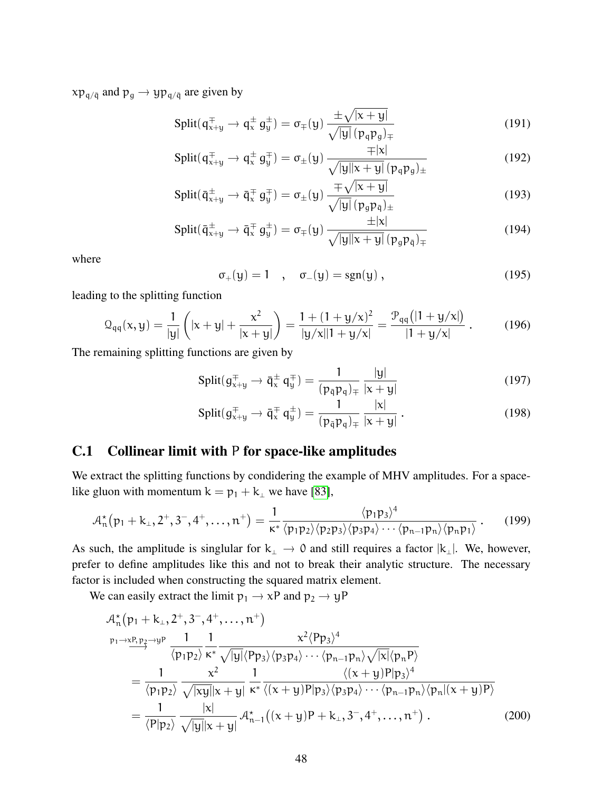$xp_{q/\bar{q}}$  and  $p_q \rightarrow yp_{q/\bar{q}}$  are given by

$$
\text{Split}(q_{x+y}^{\pm} \to q_x^{\pm} g_y^{\pm}) = \sigma_{\mp}(y) \frac{\pm \sqrt{|x+y|}}{\sqrt{|y|} (p_q p_g)_{\mp}} \tag{191}
$$

$$
\text{Split}(q_{x+y}^{\pm} \to q_x^{\pm} g_y^{\mp}) = \sigma_{\pm}(y) \frac{\mp |x|}{\sqrt{|y||x+y|} (p_q p_g)_{\pm}}
$$
(192)

$$
\text{Split}(\bar{\mathsf{q}}_{\mathsf{x}+\mathsf{y}}^{\pm} \to \bar{\mathsf{q}}_{\mathsf{x}}^{\mp} \mathsf{g}_{\mathsf{y}}^{\mp}) = \sigma_{\pm}(\mathsf{y}) \frac{\mp \sqrt{|\mathsf{x}+\mathsf{y}|}}{\sqrt{|\mathsf{y}|} (\mathsf{p}_{\mathsf{g}} \mathsf{p}_{\bar{\mathsf{q}}})_{\pm}} \tag{193}
$$

$$
\text{Split}(\bar{\mathsf{q}}_{x+y}^{\pm} \to \bar{\mathsf{q}}_x^{\mp} \mathsf{g}_y^{\pm}) = \sigma_{\mp}(\mathsf{y}) \frac{\pm |\mathsf{x}|}{\sqrt{|\mathsf{y}||\mathsf{x} + \mathsf{y}|} \left(\mathsf{p}_{g}\mathsf{p}_{\bar{\mathsf{q}}}\right)_{\mp}} \tag{194}
$$

where

$$
\sigma_+(y) = 1 \quad , \quad \sigma_-(y) = \text{sgn}(y) \,, \tag{195}
$$

leading to the splitting function

$$
\mathcal{Q}_{qq}(x,y) = \frac{1}{|y|} \left( |x+y| + \frac{x^2}{|x+y|} \right) = \frac{1 + (1 + y/x)^2}{|y/x||1 + y/x|} = \frac{\mathcal{P}_{qq}(|1 + y/x|)}{|1 + y/x|}.
$$
 (196)

The remaining splitting functions are given by

$$
\text{Split}(g_{x+y}^{\pm} \to \bar{q}_x^{\pm} q_y^{\mp}) = \frac{1}{(p_{\bar{q}} p_q)_{\mp}} \frac{|y|}{|x+y|}
$$
(197)

$$
\text{Split}(g_{x+y}^{\pm} \to \bar{q}_x^{\pm} q_y^{\pm}) = \frac{1}{(p_{\bar{q}} p_q)_{\mp}} \frac{|x|}{|x+y|} \,. \tag{198}
$$

### <span id="page-47-0"></span>C.1 Collinear limit with P for space-like amplitudes

We extract the splitting functions by condidering the example of MHV amplitudes. For a spacelike gluon with momentum  $k = p_1 + k_1$  we have [\[83\]](#page-41-2),

$$
\mathcal{A}_{n}^{\star}(p_{1}+k_{\perp},2^{+},3^{-},4^{+},\ldots,n^{+})=\frac{1}{\kappa^{*}}\frac{\langle p_{1}p_{3}\rangle^{4}}{\langle p_{1}p_{2}\rangle\langle p_{2}p_{3}\rangle\langle p_{3}p_{4}\rangle\cdots\langle p_{n-1}p_{n}\rangle\langle p_{n}p_{1}\rangle}.
$$
 (199)

As such, the amplitude is singlular for  $k_\perp \to 0$  and still requires a factor  $|k_\perp|$ . We, however, prefer to define amplitudes like this and not to break their analytic structure. The necessary factor is included when constructing the squared matrix element.

We can easily extract the limit  $p_1 \rightarrow xP$  and  $p_2 \rightarrow yP$ 

$$
\mathcal{A}_{n}^{\star}(p_{1} + k_{\perp}, 2^{+}, 3^{-}, 4^{+}, \dots, n^{+})
$$
\n
$$
\xrightarrow{p_{1} \to x p, p_{2} \to y p} \frac{1}{\langle p_{1} p_{2} \rangle} \frac{1}{\kappa^{*}} \frac{1}{\sqrt{|y|} \langle p_{p_{3}} \rangle \langle p_{3} p_{4} \rangle \cdots \langle p_{n-1} p_{n} \rangle \sqrt{|x|} \langle p_{n} p \rangle}
$$
\n
$$
= \frac{1}{\langle p_{1} p_{2} \rangle} \frac{\kappa^{2}}{\sqrt{|xy|} |x + y|} \frac{1}{\kappa^{*}} \frac{\langle (x + y) p | p_{3} \rangle^{4}}{\langle (x + y) p | p_{3} \rangle \langle p_{3} p_{4} \rangle \cdots \langle p_{n-1} p_{n} \rangle \langle p_{n} | (x + y) p \rangle}
$$
\n
$$
= \frac{1}{\langle p | p_{2} \rangle} \frac{|x|}{\sqrt{|y|} |x + y|} \mathcal{A}_{n-1}^{\star} \left( (x + y) p + k_{\perp}, 3^{-}, 4^{+}, \dots, n^{+} \right). \tag{200}
$$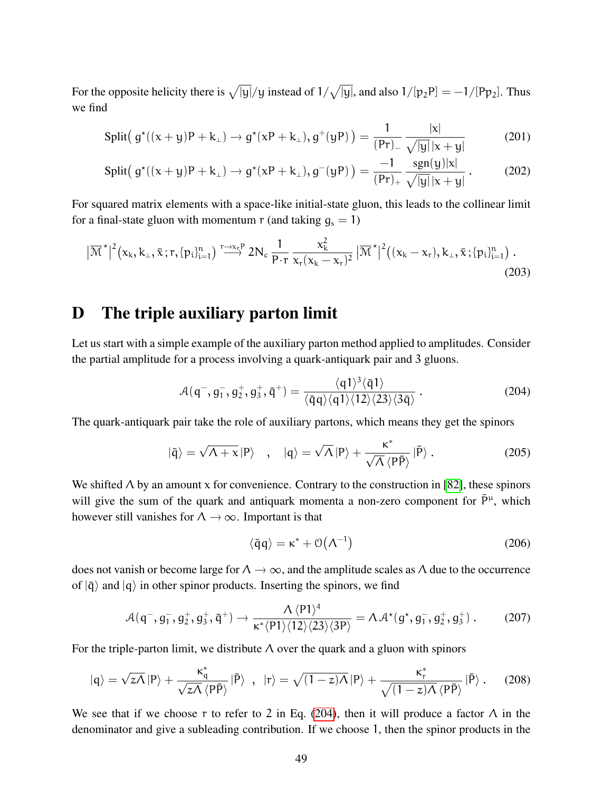For the opposite helicity there is  $\sqrt{|y|}/y$  instead of  $1/\sqrt{|y|}$ , and also  $1/[p_2P] = -1/[Pp_2]$ . Thus we find

Split
$$
(g^*((x+y)P+k_+) \to g^*(xP+k_+), g^+(yP)) = \frac{1}{(Pr)_-} \frac{|x|}{\sqrt{|y|}|x+y|}
$$
 (201)

Split
$$
(g^*((x+y)P+k_1) \to g^*(xP+k_1), g^-(yP)) = \frac{-1}{(Pr)_+} \frac{sgn(y)|x|}{\sqrt{|y|}|x+y|}
$$
. (202)

For squared matrix elements with a space-like initial-state gluon, this leads to the collinear limit for a final-state gluon with momentum  $r$  (and taking  $g_s = 1$ )

$$
\left|\overline{\mathcal{M}}^{\star}\right|^{2}\left(x_{k},k_{\perp},\bar{x};r,\{p_{i}\}_{i=1}^{n}\right) \stackrel{r\rightarrow x_{r}^{p}}{\longrightarrow} 2N_{c} \frac{1}{P\cdot r} \frac{x_{k}^{2}}{x_{r}(x_{k}-x_{r})^{2}}\left|\overline{\mathcal{M}}^{\star}\right|^{2}\left((x_{k}-x_{r}),k_{\perp},\bar{x};\{p_{i}\}_{i=1}^{n}\right). \tag{203}
$$

### <span id="page-48-0"></span>D The triple auxiliary parton limit

Let us start with a simple example of the auxiliary parton method applied to amplitudes. Consider the partial amplitude for a process involving a quark-antiquark pair and 3 gluons.

<span id="page-48-1"></span>
$$
\mathcal{A}(q^-, g_1^-, g_2^+, g_3^+, \bar{q}^+) = \frac{\langle q1\rangle^3 \langle \bar{q}1\rangle}{\langle \bar{q}q\rangle \langle q1\rangle \langle 12\rangle \langle 23\rangle \langle 3\bar{q}\rangle} \,. \tag{204}
$$

The quark-antiquark pair take the role of auxiliary partons, which means they get the spinors

$$
|\bar{q}\rangle = \sqrt{\Lambda + x} |P\rangle \quad , \quad |q\rangle = \sqrt{\Lambda} |P\rangle + \frac{\kappa^*}{\sqrt{\Lambda} \langle P\bar{P}\rangle} |\bar{P}\rangle \,. \tag{205}
$$

We shifted  $\Lambda$  by an amount x for convenience. Contrary to the construction in [\[82\]](#page-41-1), these spinors will give the sum of the quark and antiquark momenta a non-zero component for  $\bar{P}^{\mu}$ , which however still vanishes for  $\Lambda \to \infty$ . Important is that

$$
\langle \bar{q}q \rangle = \kappa^* + \mathcal{O}(\Lambda^{-1}) \tag{206}
$$

does not vanish or become large for  $\Lambda \to \infty$ , and the amplitude scales as  $\Lambda$  due to the occurrence of  $|\bar{q}\rangle$  and  $|q\rangle$  in other spinor products. Inserting the spinors, we find

$$
\mathcal{A}(q^-, g_1^-, g_2^+, g_3^+, \bar{q}^+) \to \frac{\Lambda \langle P1 \rangle^4}{\kappa^* \langle P1 \rangle \langle 12 \rangle \langle 23 \rangle \langle 3P \rangle} = \Lambda \mathcal{A}^*(g^*, g_1^-, g_2^+, g_3^+)
$$
 (207)

For the triple-parton limit, we distribute  $\Lambda$  over the quark and a gluon with spinors

$$
|q\rangle = \sqrt{z\Lambda} |P\rangle + \frac{\kappa_q^*}{\sqrt{z\Lambda} \langle P\bar{P}\rangle} |\bar{P}\rangle \hspace{1mm}, \hspace{1mm} |r\rangle = \sqrt{(1-z)\Lambda} |P\rangle + \frac{\kappa_r^*}{\sqrt{(1-z)\Lambda} \langle P\bar{P}\rangle} |\bar{P}\rangle \hspace{1mm}. \hspace{10mm}(208)
$$

We see that if we choose r to refer to 2 in Eq. [\(204\)](#page-48-1), then it will produce a factor  $\Lambda$  in the denominator and give a subleading contribution. If we choose 1, then the spinor products in the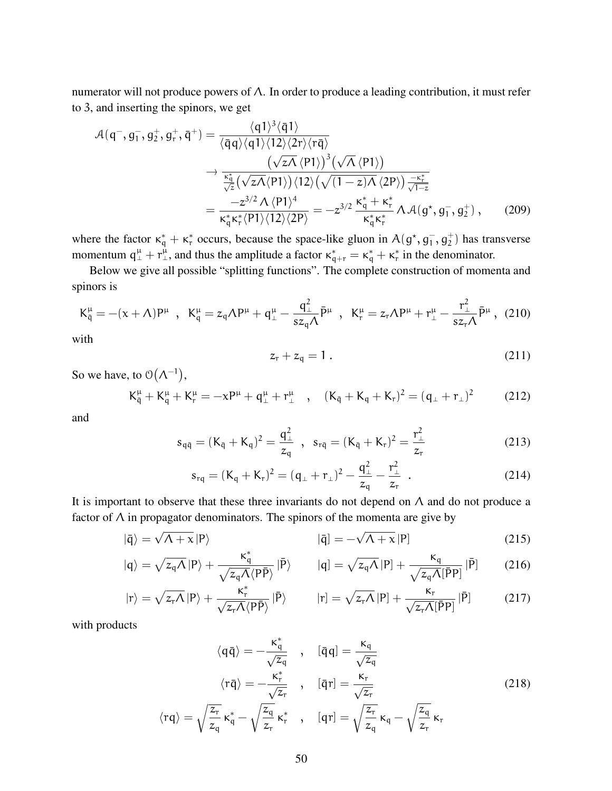numerator will not produce powers of Λ. In order to produce a leading contribution, it must refer to 3, and inserting the spinors, we get

$$
\mathcal{A}(q^-, g_1^-, g_2^+, g_r^+) = \frac{\langle q1\rangle^3 \langle \bar{q}1\rangle}{\langle \bar{q}q\rangle \langle q1\rangle \langle 12\rangle \langle 2r\rangle \langle r\bar{q}\rangle} \n\rightarrow \frac{(\sqrt{z}\Lambda \langle P1\rangle)^3 (\sqrt{\Lambda} \langle P1\rangle)}{\frac{\kappa_q^*}{\sqrt{z}} (\sqrt{z}\Lambda \langle P1\rangle) \langle 12\rangle (\sqrt{(1-z)\Lambda} \langle 2P\rangle) \frac{-\kappa_r^*}{\sqrt{1-z}}} \n= \frac{-z^{3/2} \Lambda \langle P1\rangle^4}{\kappa_q^* \kappa_r^* \langle P1\rangle \langle 12\rangle \langle 2P\rangle} = -z^{3/2} \frac{\kappa_q^* + \kappa_r^*}{\kappa_q^* \kappa_r^*} \Lambda \mathcal{A}(g^*, g_1^-, g_2^+) ,
$$
\n(209)

where the factor  $\kappa_q^* + \kappa_r^*$  occurs, because the space-like gluon in  $A(g^*, g_1^-, g_2^+)$  has transverse momentum  $q^{\mu}_{\perp} + r^{\mu}_{\perp}$ , and thus the amplitude a factor  $\kappa_{q+r}^* = \kappa_q^* + \kappa_r^*$  in the denominator.

Below we give all possible "splitting functions". The complete construction of momenta and spinors is

$$
K_{\bar{q}}^{\mu} = -(x+\Lambda)P^{\mu} \text{ , } K_{q}^{\mu} = z_{q}\Lambda P^{\mu} + q_{\perp}^{\mu} - \frac{q_{\perp}^{2}}{sz_{q}\Lambda} \bar{P}^{\mu} \text{ , } K_{r}^{\mu} = z_{r}\Lambda P^{\mu} + r_{\perp}^{\mu} - \frac{r_{\perp}^{2}}{sz_{r}\Lambda} \bar{P}^{\mu} \text{ , } (210)
$$

with

$$
z_r + z_q = 1 \tag{211}
$$

So we have, to  $\mathcal{O}(\Lambda^{-1}),$ 

$$
K_{\bar{q}}^{\mu} + K_{q}^{\mu} + K_{r}^{\mu} = -xP^{\mu} + q^{\mu}_{\perp} + r^{\mu}_{\perp} \quad , \quad (K_{\bar{q}} + K_{q} + K_{r})^{2} = (q_{\perp} + r_{\perp})^{2} \tag{212}
$$

and

$$
s_{q\bar{q}} = (K_{\bar{q}} + K_{q})^{2} = \frac{q_{\perp}^{2}}{z_{q}} , \quad s_{r\bar{q}} = (K_{\bar{q}} + K_{r})^{2} = \frac{r_{\perp}^{2}}{z_{r}}
$$
 (213)

$$
s_{rq} = (K_q + K_r)^2 = (q_{\perp} + r_{\perp})^2 - \frac{q_{\perp}^2}{z_q} - \frac{r_{\perp}^2}{z_r} \tag{214}
$$

It is important to observe that these three invariants do not depend on  $\Lambda$  and do not produce a factor of  $\Lambda$  in propagator denominators. The spinors of the momenta are give by

$$
|\bar{\mathbf{q}}\rangle = \sqrt{\Lambda + \mathbf{x}} |\mathbf{P}\rangle
$$
 (215)

$$
|q\rangle = \sqrt{z_q A} |P\rangle + \frac{\kappa_q^*}{\sqrt{z_q A} \langle P\bar{P}\rangle} |\bar{P}\rangle \qquad |q] = \sqrt{z_q A} |P] + \frac{\kappa_q}{\sqrt{z_q A} [\bar{P}P]} |\bar{P}| \qquad (216)
$$

$$
|\mathbf{r}\rangle = \sqrt{z_r \Lambda} |\mathbf{P}\rangle + \frac{\kappa_r^*}{\sqrt{z_r \Lambda} \langle \mathbf{P}\bar{\mathbf{P}} \rangle} |\bar{\mathbf{P}}\rangle \qquad |\mathbf{r}] = \sqrt{z_r \Lambda} |\mathbf{P}] + \frac{\kappa_r}{\sqrt{z_r \Lambda} [\bar{\mathbf{P}}\mathbf{P}]} |\bar{\mathbf{P}}] \qquad (217)
$$

with products

$$
\langle q\bar{q}\rangle = -\frac{\kappa_q^*}{\sqrt{z_q}} \quad , \quad [\bar{q}q] = \frac{\kappa_q}{\sqrt{z_q}} \n\langle r\bar{q}\rangle = -\frac{\kappa_r^*}{\sqrt{z_r}} \quad , \quad [\bar{q}r] = \frac{\kappa_r}{\sqrt{z_r}} \n\langle rq\rangle = \sqrt{\frac{z_r}{z_q}} \kappa_q^* - \sqrt{\frac{z_q}{z_r}} \kappa_r^* \quad , \quad [qr] = \sqrt{\frac{z_r}{z_q}} \kappa_q - \sqrt{\frac{z_q}{z_r}} \kappa_r
$$
\n(218)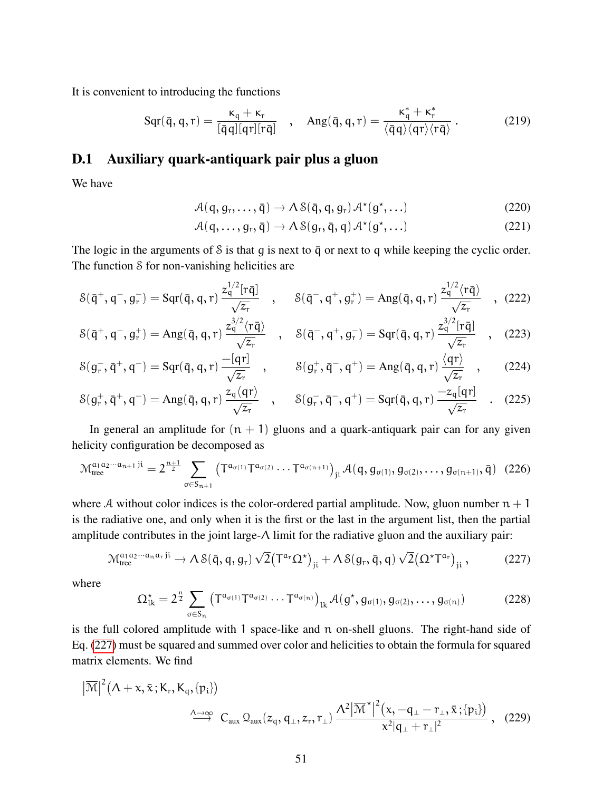It is convenient to introducing the functions

$$
Sqr(\bar{q}, q, r) = \frac{\kappa_q + \kappa_r}{[\bar{q}q][qr][r\bar{q}]} \quad , \quad \text{Ang}(\bar{q}, q, r) = \frac{\kappa_q^* + \kappa_r^*}{\langle \bar{q}q \rangle \langle qr \rangle \langle r\bar{q} \rangle} \, . \tag{219}
$$

#### D.1 Auxiliary quark-antiquark pair plus a gluon

We have

$$
\mathcal{A}(q, g_r, \dots, \bar{q}) \to \Lambda \, \mathcal{S}(\bar{q}, q, g_r) \, \mathcal{A}^{\star}(g^{\star}, \dots) \tag{220}
$$

$$
\mathcal{A}(q,\ldots,g_r,\bar{q}) \to \Lambda \, \mathcal{S}(g_r,\bar{q},q) \, \mathcal{A}^{\star}(g^{\star},\ldots) \tag{221}
$$

The logic in the arguments of  $S$  is that g is next to  $\bar{q}$  or next to q while keeping the cyclic order. The function S for non-vanishing helicities are

$$
\mathcal{S}(\bar{q}^+, q^-, g_r^-) = \text{Sqr}(\bar{q}, q, r) \frac{z_q^{1/2} [r\bar{q}]}{\sqrt{z_r}} \quad , \quad \mathcal{S}(\bar{q}^-, q^+, g_r^+) = \text{Ang}(\bar{q}, q, r) \frac{z_q^{1/2} \langle r\bar{q} \rangle}{\sqrt{z_r}} \quad , \tag{222}
$$

$$
\mathcal{S}(\bar{q}^+, q^-, g_r^+) = \text{Ang}(\bar{q}, q, r) \frac{z_q^{3/2} \langle r\bar{q} \rangle}{\sqrt{z_r}} \quad , \quad \mathcal{S}(\bar{q}^-, q^+, g_r^-) = \text{Sqr}(\bar{q}, q, r) \frac{z_q^{3/2} [r\bar{q}]}{\sqrt{z_r}} \quad , \quad (223)
$$

$$
\mathcal{S}(g_r^-, \bar{q}^+, q^-) = \text{Sqr}(\bar{q}, q, r) \frac{-[qr]}{\sqrt{z_r}} \quad , \qquad \mathcal{S}(g_r^+, \bar{q}^-, q^+) = \text{Ang}(\bar{q}, q, r) \frac{\langle qr \rangle}{\sqrt{z_r}} \quad , \qquad (224)
$$

$$
S(g_r^+, \bar{q}^+, q^-) = \text{Ang}(\bar{q}, q, r) \frac{z_q \langle q r \rangle}{\sqrt{z_r}}, \quad S(g_r^-, \bar{q}^-, q^+) = \text{Sqr}(\bar{q}, q, r) \frac{-z_q[qr]}{\sqrt{z_r}} \quad . \quad (225)
$$

In general an amplitude for  $(n + 1)$  gluons and a quark-antiquark pair can for any given helicity configuration be decomposed as

$$
\mathcal{M}_{\text{tree}}^{a_1 a_2 \cdots a_{n+1} \, \mathrm{ji}} = 2^{\frac{n+1}{2}} \sum_{\sigma \in S_{n+1}} \left( T^{a_{\sigma(1)}} T^{a_{\sigma(2)}} \cdots T^{a_{\sigma(n+1)}} \right)_{\mathrm{ji}} \mathcal{A}(q, g_{\sigma(1)}, g_{\sigma(2)}, \ldots, g_{\sigma(n+1)}, \bar{q}) \tag{226}
$$

where A without color indices is the color-ordered partial amplitude. Now, gluon number  $n + 1$ is the radiative one, and only when it is the first or the last in the argument list, then the partial amplitude contributes in the joint large-Λ limit for the radiative gluon and the auxiliary pair:

<span id="page-50-0"></span>
$$
\mathcal{M}_{tree}^{a_1 a_2 \cdots a_n a_r \, ji} \to \Lambda \, \mathcal{S}(\bar{q}, q, g_r) \sqrt{2} \big( T^{a_r} \Omega^{\star} \big)_{ji} + \Lambda \, \mathcal{S}(g_r, \bar{q}, q) \sqrt{2} \big( \Omega^{\star} T^{a_r} \big)_{ji},\tag{227}
$$

where

<span id="page-50-1"></span>
$$
\Omega_{lk}^* = 2^{\frac{n}{2}} \sum_{\sigma \in S_n} \left( T^{a_{\sigma(1)}} T^{a_{\sigma(2)}} \cdots T^{a_{\sigma(n)}} \right)_{lk} \mathcal{A}(g^*, g_{\sigma(1)}, g_{\sigma(2)}, \dots, g_{\sigma(n)}) \tag{228}
$$

is the full colored amplitude with 1 space-like and n on-shell gluons. The right-hand side of Eq. [\(227\)](#page-50-0) must be squared and summed over color and helicities to obtain the formula for squared matrix elements. We find

$$
\left|\overline{\mathcal{M}}\right|^2 \left(\Lambda + x, \overline{x}; K_r, K_q, \{p_i\}\right) \xrightarrow{\Lambda \to \infty} C_{aux} \mathcal{Q}_{aux}(z_q, q_\perp, z_r, r_\perp) \frac{\Lambda^2 |\overline{\mathcal{M}}^{\star}|^2 (x, -q_\perp - r_\perp, \overline{x}; \{p_i\})}{x^2 |q_\perp + r_\perp|^2}, \quad (229)
$$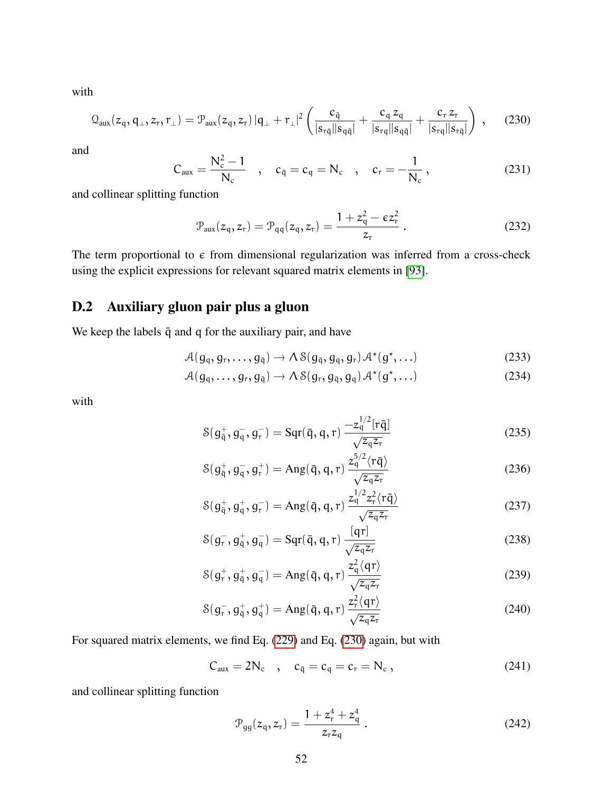with

<span id="page-51-0"></span>
$$
Q_{\text{aux}}(z_q, q_\perp, z_r, r_\perp) = \mathcal{P}_{\text{aux}}(z_q, z_r) |q_\perp + r_\perp|^2 \left( \frac{c_{\bar{q}}}{|s_{r\bar{q}}||s_{q\bar{q}}|} + \frac{c_q z_q}{|s_{rq}||s_{q\bar{q}}|} + \frac{c_r z_r}{|s_{rq}||s_{r\bar{q}}|} \right) , \quad (230)
$$

and

$$
C_{aux} = \frac{N_c^2 - 1}{N_c} \quad , \quad c_{\bar{q}} = c_q = N_c \quad , \quad c_r = -\frac{1}{N_c} \quad , \tag{231}
$$

and collinear splitting function

$$
\mathcal{P}_{\text{aux}}(z_{\text{q}}, z_{\text{r}}) = \mathcal{P}_{\text{qq}}(z_{\text{q}}, z_{\text{r}}) = \frac{1 + z_{\text{q}}^2 - \epsilon z_{\text{r}}^2}{z_{\text{r}}}.
$$
 (232)

The term proportional to  $\epsilon$  from dimensional regularization was inferred from a cross-check using the explicit expressions for relevant squared matrix elements in [\[93\]](#page-41-12).

### D.2 Auxiliary gluon pair plus a gluon

We keep the labels  $\bar{q}$  and q for the auxiliary pair, and have

$$
\mathcal{A}(g_q, g_r, \ldots, g_{\bar{q}}) \to \Lambda \, \mathcal{S}(g_{\bar{q}}, g_q, g_r) \, \mathcal{A}^{\star}(g^{\star}, \ldots) \tag{233}
$$

$$
\mathcal{A}(\mathfrak{g}_q, \dots, \mathfrak{g}_r, \mathfrak{g}_{\bar{q}}) \to \mathcal{A} \, \mathcal{S}(\mathfrak{g}_r, \mathfrak{g}_{\bar{q}}, \mathfrak{g}_q) \, \mathcal{A}^\star(\mathfrak{g}^\star, \dots) \tag{234}
$$

with

$$
S(g_{\bar{q}}^+, g_{q}^-, g_{r}^-) = Sqr(\bar{q}, q, r) \frac{-z_{q}^{1/2} [r\bar{q}]}{\sqrt{z_{q} z_{r}}}
$$
(235)

$$
\mathcal{S}(g_{\bar{q}}^+, g_q^-, g_r^+) = \text{Ang}(\bar{q}, q, r) \frac{z_q^{5/2} \langle r\bar{q} \rangle}{\sqrt{z_q z_r}}
$$
(236)

$$
\mathcal{S}(g_{\bar{q}}^+, g_q^-, g_r^-) = \text{Ang}(\bar{q}, q, r) \frac{z_q^{1/2} z_r^2 \langle r \bar{q} \rangle}{\sqrt{z_q z_r}}
$$
(237)

$$
\mathcal{S}(g_r^-, g_{\bar{q}}^+, g_q^-) = \mathcal{S}qr(\bar{q}, q, r) \frac{[qr]}{\sqrt{z_q z_r}}
$$
\n(238)

$$
\mathcal{S}(\mathsf{g}_{\mathsf{r}}^+,\mathsf{g}_{\bar{\mathsf{q}}}^+,\mathsf{g}_{\mathsf{q}}^-)=\mathrm{Ang}(\bar{\mathsf{q}},\mathsf{q},\mathsf{r})\frac{z_{\mathsf{q}}^2\langle\mathsf{q}\mathsf{r}\rangle}{\sqrt{z_{\mathsf{q}}z_{\mathsf{r}}}}\tag{239}
$$

$$
S(g_{r}^{-}, g_{\bar{q}}^{+}, g_{q}^{+}) = \text{Ang}(\bar{q}, q, r) \frac{z_{r}^{2} \langle q r \rangle}{\sqrt{z_{q} z_{r}}} \tag{240}
$$

For squared matrix elements, we find Eq. [\(229\)](#page-50-1) and Eq. [\(230\)](#page-51-0) again, but with

$$
C_{aux} = 2N_c , \quad c_{\bar{q}} = c_q = c_r = N_c , \qquad (241)
$$

and collinear splitting function

$$
\mathcal{P}_{gg}(z_q, z_r) = \frac{1 + z_r^4 + z_q^4}{z_r z_q} \,. \tag{242}
$$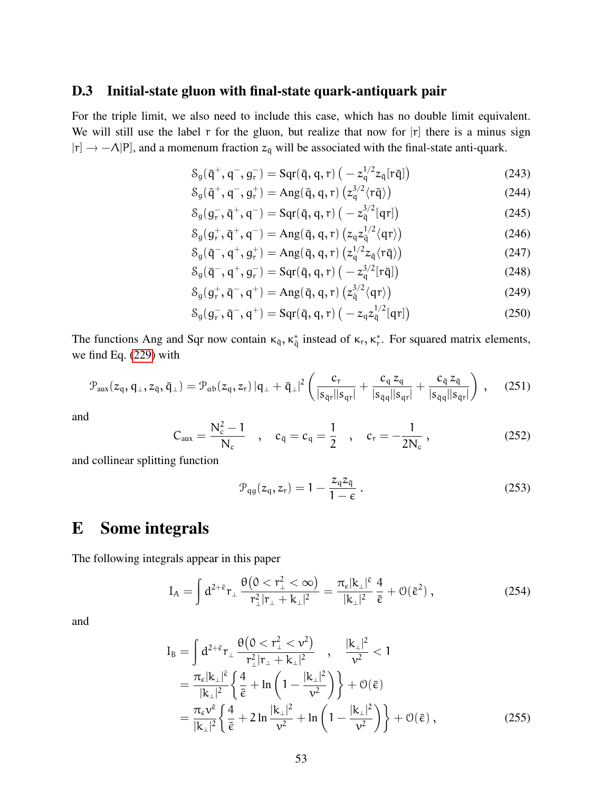#### D.3 Initial-state gluon with final-state quark-antiquark pair

For the triple limit, we also need to include this case, which has no double limit equivalent. We will still use the label  $r$  for the gluon, but realize that now for  $|r|$  there is a minus sign  $|r] \rightarrow -\Lambda |P|$ , and a momenum fraction  $z_{\bar{q}}$  will be associated with the final-state anti-quark.

$$
\mathcal{S}_g(\bar{\mathsf{q}}^+, \mathsf{q}^-, \mathsf{g}^-_r) = \mathcal{S}\mathrm{qr}(\bar{\mathsf{q}}, \mathsf{q}, \mathsf{r}) \left( -z_{\mathsf{q}}^{1/2} z_{\bar{\mathsf{q}}} [r\bar{\mathsf{q}}] \right) \tag{243}
$$

$$
\mathcal{S}_{g}(\bar{\mathsf{q}}^{+}, \mathsf{q}^{-}, \mathsf{g}_{r}^{+}) = \operatorname{Ang}(\bar{\mathsf{q}}, \mathsf{q}, r) \left( z_{q}^{3/2} \langle r \bar{\mathsf{q}} \rangle \right) \tag{244}
$$

$$
S_g(g_r^-, \bar{q}^+, q^-) = Sqr(\bar{q}, q, r) \left( -z_{\bar{q}}^{3/2}[qr] \right)
$$
 (245)

$$
\mathcal{S}_g(g_r^+, \bar{q}^+, q^-) = \text{Ang}(\bar{q}, q, r) \left( z_q z_q^{1/2} \langle q r \rangle \right) \tag{246}
$$

$$
\mathcal{S}_g(\bar{\mathsf{q}}^-, \mathsf{q}^+, \mathsf{g}_r^+) = \text{Ang}(\bar{\mathsf{q}}, \mathsf{q}, r) \left( z_{\mathsf{q}}^{1/2} z_{\bar{\mathsf{q}}} \langle r \bar{\mathsf{q}} \rangle \right) \tag{247}
$$

$$
S_g(\bar{q}^-, q^+, g_r^-) = Sqr(\bar{q}, q, r) (-z_q^{3/2}[r\bar{q}])
$$
\n(248)

$$
S_g(g_r^+, \bar{q}^-, q^+) = \text{Ang}(\bar{q}, q, r) \left( z_{\bar{q}}^{3/2} \langle qr \rangle \right) \tag{249}
$$

$$
S_g(g_r^-, \bar{q}^-, q^+) = Sqr(\bar{q}, q, r) (-z_q z_{\bar{q}}^{1/2} [qr])
$$
\n(250)

The functions Ang and Sqr now contain  $\kappa_{\bar{q}}$ ,  $\kappa_{\bar{q}}^*$  instead of  $\kappa_r$ ,  $\kappa_r^*$ . For squared matrix elements, we find Eq. [\(229\)](#page-50-1) with

<span id="page-52-2"></span>
$$
\mathcal{P}_{\text{aux}}(z_{\mathfrak{q}}, \mathfrak{q}_{\perp}, z_{\bar{\mathfrak{q}}}, \bar{\mathfrak{q}}_{\perp}) = \mathcal{P}_{\text{ab}}(z_{\mathfrak{q}}, z_{r}) | \mathfrak{q}_{\perp} + \bar{\mathfrak{q}}_{\perp} |^2 \left( \frac{c_r}{|s_{\bar{\mathfrak{q}}r} || s_{\mathfrak{q}r} |} + \frac{c_{\mathfrak{q}} z_{\mathfrak{q}}}{|s_{\bar{\mathfrak{q}}q} || s_{\mathfrak{q}r} |} + \frac{c_{\bar{\mathfrak{q}}} z_{\bar{\mathfrak{q}}}}{|s_{\bar{\mathfrak{q}}q} || s_{\bar{\mathfrak{q}}r} |} \right), \quad (251)
$$

and

$$
C_{aux} = \frac{N_c^2 - 1}{N_c} \quad , \quad c_{\bar{q}} = c_q = \frac{1}{2} \quad , \quad c_r = -\frac{1}{2N_c} \quad , \tag{252}
$$

and collinear splitting function

<span id="page-52-1"></span>
$$
\mathcal{P}_{qg}(z_q, z_r) = 1 - \frac{z_q z_{\bar{q}}}{1 - \epsilon} \,. \tag{253}
$$

# <span id="page-52-0"></span>E Some integrals

The following integrals appear in this paper

$$
I_A = \int d^{2+\bar{\varepsilon}} r_\perp \frac{\theta(0 < r_\perp^2 < \infty)}{r_\perp^2 |r_\perp + k_\perp|^2} = \frac{\pi_{\varepsilon} |k_\perp|^{\bar{\varepsilon}}}{|k_\perp|^2} \frac{4}{\bar{\varepsilon}} + \mathcal{O}(\bar{\varepsilon}^2) , \qquad (254)
$$

and

$$
I_{B} = \int d^{2+\bar{\varepsilon}} r_{\perp} \frac{\theta(0 < r_{\perp}^{2} < v^{2})}{r_{\perp}^{2}|r_{\perp} + k_{\perp}|^{2}}, \quad \frac{|k_{\perp}|^{2}}{v^{2}} < 1
$$
  
\n
$$
= \frac{\pi_{\varepsilon}|k_{\perp}|^{\bar{\varepsilon}}}{|k_{\perp}|^{2}} \left\{ \frac{4}{\bar{\varepsilon}} + \ln\left(1 - \frac{|k_{\perp}|^{2}}{v^{2}}\right) \right\} + \mathcal{O}(\bar{\varepsilon})
$$
  
\n
$$
= \frac{\pi_{\varepsilon}v^{\bar{\varepsilon}}}{|k_{\perp}|^{2}} \left\{ \frac{4}{\bar{\varepsilon}} + 2\ln\frac{|k_{\perp}|^{2}}{v^{2}} + \ln\left(1 - \frac{|k_{\perp}|^{2}}{v^{2}}\right) \right\} + \mathcal{O}(\bar{\varepsilon}), \tag{255}
$$